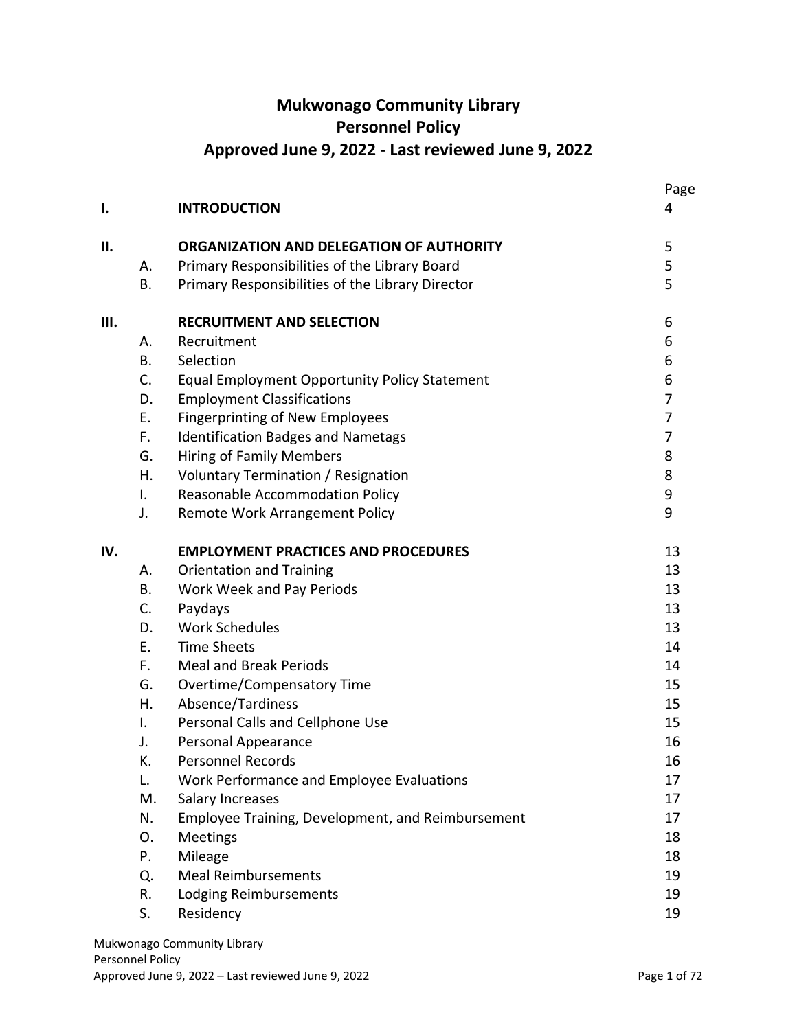# **Mukwonago Community Library Personnel Policy Approved June 9, 2022 - Last reviewed June 9, 2022**

|     |           |                                                      | Page           |
|-----|-----------|------------------------------------------------------|----------------|
| I.  |           | <b>INTRODUCTION</b>                                  | 4              |
| П.  |           | ORGANIZATION AND DELEGATION OF AUTHORITY             | 5              |
|     | А.        | Primary Responsibilities of the Library Board        | 5              |
|     | <b>B.</b> | Primary Responsibilities of the Library Director     | 5              |
| Ш.  |           | <b>RECRUITMENT AND SELECTION</b>                     | 6              |
|     | Α.        | Recruitment                                          | 6              |
|     | <b>B.</b> | Selection                                            | 6              |
|     | C.        | <b>Equal Employment Opportunity Policy Statement</b> | 6              |
|     | D.        | <b>Employment Classifications</b>                    | 7              |
|     | Ε.        | <b>Fingerprinting of New Employees</b>               | $\overline{7}$ |
|     | F.        | <b>Identification Badges and Nametags</b>            | $\overline{7}$ |
|     | G.        | <b>Hiring of Family Members</b>                      | 8              |
|     | Η.        | Voluntary Termination / Resignation                  | 8              |
|     | Ι.        | Reasonable Accommodation Policy                      | 9              |
|     | J.        | Remote Work Arrangement Policy                       | 9              |
| IV. |           | <b>EMPLOYMENT PRACTICES AND PROCEDURES</b>           | 13             |
|     | Α.        | <b>Orientation and Training</b>                      | 13             |
|     | <b>B.</b> | Work Week and Pay Periods                            | 13             |
|     | C.        | Paydays                                              | 13             |
|     | D.        | <b>Work Schedules</b>                                | 13             |
|     | E.        | <b>Time Sheets</b>                                   | 14             |
|     | F.        | <b>Meal and Break Periods</b>                        | 14             |
|     | G.        | Overtime/Compensatory Time                           | 15             |
|     | Η.        | Absence/Tardiness                                    | 15             |
|     | I.        | Personal Calls and Cellphone Use                     | 15             |
|     | J.        | Personal Appearance                                  | 16             |
|     | К.        | Personnel Records                                    | 16             |
|     | L.        | Work Performance and Employee Evaluations            | 17             |
|     | M.        | Salary Increases                                     | 17             |
|     | N.        | Employee Training, Development, and Reimbursement    | 17             |
|     | O.        | <b>Meetings</b>                                      | 18             |
|     | P.        | Mileage                                              | 18             |
|     | Q.        | <b>Meal Reimbursements</b>                           | 19             |
|     | R.        | Lodging Reimbursements                               | 19             |
|     | S.        | Residency                                            | 19             |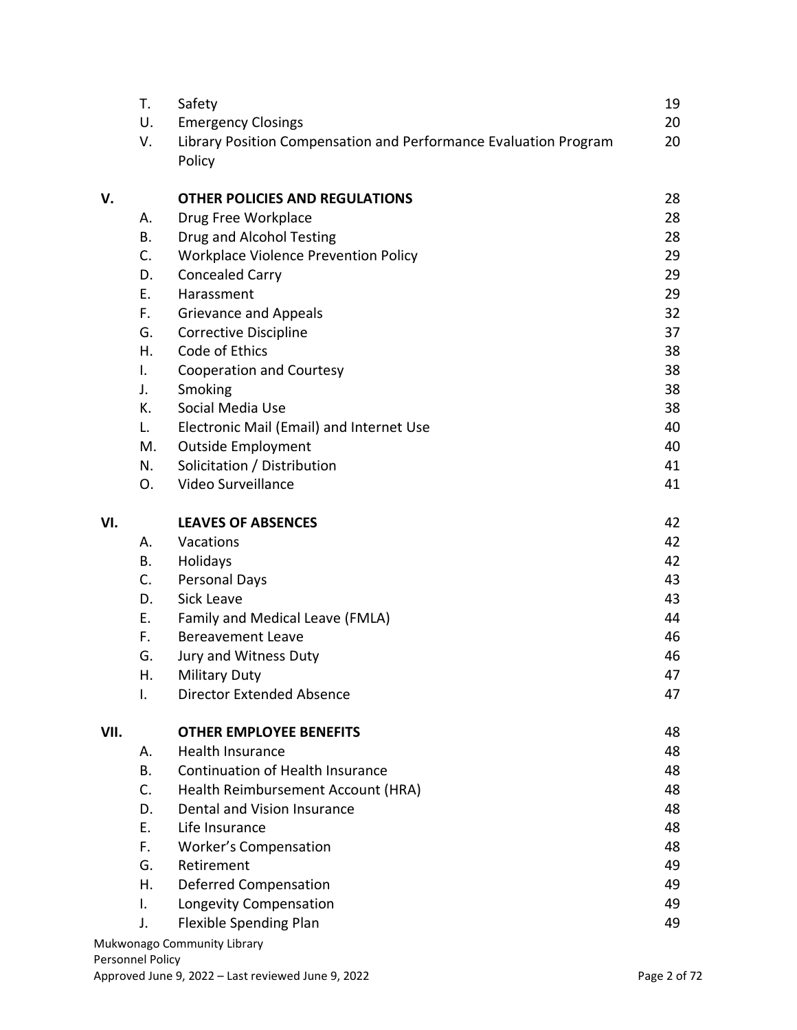|      | T. | Safety                                                           | 19 |
|------|----|------------------------------------------------------------------|----|
|      | U. | <b>Emergency Closings</b>                                        | 20 |
|      | V. | Library Position Compensation and Performance Evaluation Program | 20 |
|      |    | Policy                                                           |    |
| V.   |    | <b>OTHER POLICIES AND REGULATIONS</b>                            | 28 |
|      | Α. | Drug Free Workplace                                              | 28 |
|      | В. | Drug and Alcohol Testing                                         | 28 |
|      | C. | <b>Workplace Violence Prevention Policy</b>                      | 29 |
|      | D. | <b>Concealed Carry</b>                                           | 29 |
|      | Ε. | Harassment                                                       | 29 |
|      | F. | <b>Grievance and Appeals</b>                                     | 32 |
|      | G. | <b>Corrective Discipline</b>                                     | 37 |
|      | Η. | Code of Ethics                                                   | 38 |
|      | Ι. | <b>Cooperation and Courtesy</b>                                  | 38 |
|      | J. | Smoking                                                          | 38 |
|      | К. | Social Media Use                                                 | 38 |
|      | L. | Electronic Mail (Email) and Internet Use                         | 40 |
|      | M. | <b>Outside Employment</b>                                        | 40 |
|      | N. | Solicitation / Distribution                                      | 41 |
|      | О. | Video Surveillance                                               | 41 |
| VI.  |    | <b>LEAVES OF ABSENCES</b>                                        | 42 |
|      | Α. | Vacations                                                        | 42 |
|      | В. | Holidays                                                         | 42 |
|      | C. | Personal Days                                                    | 43 |
|      | D. | <b>Sick Leave</b>                                                | 43 |
|      | Ε. | Family and Medical Leave (FMLA)                                  | 44 |
|      | F. | <b>Bereavement Leave</b>                                         | 46 |
|      | G. | Jury and Witness Duty                                            | 46 |
|      | Η. | Military Duty                                                    | 47 |
|      | Ι. | Director Extended Absence                                        | 47 |
| VII. |    | <b>OTHER EMPLOYEE BENEFITS</b>                                   | 48 |
|      | А. | <b>Health Insurance</b>                                          | 48 |
|      | В. | <b>Continuation of Health Insurance</b>                          | 48 |
|      | C. | Health Reimbursement Account (HRA)                               | 48 |
|      | D. | Dental and Vision Insurance                                      | 48 |
|      | Ε. | Life Insurance                                                   | 48 |
|      | F. | <b>Worker's Compensation</b>                                     | 48 |
|      | G. | Retirement                                                       | 49 |
|      | Η. | <b>Deferred Compensation</b>                                     | 49 |
|      | I. | Longevity Compensation                                           | 49 |
|      | J. | Flexible Spending Plan                                           | 49 |
|      |    | Mukwonago Community Library                                      |    |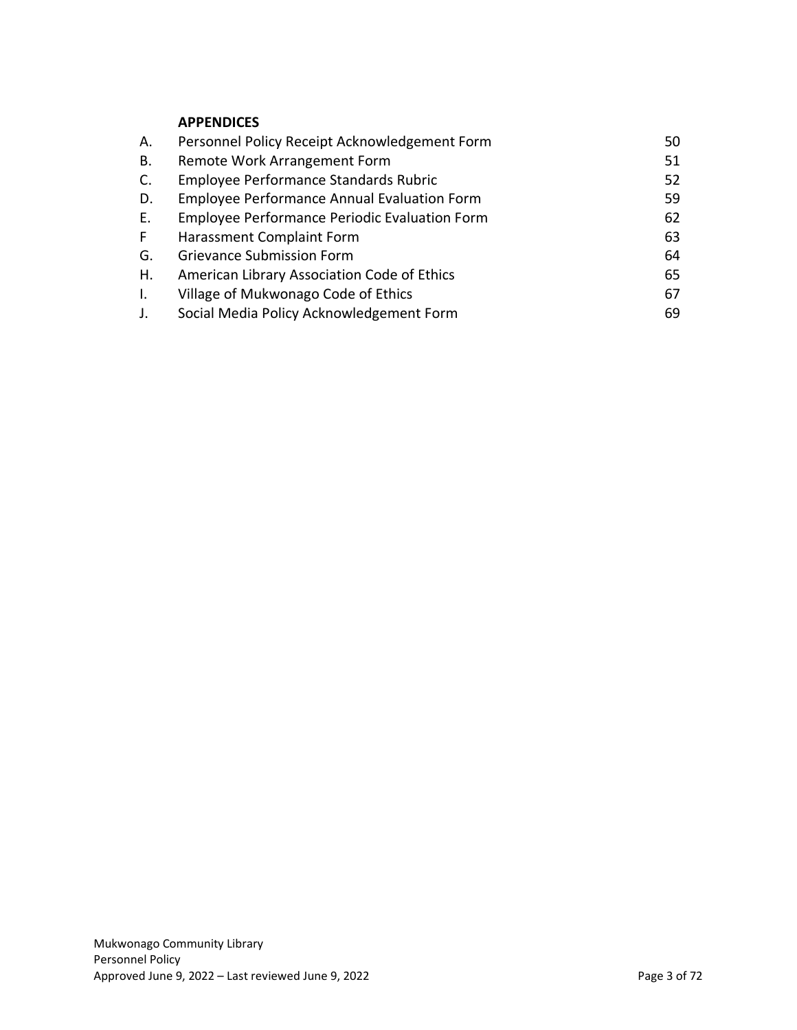## **APPENDICES**

| А. | Personnel Policy Receipt Acknowledgement Form      | 50 |
|----|----------------------------------------------------|----|
| В. | Remote Work Arrangement Form                       | 51 |
| C. | Employee Performance Standards Rubric              | 52 |
| D. | <b>Employee Performance Annual Evaluation Form</b> | 59 |
| Е. | Employee Performance Periodic Evaluation Form      | 62 |
| F. | Harassment Complaint Form                          | 63 |
| G. | <b>Grievance Submission Form</b>                   | 64 |
| Η. | American Library Association Code of Ethics        | 65 |
| I. | Village of Mukwonago Code of Ethics                | 67 |
| J. | Social Media Policy Acknowledgement Form           | 69 |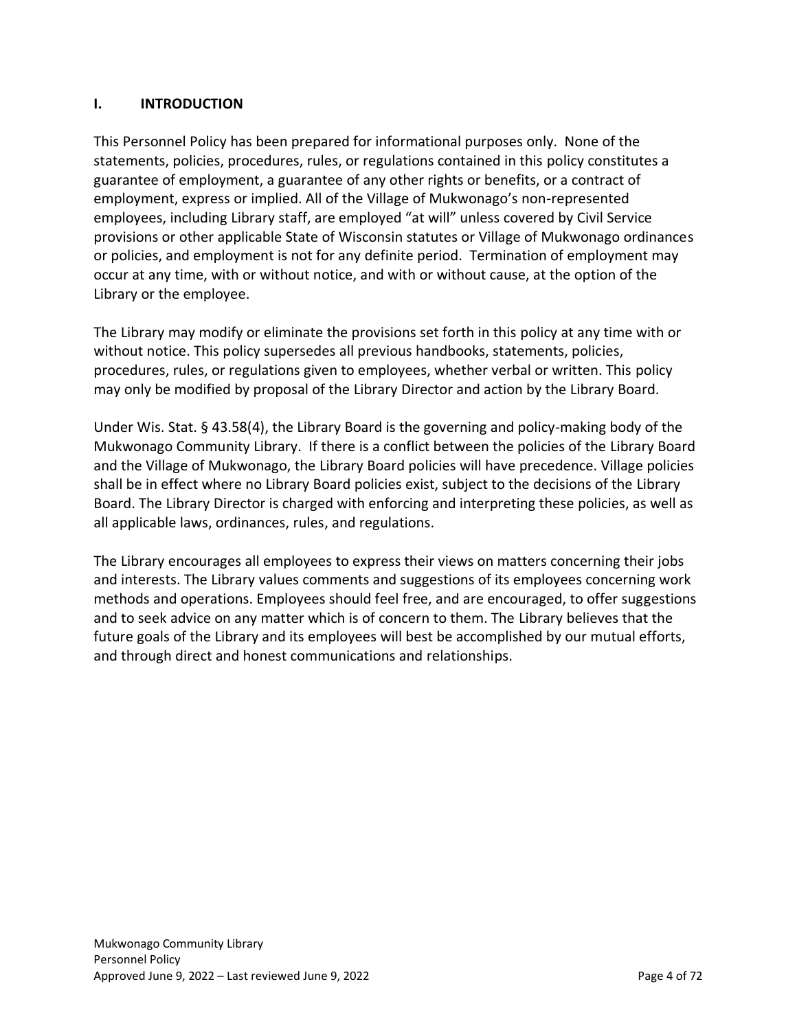# <span id="page-3-0"></span>**I. INTRODUCTION**

This Personnel Policy has been prepared for informational purposes only. None of the statements, policies, procedures, rules, or regulations contained in this policy constitutes a guarantee of employment, a guarantee of any other rights or benefits, or a contract of employment, express or implied. All of the Village of Mukwonago's non-represented employees, including Library staff, are employed "at will" unless covered by Civil Service provisions or other applicable State of Wisconsin statutes or Village of Mukwonago ordinances or policies, and employment is not for any definite period. Termination of employment may occur at any time, with or without notice, and with or without cause, at the option of the Library or the employee.

The Library may modify or eliminate the provisions set forth in this policy at any time with or without notice. This policy supersedes all previous handbooks, statements, policies, procedures, rules, or regulations given to employees, whether verbal or written. This policy may only be modified by proposal of the Library Director and action by the Library Board.

Under Wis. Stat. § 43.58(4), the Library Board is the governing and policy-making body of the Mukwonago Community Library. If there is a conflict between the policies of the Library Board and the Village of Mukwonago, the Library Board policies will have precedence. Village policies shall be in effect where no Library Board policies exist, subject to the decisions of the Library Board. The Library Director is charged with enforcing and interpreting these policies, as well as all applicable laws, ordinances, rules, and regulations.

The Library encourages all employees to express their views on matters concerning their jobs and interests. The Library values comments and suggestions of its employees concerning work methods and operations. Employees should feel free, and are encouraged, to offer suggestions and to seek advice on any matter which is of concern to them. The Library believes that the future goals of the Library and its employees will best be accomplished by our mutual efforts, and through direct and honest communications and relationships.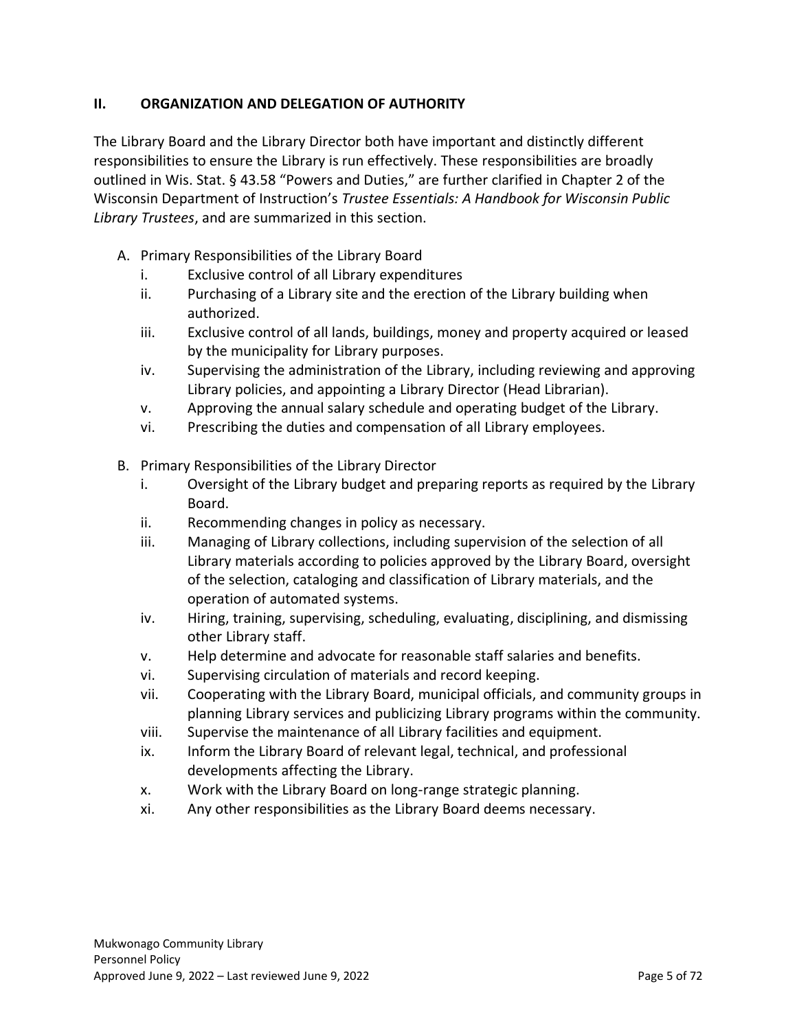# <span id="page-4-0"></span>**II. ORGANIZATION AND DELEGATION OF AUTHORITY**

The Library Board and the Library Director both have important and distinctly different responsibilities to ensure the Library is run effectively. These responsibilities are broadly outlined in Wis. Stat. § 43.58 "Powers and Duties," are further clarified in Chapter 2 of the Wisconsin Department of Instruction's *Trustee Essentials: A Handbook for Wisconsin Public Library Trustees*, and are summarized in this section.

- <span id="page-4-1"></span>A. Primary Responsibilities of the Library Board
	- i. Exclusive control of all Library expenditures
	- ii. Purchasing of a Library site and the erection of the Library building when authorized.
	- iii. Exclusive control of all lands, buildings, money and property acquired or leased by the municipality for Library purposes.
	- iv. Supervising the administration of the Library, including reviewing and approving Library policies, and appointing a Library Director (Head Librarian).
	- v. Approving the annual salary schedule and operating budget of the Library.
	- vi. Prescribing the duties and compensation of all Library employees.
- <span id="page-4-2"></span>B. Primary Responsibilities of the Library Director
	- i. Oversight of the Library budget and preparing reports as required by the Library Board.
	- ii. Recommending changes in policy as necessary.
	- iii. Managing of Library collections, including supervision of the selection of all Library materials according to policies approved by the Library Board, oversight of the selection, cataloging and classification of Library materials, and the operation of automated systems.
	- iv. Hiring, training, supervising, scheduling, evaluating, disciplining, and dismissing other Library staff.
	- v. Help determine and advocate for reasonable staff salaries and benefits.
	- vi. Supervising circulation of materials and record keeping.
	- vii. Cooperating with the Library Board, municipal officials, and community groups in planning Library services and publicizing Library programs within the community.
	- viii. Supervise the maintenance of all Library facilities and equipment.
	- ix. Inform the Library Board of relevant legal, technical, and professional developments affecting the Library.
	- x. Work with the Library Board on long-range strategic planning.
	- xi. Any other responsibilities as the Library Board deems necessary.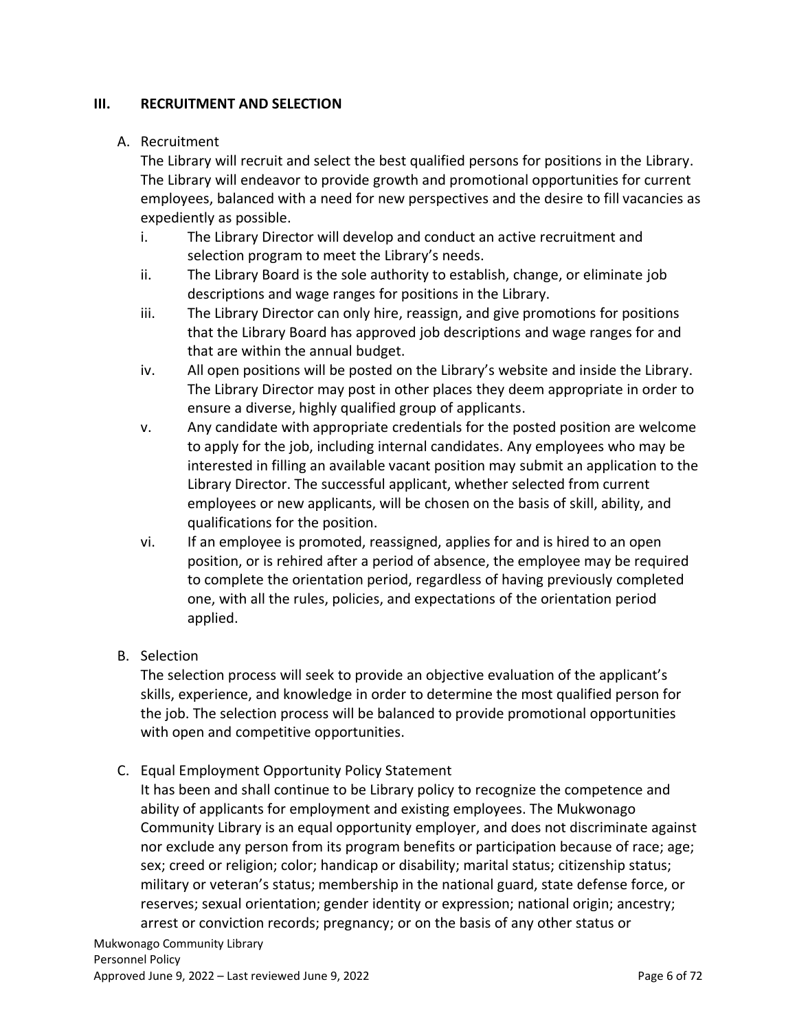# <span id="page-5-0"></span>**III. RECRUITMENT AND SELECTION**

# <span id="page-5-1"></span>A. Recruitment

The Library will recruit and select the best qualified persons for positions in the Library. The Library will endeavor to provide growth and promotional opportunities for current employees, balanced with a need for new perspectives and the desire to fill vacancies as expediently as possible.

- i. The Library Director will develop and conduct an active recruitment and selection program to meet the Library's needs.
- ii. The Library Board is the sole authority to establish, change, or eliminate job descriptions and wage ranges for positions in the Library.
- iii. The Library Director can only hire, reassign, and give promotions for positions that the Library Board has approved job descriptions and wage ranges for and that are within the annual budget.
- iv. All open positions will be posted on the Library's website and inside the Library. The Library Director may post in other places they deem appropriate in order to ensure a diverse, highly qualified group of applicants.
- v. Any candidate with appropriate credentials for the posted position are welcome to apply for the job, including internal candidates. Any employees who may be interested in filling an available vacant position may submit an application to the Library Director. The successful applicant, whether selected from current employees or new applicants, will be chosen on the basis of skill, ability, and qualifications for the position.
- vi. If an employee is promoted, reassigned, applies for and is hired to an open position, or is rehired after a period of absence, the employee may be required to complete the orientation period, regardless of having previously completed one, with all the rules, policies, and expectations of the orientation period applied.
- <span id="page-5-2"></span>B. Selection

The selection process will seek to provide an objective evaluation of the applicant's skills, experience, and knowledge in order to determine the most qualified person for the job. The selection process will be balanced to provide promotional opportunities with open and competitive opportunities.

<span id="page-5-3"></span>C. Equal Employment Opportunity Policy Statement

It has been and shall continue to be Library policy to recognize the competence and ability of applicants for employment and existing employees. The Mukwonago Community Library is an equal opportunity employer, and does not discriminate against nor exclude any person from its program benefits or participation because of race; age; sex; creed or religion; color; handicap or disability; marital status; citizenship status; military or veteran's status; membership in the national guard, state defense force, or reserves; sexual orientation; gender identity or expression; national origin; ancestry; arrest or conviction records; pregnancy; or on the basis of any other status or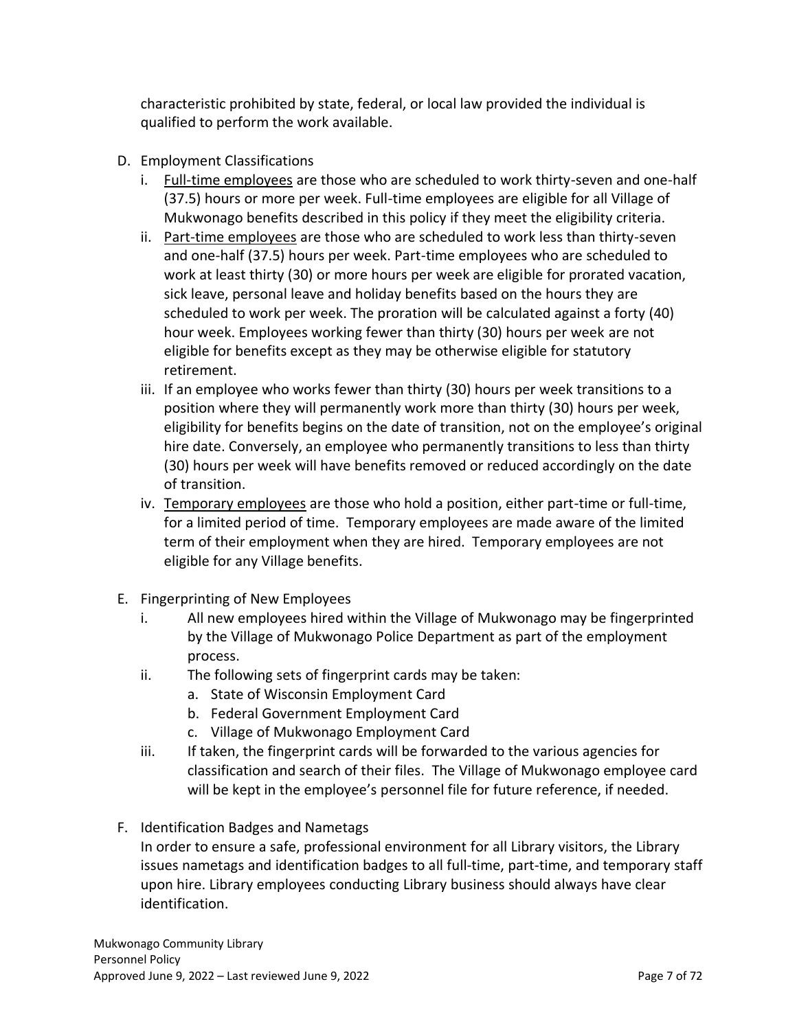characteristic prohibited by state, federal, or local law provided the individual is qualified to perform the work available.

- <span id="page-6-0"></span>D. Employment Classifications
	- i. Full-time employees are those who are scheduled to work thirty-seven and one-half (37.5) hours or more per week. Full-time employees are eligible for all Village of Mukwonago benefits described in this policy if they meet the eligibility criteria.
	- ii. Part-time employees are those who are scheduled to work less than thirty-seven and one-half (37.5) hours per week. Part-time employees who are scheduled to work at least thirty (30) or more hours per week are eligible for prorated vacation, sick leave, personal leave and holiday benefits based on the hours they are scheduled to work per week. The proration will be calculated against a forty (40) hour week. Employees working fewer than thirty (30) hours per week are not eligible for benefits except as they may be otherwise eligible for statutory retirement.
	- iii. If an employee who works fewer than thirty (30) hours per week transitions to a position where they will permanently work more than thirty (30) hours per week, eligibility for benefits begins on the date of transition, not on the employee's original hire date. Conversely, an employee who permanently transitions to less than thirty (30) hours per week will have benefits removed or reduced accordingly on the date of transition.
	- iv. Temporary employees are those who hold a position, either part-time or full-time, for a limited period of time. Temporary employees are made aware of the limited term of their employment when they are hired. Temporary employees are not eligible for any Village benefits.
- <span id="page-6-1"></span>E. Fingerprinting of New Employees
	- i. All new employees hired within the Village of Mukwonago may be fingerprinted by the Village of Mukwonago Police Department as part of the employment process.
	- ii. The following sets of fingerprint cards may be taken:
		- a. State of Wisconsin Employment Card
		- b. Federal Government Employment Card
		- c. Village of Mukwonago Employment Card
	- iii. If taken, the fingerprint cards will be forwarded to the various agencies for classification and search of their files. The Village of Mukwonago employee card will be kept in the employee's personnel file for future reference, if needed.
- <span id="page-6-2"></span>F. Identification Badges and Nametags
	- In order to ensure a safe, professional environment for all Library visitors, the Library issues nametags and identification badges to all full-time, part-time, and temporary staff upon hire. Library employees conducting Library business should always have clear identification.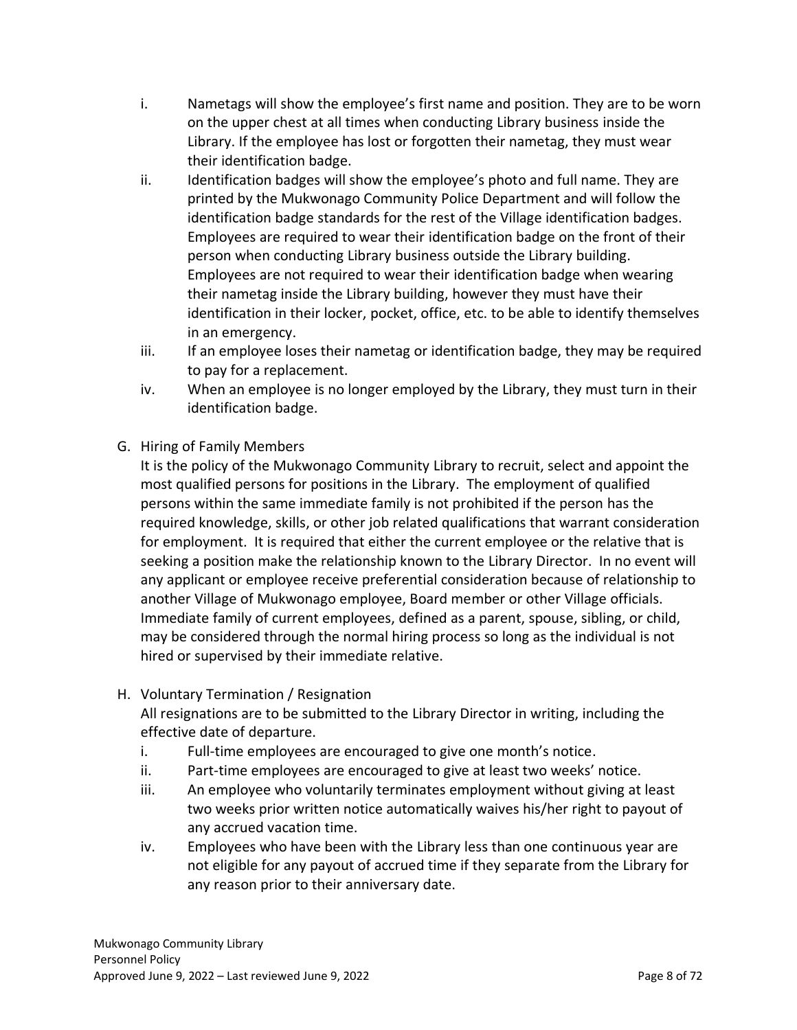- i. Nametags will show the employee's first name and position. They are to be worn on the upper chest at all times when conducting Library business inside the Library. If the employee has lost or forgotten their nametag, they must wear their identification badge.
- ii. Identification badges will show the employee's photo and full name. They are printed by the Mukwonago Community Police Department and will follow the identification badge standards for the rest of the Village identification badges. Employees are required to wear their identification badge on the front of their person when conducting Library business outside the Library building. Employees are not required to wear their identification badge when wearing their nametag inside the Library building, however they must have their identification in their locker, pocket, office, etc. to be able to identify themselves in an emergency.
- iii. If an employee loses their nametag or identification badge, they may be required to pay for a replacement.
- iv. When an employee is no longer employed by the Library, they must turn in their identification badge.
- <span id="page-7-0"></span>G. Hiring of Family Members

It is the policy of the Mukwonago Community Library to recruit, select and appoint the most qualified persons for positions in the Library. The employment of qualified persons within the same immediate family is not prohibited if the person has the required knowledge, skills, or other job related qualifications that warrant consideration for employment. It is required that either the current employee or the relative that is seeking a position make the relationship known to the Library Director. In no event will any applicant or employee receive preferential consideration because of relationship to another Village of Mukwonago employee, Board member or other Village officials. Immediate family of current employees, defined as a parent, spouse, sibling, or child, may be considered through the normal hiring process so long as the individual is not hired or supervised by their immediate relative.

<span id="page-7-1"></span>H. Voluntary Termination / Resignation

All resignations are to be submitted to the Library Director in writing, including the effective date of departure.

- i. Full-time employees are encouraged to give one month's notice.
- ii. Part-time employees are encouraged to give at least two weeks' notice.
- iii. An employee who voluntarily terminates employment without giving at least two weeks prior written notice automatically waives his/her right to payout of any accrued vacation time.
- iv. Employees who have been with the Library less than one continuous year are not eligible for any payout of accrued time if they separate from the Library for any reason prior to their anniversary date.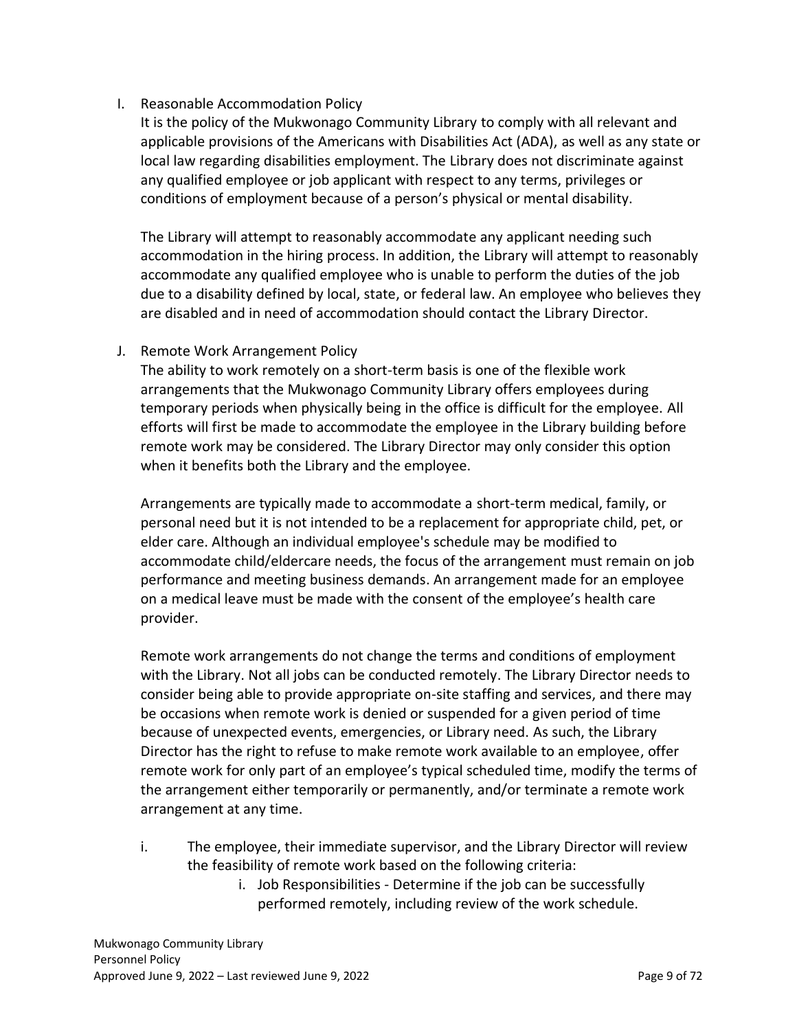# <span id="page-8-0"></span>I. Reasonable Accommodation Policy

It is the policy of the Mukwonago Community Library to comply with all relevant and applicable provisions of the Americans with Disabilities Act (ADA), as well as any state or local law regarding disabilities employment. The Library does not discriminate against any qualified employee or job applicant with respect to any terms, privileges or conditions of employment because of a person's physical or mental disability.

The Library will attempt to reasonably accommodate any applicant needing such accommodation in the hiring process. In addition, the Library will attempt to reasonably accommodate any qualified employee who is unable to perform the duties of the job due to a disability defined by local, state, or federal law. An employee who believes they are disabled and in need of accommodation should contact the Library Director.

# <span id="page-8-1"></span>J. Remote Work Arrangement Policy

The ability to work remotely on a short-term basis is one of the flexible work arrangements that the Mukwonago Community Library offers employees during temporary periods when physically being in the office is difficult for the employee. All efforts will first be made to accommodate the employee in the Library building before remote work may be considered. The Library Director may only consider this option when it benefits both the Library and the employee.

Arrangements are typically made to accommodate a short-term medical, family, or personal need but it is not intended to be a replacement for appropriate child, pet, or elder care. Although an individual employee's schedule may be modified to accommodate child/eldercare needs, the focus of the arrangement must remain on job performance and meeting business demands. An arrangement made for an employee on a medical leave must be made with the consent of the employee's health care provider.

Remote work arrangements do not change the terms and conditions of employment with the Library. Not all jobs can be conducted remotely. The Library Director needs to consider being able to provide appropriate on-site staffing and services, and there may be occasions when remote work is denied or suspended for a given period of time because of unexpected events, emergencies, or Library need. As such, the Library Director has the right to refuse to make remote work available to an employee, offer remote work for only part of an employee's typical scheduled time, modify the terms of the arrangement either temporarily or permanently, and/or terminate a remote work arrangement at any time.

- i. The employee, their immediate supervisor, and the Library Director will review the feasibility of remote work based on the following criteria:
	- i. Job Responsibilities Determine if the job can be successfully performed remotely, including review of the work schedule.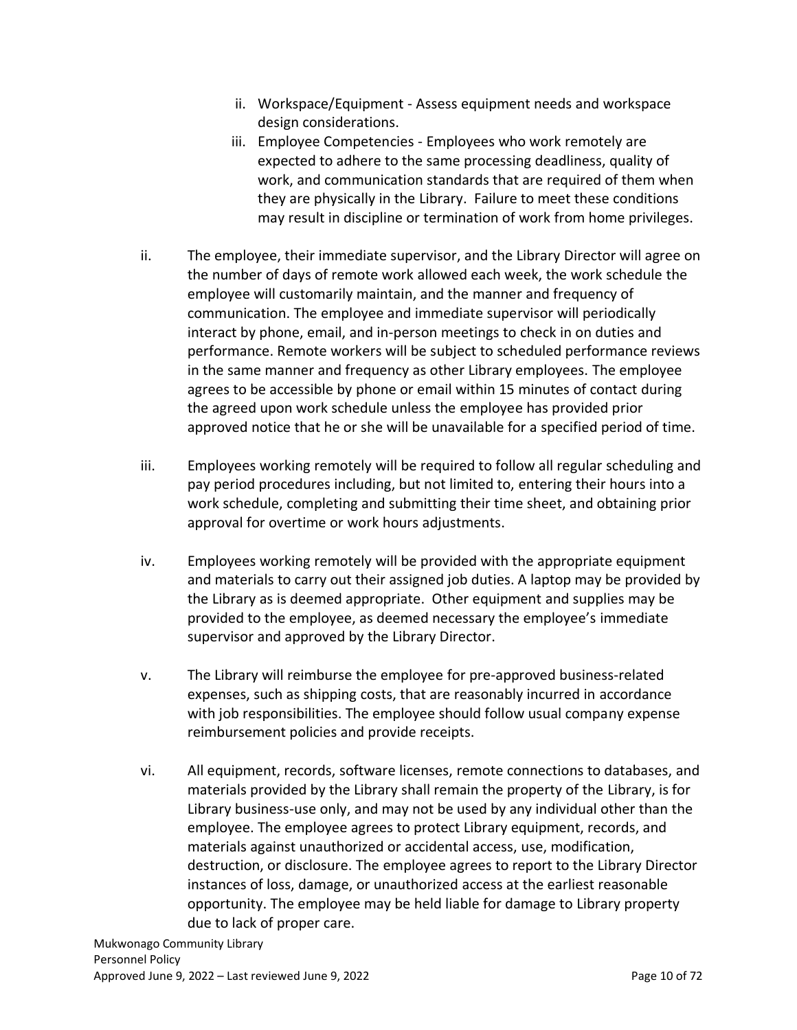- ii. Workspace/Equipment Assess equipment needs and workspace design considerations.
- iii. Employee Competencies Employees who work remotely are expected to adhere to the same processing deadliness, quality of work, and communication standards that are required of them when they are physically in the Library. Failure to meet these conditions may result in discipline or termination of work from home privileges.
- ii. The employee, their immediate supervisor, and the Library Director will agree on the number of days of remote work allowed each week, the work schedule the employee will customarily maintain, and the manner and frequency of communication. The employee and immediate supervisor will periodically interact by phone, email, and in-person meetings to check in on duties and performance. Remote workers will be subject to scheduled performance reviews in the same manner and frequency as other Library employees. The employee agrees to be accessible by phone or email within 15 minutes of contact during the agreed upon work schedule unless the employee has provided prior approved notice that he or she will be unavailable for a specified period of time.
- iii. Employees working remotely will be required to follow all regular scheduling and pay period procedures including, but not limited to, entering their hours into a work schedule, completing and submitting their time sheet, and obtaining prior approval for overtime or work hours adjustments.
- iv. Employees working remotely will be provided with the appropriate equipment and materials to carry out their assigned job duties. A laptop may be provided by the Library as is deemed appropriate. Other equipment and supplies may be provided to the employee, as deemed necessary the employee's immediate supervisor and approved by the Library Director.
- v. The Library will reimburse the employee for pre-approved business-related expenses, such as shipping costs, that are reasonably incurred in accordance with job responsibilities. The employee should follow usual company expense reimbursement policies and provide receipts.
- vi. All equipment, records, software licenses, remote connections to databases, and materials provided by the Library shall remain the property of the Library, is for Library business-use only, and may not be used by any individual other than the employee. The employee agrees to protect Library equipment, records, and materials against unauthorized or accidental access, use, modification, destruction, or disclosure. The employee agrees to report to the Library Director instances of loss, damage, or unauthorized access at the earliest reasonable opportunity. The employee may be held liable for damage to Library property due to lack of proper care.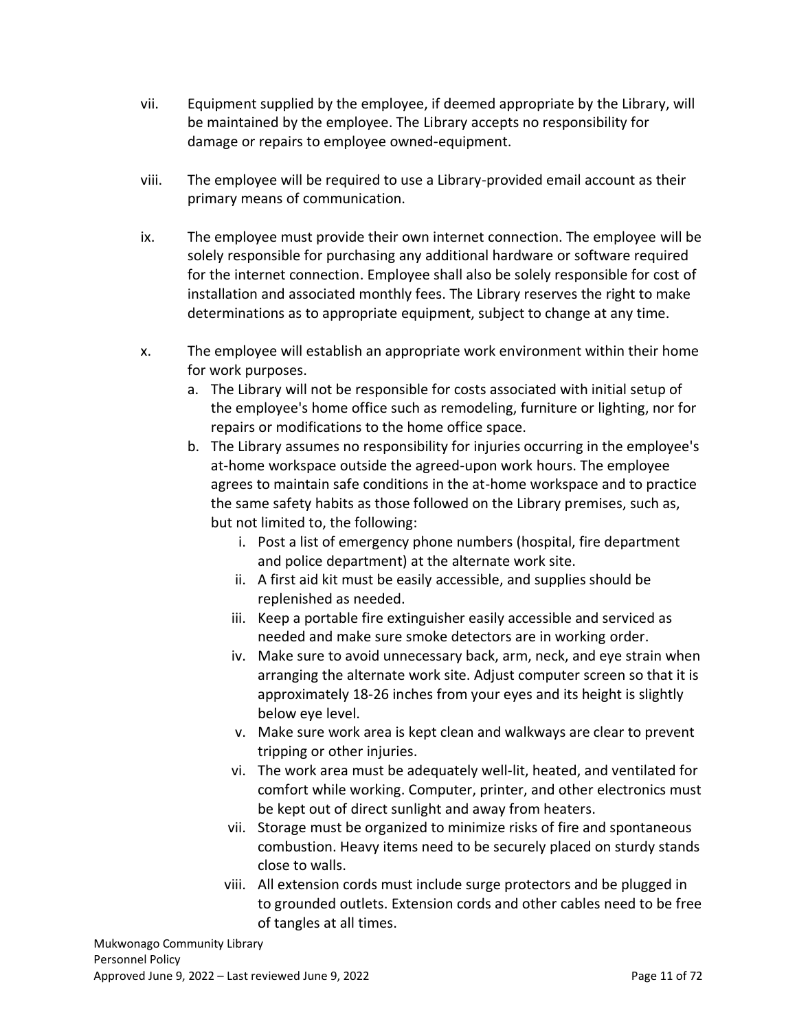- vii. Equipment supplied by the employee, if deemed appropriate by the Library, will be maintained by the employee. The Library accepts no responsibility for damage or repairs to employee owned-equipment.
- viii. The employee will be required to use a Library-provided email account as their primary means of communication.
- ix. The employee must provide their own internet connection. The employee will be solely responsible for purchasing any additional hardware or software required for the internet connection. Employee shall also be solely responsible for cost of installation and associated monthly fees. The Library reserves the right to make determinations as to appropriate equipment, subject to change at any time.
- x. The employee will establish an appropriate work environment within their home for work purposes.
	- a. The Library will not be responsible for costs associated with initial setup of the employee's home office such as remodeling, furniture or lighting, nor for repairs or modifications to the home office space.
	- b. The Library assumes no responsibility for injuries occurring in the employee's at-home workspace outside the agreed-upon work hours. The employee agrees to maintain safe conditions in the at-home workspace and to practice the same safety habits as those followed on the Library premises, such as, but not limited to, the following:
		- i. Post a list of emergency phone numbers (hospital, fire department and police department) at the alternate work site.
		- ii. A first aid kit must be easily accessible, and supplies should be replenished as needed.
		- iii. Keep a portable fire extinguisher easily accessible and serviced as needed and make sure smoke detectors are in working order.
		- iv. Make sure to avoid unnecessary back, arm, neck, and eye strain when arranging the alternate work site. Adjust computer screen so that it is approximately 18-26 inches from your eyes and its height is slightly below eye level.
		- v. Make sure work area is kept clean and walkways are clear to prevent tripping or other injuries.
		- vi. The work area must be adequately well-lit, heated, and ventilated for comfort while working. Computer, printer, and other electronics must be kept out of direct sunlight and away from heaters.
		- vii. Storage must be organized to minimize risks of fire and spontaneous combustion. Heavy items need to be securely placed on sturdy stands close to walls.
		- viii. All extension cords must include surge protectors and be plugged in to grounded outlets. Extension cords and other cables need to be free of tangles at all times.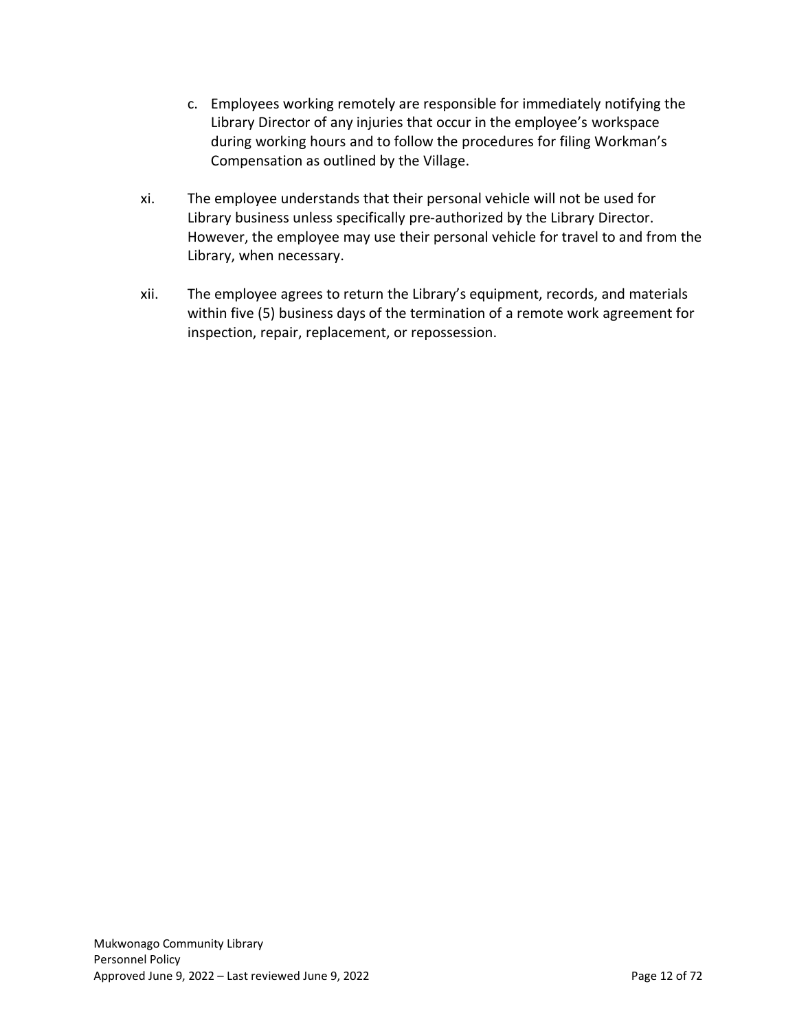- c. Employees working remotely are responsible for immediately notifying the Library Director of any injuries that occur in the employee's workspace during working hours and to follow the procedures for filing Workman's Compensation as outlined by the Village.
- xi. The employee understands that their personal vehicle will not be used for Library business unless specifically pre-authorized by the Library Director. However, the employee may use their personal vehicle for travel to and from the Library, when necessary.
- xii. The employee agrees to return the Library's equipment, records, and materials within five (5) business days of the termination of a remote work agreement for inspection, repair, replacement, or repossession.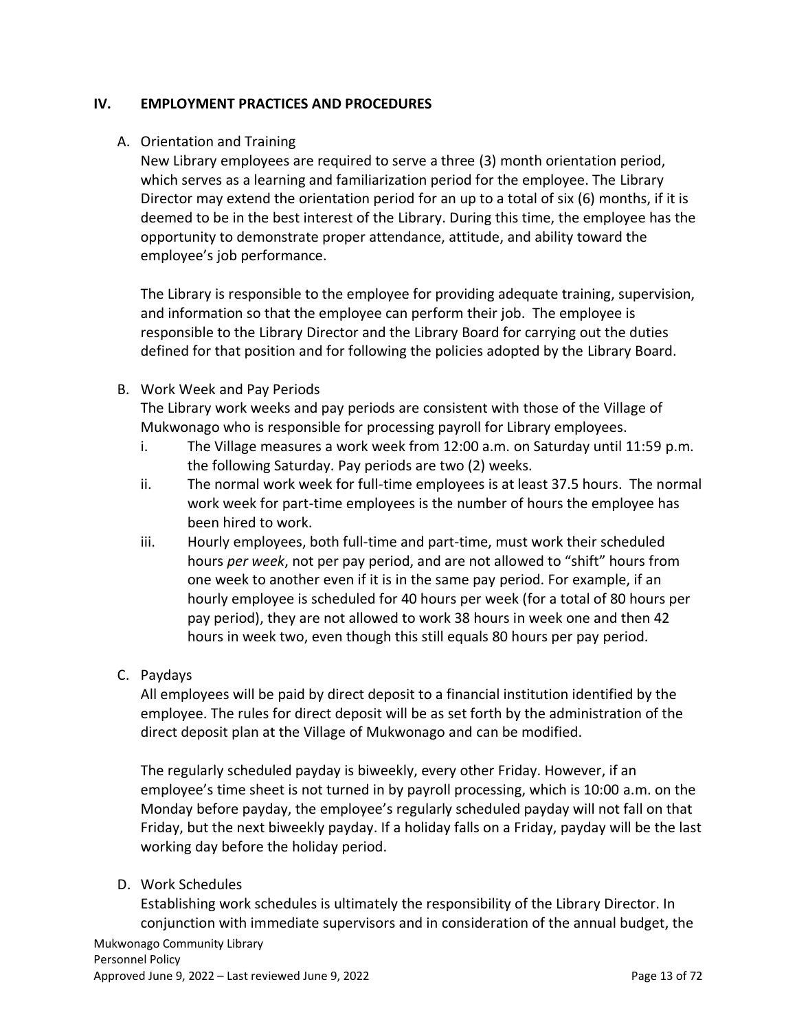#### <span id="page-12-0"></span>**IV. EMPLOYMENT PRACTICES AND PROCEDURES**

#### <span id="page-12-1"></span>A. Orientation and Training

New Library employees are required to serve a three (3) month orientation period, which serves as a learning and familiarization period for the employee. The Library Director may extend the orientation period for an up to a total of six (6) months, if it is deemed to be in the best interest of the Library. During this time, the employee has the opportunity to demonstrate proper attendance, attitude, and ability toward the employee's job performance.

The Library is responsible to the employee for providing adequate training, supervision, and information so that the employee can perform their job. The employee is responsible to the Library Director and the Library Board for carrying out the duties defined for that position and for following the policies adopted by the Library Board.

# <span id="page-12-2"></span>B. Work Week and Pay Periods

The Library work weeks and pay periods are consistent with those of the Village of Mukwonago who is responsible for processing payroll for Library employees.

- i. The Village measures a work week from 12:00 a.m. on Saturday until 11:59 p.m. the following Saturday. Pay periods are two (2) weeks.
- ii. The normal work week for full-time employees is at least 37.5 hours. The normal work week for part-time employees is the number of hours the employee has been hired to work.
- iii. Hourly employees, both full-time and part-time, must work their scheduled hours *per week*, not per pay period, and are not allowed to "shift" hours from one week to another even if it is in the same pay period. For example, if an hourly employee is scheduled for 40 hours per week (for a total of 80 hours per pay period), they are not allowed to work 38 hours in week one and then 42 hours in week two, even though this still equals 80 hours per pay period.

# <span id="page-12-3"></span>C. Paydays

All employees will be paid by direct deposit to a financial institution identified by the employee. The rules for direct deposit will be as set forth by the administration of the direct deposit plan at the Village of Mukwonago and can be modified.

The regularly scheduled payday is biweekly, every other Friday. However, if an employee's time sheet is not turned in by payroll processing, which is 10:00 a.m. on the Monday before payday, the employee's regularly scheduled payday will not fall on that Friday, but the next biweekly payday. If a holiday falls on a Friday, payday will be the last working day before the holiday period.

#### <span id="page-12-4"></span>D. Work Schedules

Establishing work schedules is ultimately the responsibility of the Library Director. In conjunction with immediate supervisors and in consideration of the annual budget, the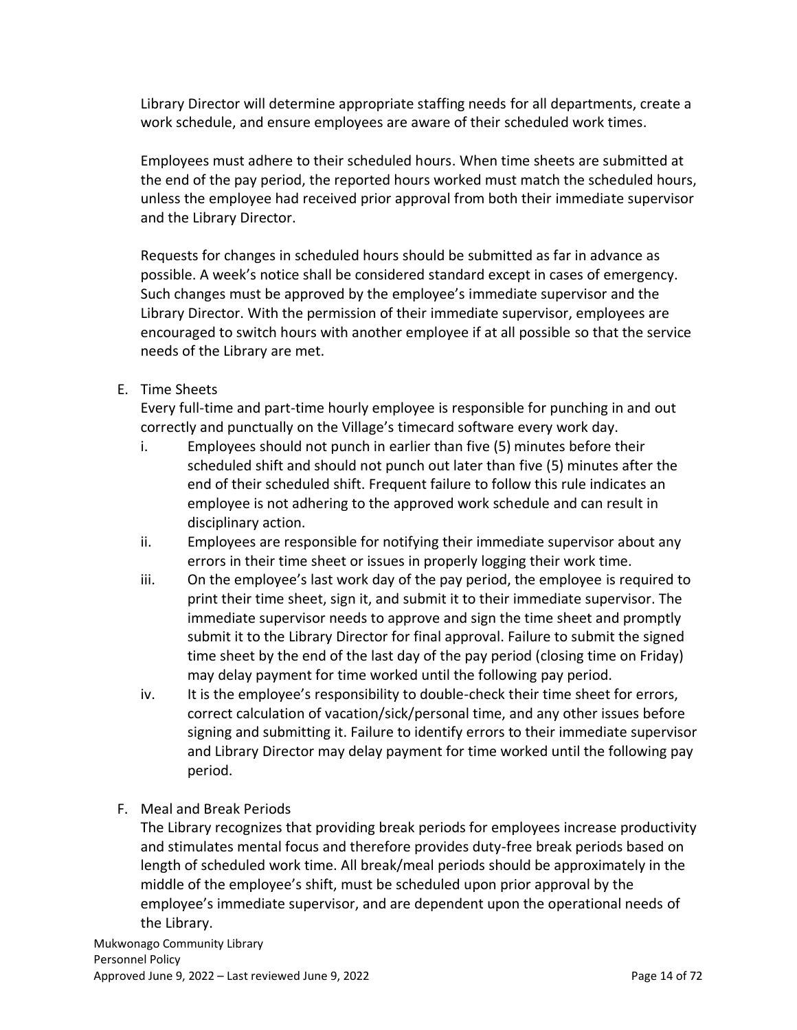Library Director will determine appropriate staffing needs for all departments, create a work schedule, and ensure employees are aware of their scheduled work times.

Employees must adhere to their scheduled hours. When time sheets are submitted at the end of the pay period, the reported hours worked must match the scheduled hours, unless the employee had received prior approval from both their immediate supervisor and the Library Director.

Requests for changes in scheduled hours should be submitted as far in advance as possible. A week's notice shall be considered standard except in cases of emergency. Such changes must be approved by the employee's immediate supervisor and the Library Director. With the permission of their immediate supervisor, employees are encouraged to switch hours with another employee if at all possible so that the service needs of the Library are met.

# <span id="page-13-0"></span>E. Time Sheets

Every full-time and part-time hourly employee is responsible for punching in and out correctly and punctually on the Village's timecard software every work day.

- i. Employees should not punch in earlier than five (5) minutes before their scheduled shift and should not punch out later than five (5) minutes after the end of their scheduled shift. Frequent failure to follow this rule indicates an employee is not adhering to the approved work schedule and can result in disciplinary action.
- ii. Employees are responsible for notifying their immediate supervisor about any errors in their time sheet or issues in properly logging their work time.
- iii. On the employee's last work day of the pay period, the employee is required to print their time sheet, sign it, and submit it to their immediate supervisor. The immediate supervisor needs to approve and sign the time sheet and promptly submit it to the Library Director for final approval. Failure to submit the signed time sheet by the end of the last day of the pay period (closing time on Friday) may delay payment for time worked until the following pay period.
- iv. It is the employee's responsibility to double-check their time sheet for errors, correct calculation of vacation/sick/personal time, and any other issues before signing and submitting it. Failure to identify errors to their immediate supervisor and Library Director may delay payment for time worked until the following pay period.
- <span id="page-13-1"></span>F. Meal and Break Periods

The Library recognizes that providing break periods for employees increase productivity and stimulates mental focus and therefore provides duty-free break periods based on length of scheduled work time. All break/meal periods should be approximately in the middle of the employee's shift, must be scheduled upon prior approval by the employee's immediate supervisor, and are dependent upon the operational needs of the Library.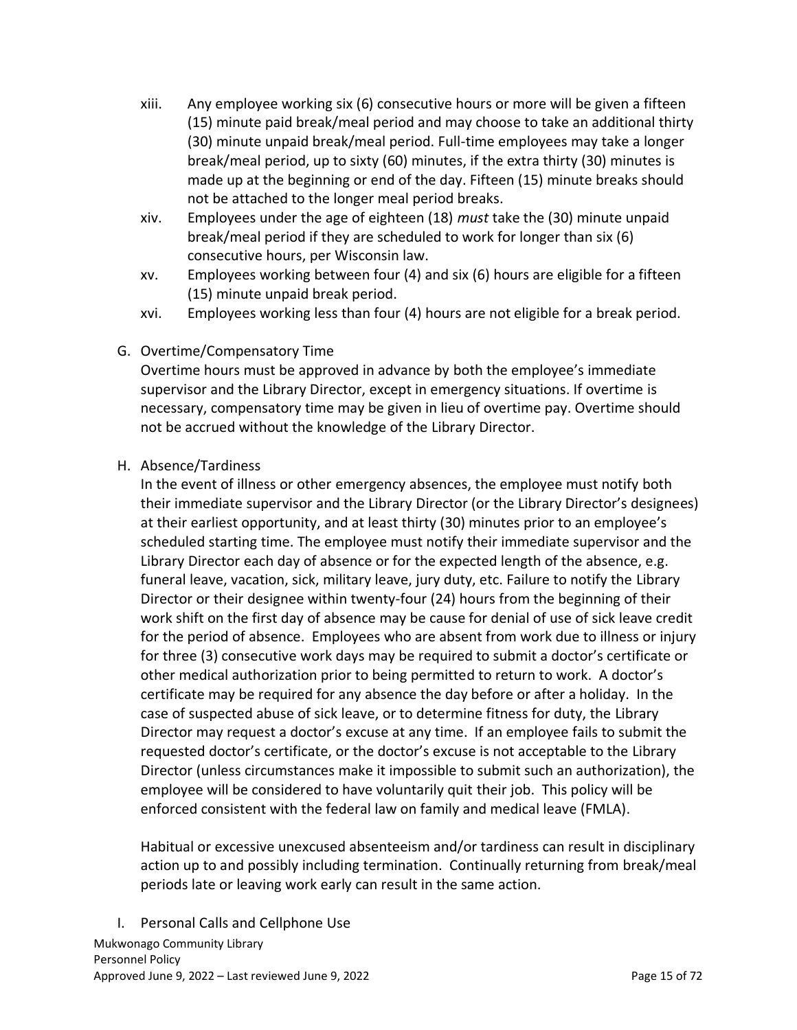- xiii. Any employee working six (6) consecutive hours or more will be given a fifteen (15) minute paid break/meal period and may choose to take an additional thirty (30) minute unpaid break/meal period. Full-time employees may take a longer break/meal period, up to sixty (60) minutes, if the extra thirty (30) minutes is made up at the beginning or end of the day. Fifteen (15) minute breaks should not be attached to the longer meal period breaks.
- xiv. Employees under the age of eighteen (18) *must* take the (30) minute unpaid break/meal period if they are scheduled to work for longer than six (6) consecutive hours, per Wisconsin law.
- xv. Employees working between four (4) and six (6) hours are eligible for a fifteen (15) minute unpaid break period.
- xvi. Employees working less than four (4) hours are not eligible for a break period.
- <span id="page-14-0"></span>G. Overtime/Compensatory Time

Overtime hours must be approved in advance by both the employee's immediate supervisor and the Library Director, except in emergency situations. If overtime is necessary, compensatory time may be given in lieu of overtime pay. Overtime should not be accrued without the knowledge of the Library Director.

<span id="page-14-1"></span>H. Absence/Tardiness

In the event of illness or other emergency absences, the employee must notify both their immediate supervisor and the Library Director (or the Library Director's designees) at their earliest opportunity, and at least thirty (30) minutes prior to an employee's scheduled starting time. The employee must notify their immediate supervisor and the Library Director each day of absence or for the expected length of the absence, e.g. funeral leave, vacation, sick, military leave, jury duty, etc. Failure to notify the Library Director or their designee within twenty-four (24) hours from the beginning of their work shift on the first day of absence may be cause for denial of use of sick leave credit for the period of absence. Employees who are absent from work due to illness or injury for three (3) consecutive work days may be required to submit a doctor's certificate or other medical authorization prior to being permitted to return to work. A doctor's certificate may be required for any absence the day before or after a holiday. In the case of suspected abuse of sick leave, or to determine fitness for duty, the Library Director may request a doctor's excuse at any time. If an employee fails to submit the requested doctor's certificate, or the doctor's excuse is not acceptable to the Library Director (unless circumstances make it impossible to submit such an authorization), the employee will be considered to have voluntarily quit their job. This policy will be enforced consistent with the federal law on family and medical leave (FMLA).

Habitual or excessive unexcused absenteeism and/or tardiness can result in disciplinary action up to and possibly including termination. Continually returning from break/meal periods late or leaving work early can result in the same action.

<span id="page-14-2"></span>I. Personal Calls and Cellphone Use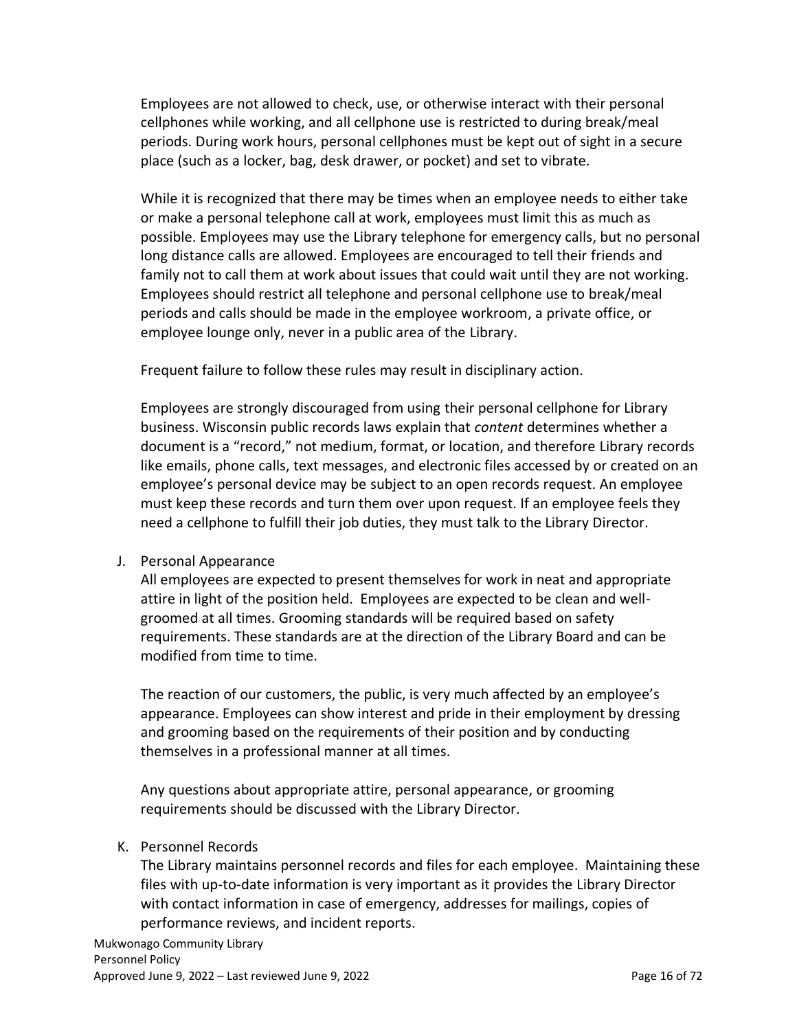Employees are not allowed to check, use, or otherwise interact with their personal cellphones while working, and all cellphone use is restricted to during break/meal periods. During work hours, personal cellphones must be kept out of sight in a secure place (such as a locker, bag, desk drawer, or pocket) and set to vibrate.

While it is recognized that there may be times when an employee needs to either take or make a personal telephone call at work, employees must limit this as much as possible. Employees may use the Library telephone for emergency calls, but no personal long distance calls are allowed. Employees are encouraged to tell their friends and family not to call them at work about issues that could wait until they are not working. Employees should restrict all telephone and personal cellphone use to break/meal periods and calls should be made in the employee workroom, a private office, or employee lounge only, never in a public area of the Library.

Frequent failure to follow these rules may result in disciplinary action.

Employees are strongly discouraged from using their personal cellphone for Library business. Wisconsin public records laws explain that *content* determines whether a document is a "record," not medium, format, or location, and therefore Library records like emails, phone calls, text messages, and electronic files accessed by or created on an employee's personal device may be subject to an open records request. An employee must keep these records and turn them over upon request. If an employee feels they need a cellphone to fulfill their job duties, they must talk to the Library Director.

#### <span id="page-15-0"></span>J. Personal Appearance

All employees are expected to present themselves for work in neat and appropriate attire in light of the position held. Employees are expected to be clean and wellgroomed at all times. Grooming standards will be required based on safety requirements. These standards are at the direction of the Library Board and can be modified from time to time.

The reaction of our customers, the public, is very much affected by an employee's appearance. Employees can show interest and pride in their employment by dressing and grooming based on the requirements of their position and by conducting themselves in a professional manner at all times.

Any questions about appropriate attire, personal appearance, or grooming requirements should be discussed with the Library Director.

#### <span id="page-15-1"></span>K. Personnel Records

The Library maintains personnel records and files for each employee. Maintaining these files with up-to-date information is very important as it provides the Library Director with contact information in case of emergency, addresses for mailings, copies of performance reviews, and incident reports.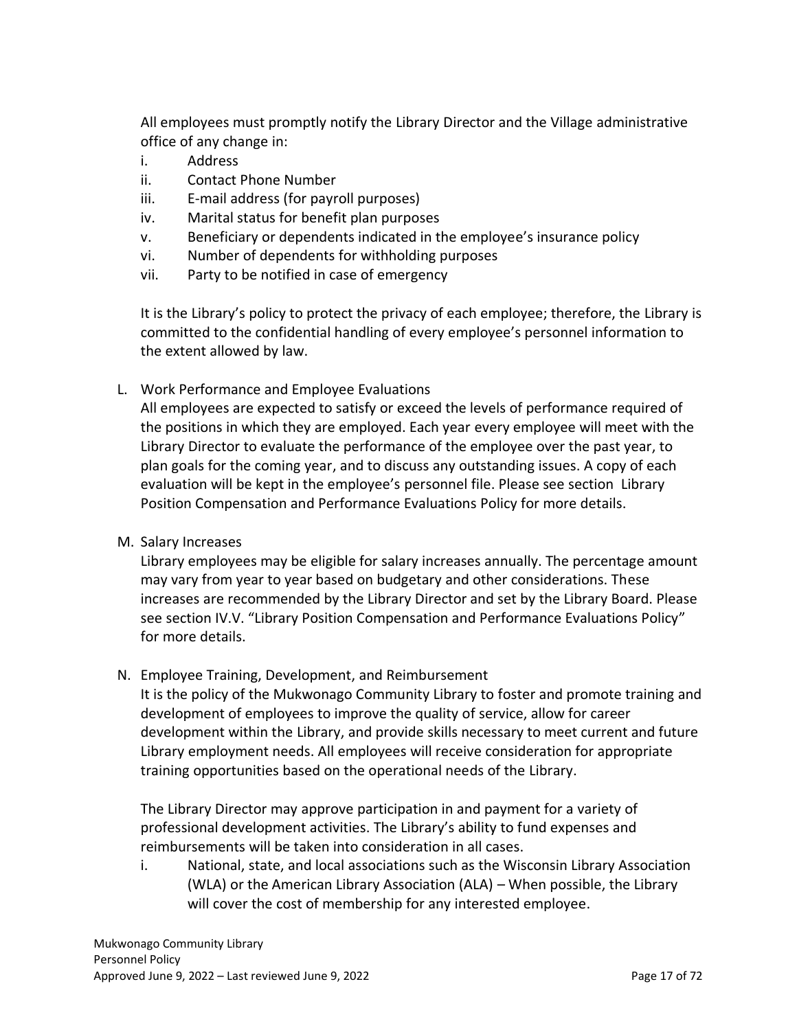All employees must promptly notify the Library Director and the Village administrative office of any change in:

- i. Address
- ii. Contact Phone Number
- iii. E-mail address (for payroll purposes)
- iv. Marital status for benefit plan purposes
- v. Beneficiary or dependents indicated in the employee's insurance policy
- vi. Number of dependents for withholding purposes
- vii. Party to be notified in case of emergency

It is the Library's policy to protect the privacy of each employee; therefore, the Library is committed to the confidential handling of every employee's personnel information to the extent allowed by law.

<span id="page-16-0"></span>L. Work Performance and Employee Evaluations

All employees are expected to satisfy or exceed the levels of performance required of the positions in which they are employed. Each year every employee will meet with the Library Director to evaluate the performance of the employee over the past year, to plan goals for the coming year, and to discuss any outstanding issues. A copy of each evaluation will be kept in the employee's personnel file. Please see section Library Position Compensation and Performance Evaluations Policy for more details.

<span id="page-16-1"></span>M. Salary Increases

Library employees may be eligible for salary increases annually. The percentage amount may vary from year to year based on budgetary and other considerations. These increases are recommended by the Library Director and set by the Library Board. Please see section IV.V. "Library Position Compensation and Performance Evaluations Policy" for more details.

<span id="page-16-2"></span>N. Employee Training, Development, and Reimbursement

It is the policy of the Mukwonago Community Library to foster and promote training and development of employees to improve the quality of service, allow for career development within the Library, and provide skills necessary to meet current and future Library employment needs. All employees will receive consideration for appropriate training opportunities based on the operational needs of the Library.

The Library Director may approve participation in and payment for a variety of professional development activities. The Library's ability to fund expenses and reimbursements will be taken into consideration in all cases.

i. National, state, and local associations such as the Wisconsin Library Association (WLA) or the American Library Association (ALA) – When possible, the Library will cover the cost of membership for any interested employee.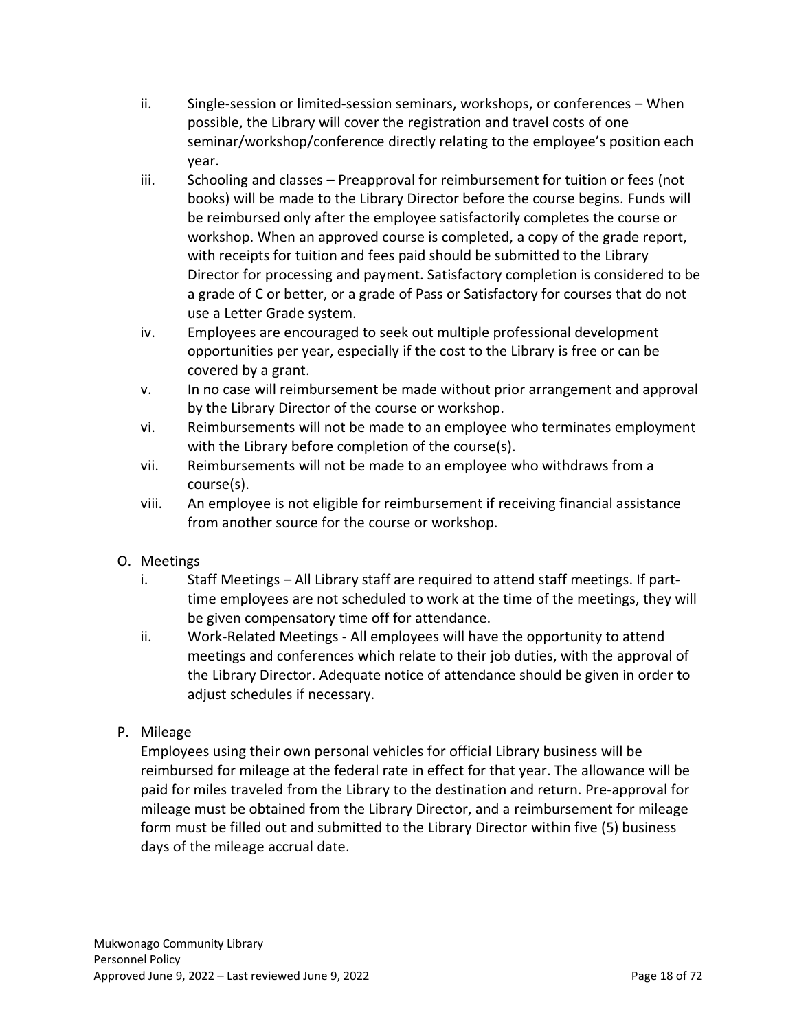- ii. Single-session or limited-session seminars, workshops, or conferences When possible, the Library will cover the registration and travel costs of one seminar/workshop/conference directly relating to the employee's position each year.
- iii. Schooling and classes Preapproval for reimbursement for tuition or fees (not books) will be made to the Library Director before the course begins. Funds will be reimbursed only after the employee satisfactorily completes the course or workshop. When an approved course is completed, a copy of the grade report, with receipts for tuition and fees paid should be submitted to the Library Director for processing and payment. Satisfactory completion is considered to be a grade of C or better, or a grade of Pass or Satisfactory for courses that do not use a Letter Grade system.
- iv. Employees are encouraged to seek out multiple professional development opportunities per year, especially if the cost to the Library is free or can be covered by a grant.
- v. In no case will reimbursement be made without prior arrangement and approval by the Library Director of the course or workshop.
- vi. Reimbursements will not be made to an employee who terminates employment with the Library before completion of the course(s).
- vii. Reimbursements will not be made to an employee who withdraws from a course(s).
- viii. An employee is not eligible for reimbursement if receiving financial assistance from another source for the course or workshop.
- <span id="page-17-0"></span>O. Meetings
	- i. Staff Meetings All Library staff are required to attend staff meetings. If parttime employees are not scheduled to work at the time of the meetings, they will be given compensatory time off for attendance.
	- ii. Work-Related Meetings All employees will have the opportunity to attend meetings and conferences which relate to their job duties, with the approval of the Library Director. Adequate notice of attendance should be given in order to adjust schedules if necessary.
- <span id="page-17-1"></span>P. Mileage

Employees using their own personal vehicles for official Library business will be reimbursed for mileage at the federal rate in effect for that year. The allowance will be paid for miles traveled from the Library to the destination and return. Pre-approval for mileage must be obtained from the Library Director, and a reimbursement for mileage form must be filled out and submitted to the Library Director within five (5) business days of the mileage accrual date.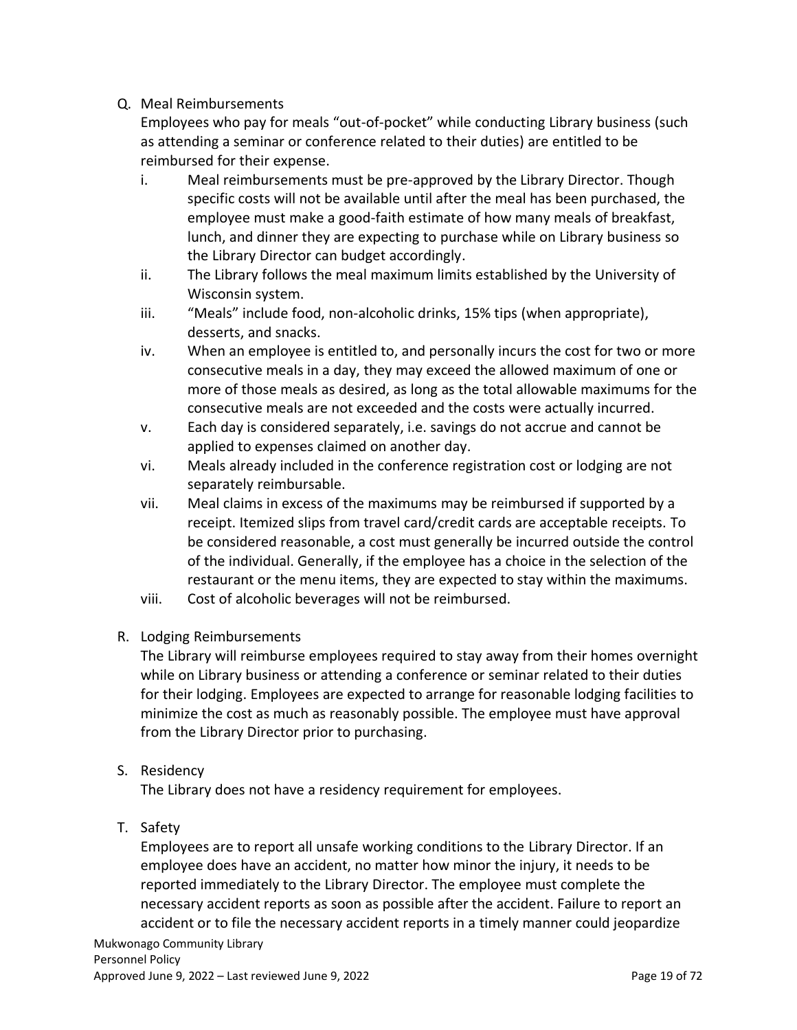<span id="page-18-0"></span>Q. Meal Reimbursements

Employees who pay for meals "out-of-pocket" while conducting Library business (such as attending a seminar or conference related to their duties) are entitled to be reimbursed for their expense.

- i. Meal reimbursements must be pre-approved by the Library Director. Though specific costs will not be available until after the meal has been purchased, the employee must make a good-faith estimate of how many meals of breakfast, lunch, and dinner they are expecting to purchase while on Library business so the Library Director can budget accordingly.
- ii. The Library follows the meal maximum limits established by the University of Wisconsin system.
- iii. "Meals" include food, non-alcoholic drinks, 15% tips (when appropriate), desserts, and snacks.
- iv. When an employee is entitled to, and personally incurs the cost for two or more consecutive meals in a day, they may exceed the allowed maximum of one or more of those meals as desired, as long as the total allowable maximums for the consecutive meals are not exceeded and the costs were actually incurred.
- v. Each day is considered separately, i.e. savings do not accrue and cannot be applied to expenses claimed on another day.
- vi. Meals already included in the conference registration cost or lodging are not separately reimbursable.
- vii. Meal claims in excess of the maximums may be reimbursed if supported by a receipt. Itemized slips from travel card/credit cards are acceptable receipts. To be considered reasonable, a cost must generally be incurred outside the control of the individual. Generally, if the employee has a choice in the selection of the restaurant or the menu items, they are expected to stay within the maximums.
- viii. Cost of alcoholic beverages will not be reimbursed.
- <span id="page-18-1"></span>R. Lodging Reimbursements

The Library will reimburse employees required to stay away from their homes overnight while on Library business or attending a conference or seminar related to their duties for their lodging. Employees are expected to arrange for reasonable lodging facilities to minimize the cost as much as reasonably possible. The employee must have approval from the Library Director prior to purchasing.

<span id="page-18-2"></span>S. Residency

The Library does not have a residency requirement for employees.

<span id="page-18-3"></span>T. Safety

Employees are to report all unsafe working conditions to the Library Director. If an employee does have an accident, no matter how minor the injury, it needs to be reported immediately to the Library Director. The employee must complete the necessary accident reports as soon as possible after the accident. Failure to report an accident or to file the necessary accident reports in a timely manner could jeopardize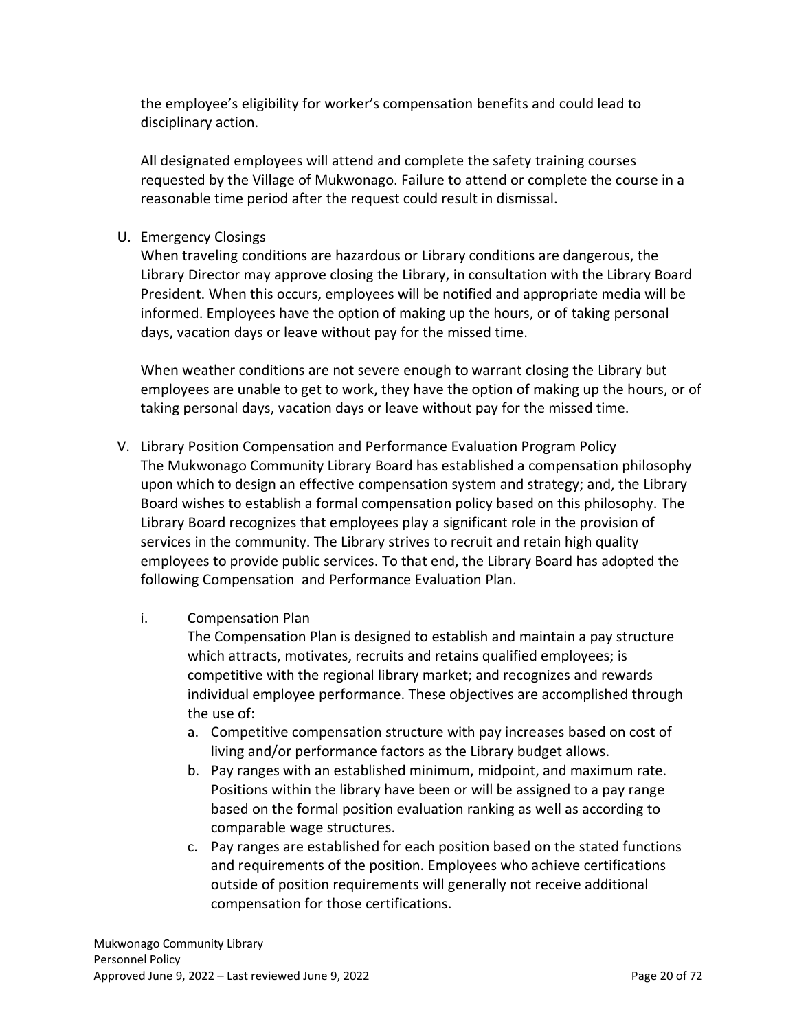the employee's eligibility for worker's compensation benefits and could lead to disciplinary action.

All designated employees will attend and complete the safety training courses requested by the Village of Mukwonago. Failure to attend or complete the course in a reasonable time period after the request could result in dismissal.

<span id="page-19-0"></span>U. Emergency Closings

When traveling conditions are hazardous or Library conditions are dangerous, the Library Director may approve closing the Library, in consultation with the Library Board President. When this occurs, employees will be notified and appropriate media will be informed. Employees have the option of making up the hours, or of taking personal days, vacation days or leave without pay for the missed time.

When weather conditions are not severe enough to warrant closing the Library but employees are unable to get to work, they have the option of making up the hours, or of taking personal days, vacation days or leave without pay for the missed time.

- <span id="page-19-1"></span>V. Library Position Compensation and Performance Evaluation Program Policy The Mukwonago Community Library Board has established a compensation philosophy upon which to design an effective compensation system and strategy; and, the Library Board wishes to establish a formal compensation policy based on this philosophy. The Library Board recognizes that employees play a significant role in the provision of services in the community. The Library strives to recruit and retain high quality employees to provide public services. To that end, the Library Board has adopted the following Compensation and Performance Evaluation Plan.
	- i. Compensation Plan

The Compensation Plan is designed to establish and maintain a pay structure which attracts, motivates, recruits and retains qualified employees; is competitive with the regional library market; and recognizes and rewards individual employee performance. These objectives are accomplished through the use of:

- a. Competitive compensation structure with pay increases based on cost of living and/or performance factors as the Library budget allows.
- b. Pay ranges with an established minimum, midpoint, and maximum rate. Positions within the library have been or will be assigned to a pay range based on the formal position evaluation ranking as well as according to comparable wage structures.
- c. Pay ranges are established for each position based on the stated functions and requirements of the position. Employees who achieve certifications outside of position requirements will generally not receive additional compensation for those certifications.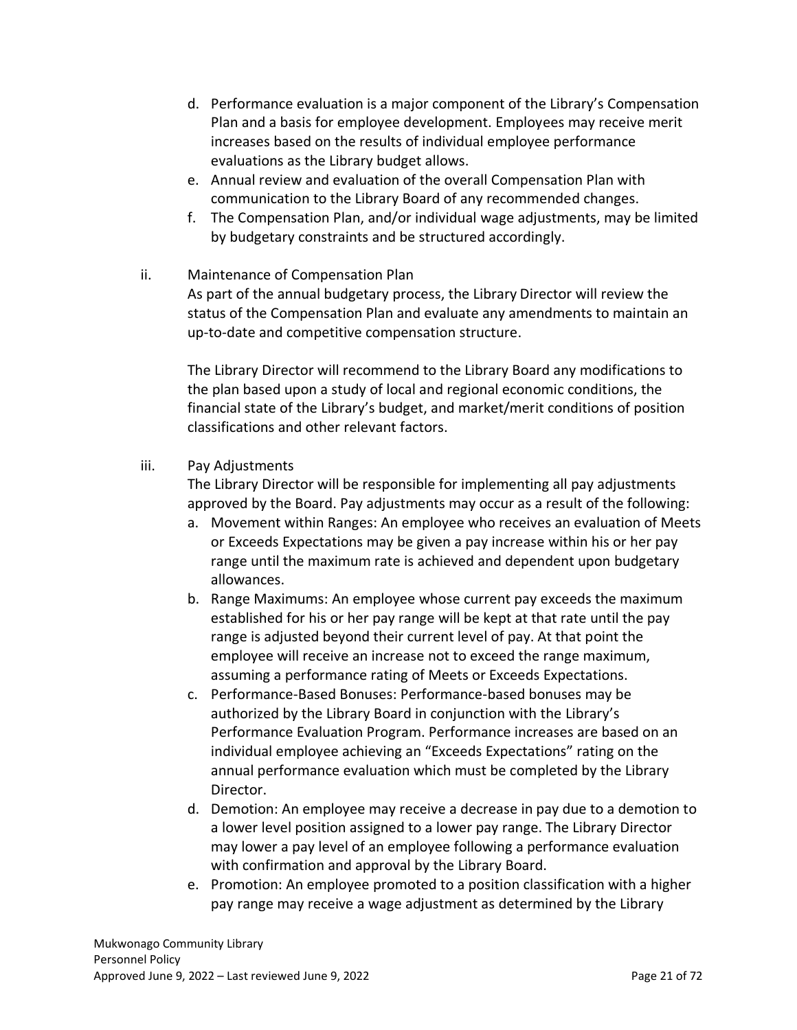- d. Performance evaluation is a major component of the Library's Compensation Plan and a basis for employee development. Employees may receive merit increases based on the results of individual employee performance evaluations as the Library budget allows.
- e. Annual review and evaluation of the overall Compensation Plan with communication to the Library Board of any recommended changes.
- f. The Compensation Plan, and/or individual wage adjustments, may be limited by budgetary constraints and be structured accordingly.
- ii. Maintenance of Compensation Plan

As part of the annual budgetary process, the Library Director will review the status of the Compensation Plan and evaluate any amendments to maintain an up-to-date and competitive compensation structure.

The Library Director will recommend to the Library Board any modifications to the plan based upon a study of local and regional economic conditions, the financial state of the Library's budget, and market/merit conditions of position classifications and other relevant factors.

# iii. Pay Adjustments

The Library Director will be responsible for implementing all pay adjustments approved by the Board. Pay adjustments may occur as a result of the following:

- a. Movement within Ranges: An employee who receives an evaluation of Meets or Exceeds Expectations may be given a pay increase within his or her pay range until the maximum rate is achieved and dependent upon budgetary allowances.
- b. Range Maximums: An employee whose current pay exceeds the maximum established for his or her pay range will be kept at that rate until the pay range is adjusted beyond their current level of pay. At that point the employee will receive an increase not to exceed the range maximum, assuming a performance rating of Meets or Exceeds Expectations.
- c. Performance-Based Bonuses: Performance-based bonuses may be authorized by the Library Board in conjunction with the Library's Performance Evaluation Program. Performance increases are based on an individual employee achieving an "Exceeds Expectations" rating on the annual performance evaluation which must be completed by the Library Director.
- d. Demotion: An employee may receive a decrease in pay due to a demotion to a lower level position assigned to a lower pay range. The Library Director may lower a pay level of an employee following a performance evaluation with confirmation and approval by the Library Board.
- e. Promotion: An employee promoted to a position classification with a higher pay range may receive a wage adjustment as determined by the Library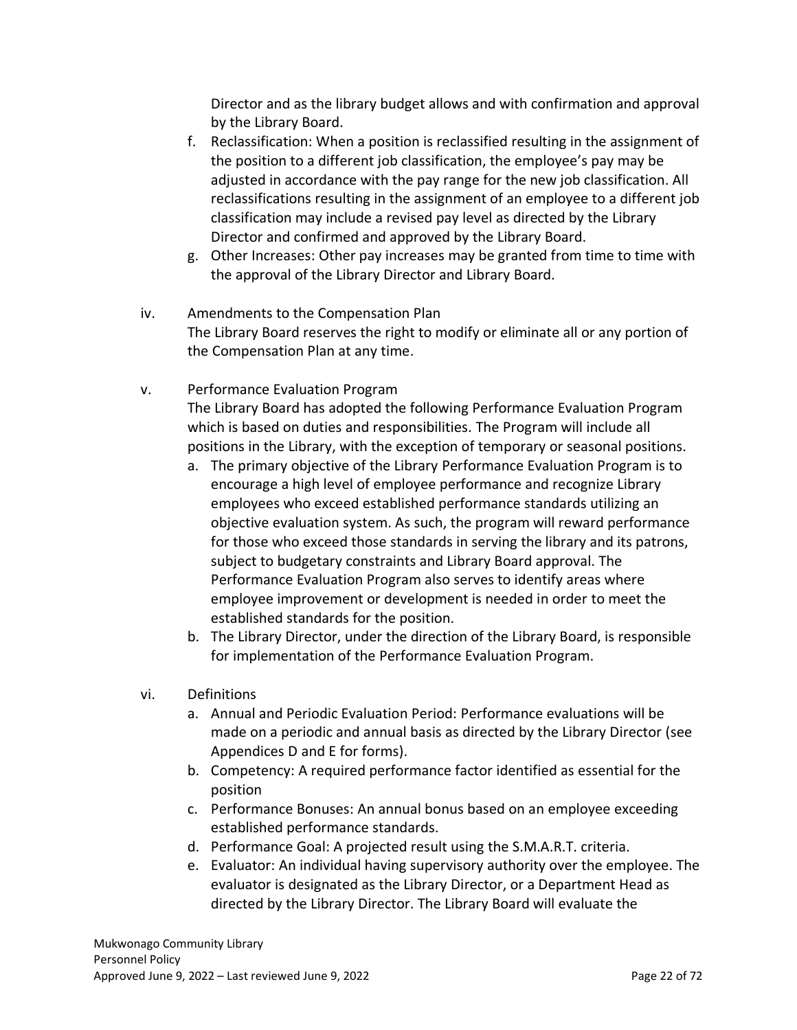Director and as the library budget allows and with confirmation and approval by the Library Board.

- f. Reclassification: When a position is reclassified resulting in the assignment of the position to a different job classification, the employee's pay may be adjusted in accordance with the pay range for the new job classification. All reclassifications resulting in the assignment of an employee to a different job classification may include a revised pay level as directed by the Library Director and confirmed and approved by the Library Board.
- g. Other Increases: Other pay increases may be granted from time to time with the approval of the Library Director and Library Board.
- iv. Amendments to the Compensation Plan The Library Board reserves the right to modify or eliminate all or any portion of the Compensation Plan at any time.
- v. Performance Evaluation Program

The Library Board has adopted the following Performance Evaluation Program which is based on duties and responsibilities. The Program will include all positions in the Library, with the exception of temporary or seasonal positions.

- a. The primary objective of the Library Performance Evaluation Program is to encourage a high level of employee performance and recognize Library employees who exceed established performance standards utilizing an objective evaluation system. As such, the program will reward performance for those who exceed those standards in serving the library and its patrons, subject to budgetary constraints and Library Board approval. The Performance Evaluation Program also serves to identify areas where employee improvement or development is needed in order to meet the established standards for the position.
- b. The Library Director, under the direction of the Library Board, is responsible for implementation of the Performance Evaluation Program.
- vi. Definitions
	- a. Annual and Periodic Evaluation Period: Performance evaluations will be made on a periodic and annual basis as directed by the Library Director (see Appendices D and E for forms).
	- b. Competency: A required performance factor identified as essential for the position
	- c. Performance Bonuses: An annual bonus based on an employee exceeding established performance standards.
	- d. Performance Goal: A projected result using the S.M.A.R.T. criteria.
	- e. Evaluator: An individual having supervisory authority over the employee. The evaluator is designated as the Library Director, or a Department Head as directed by the Library Director. The Library Board will evaluate the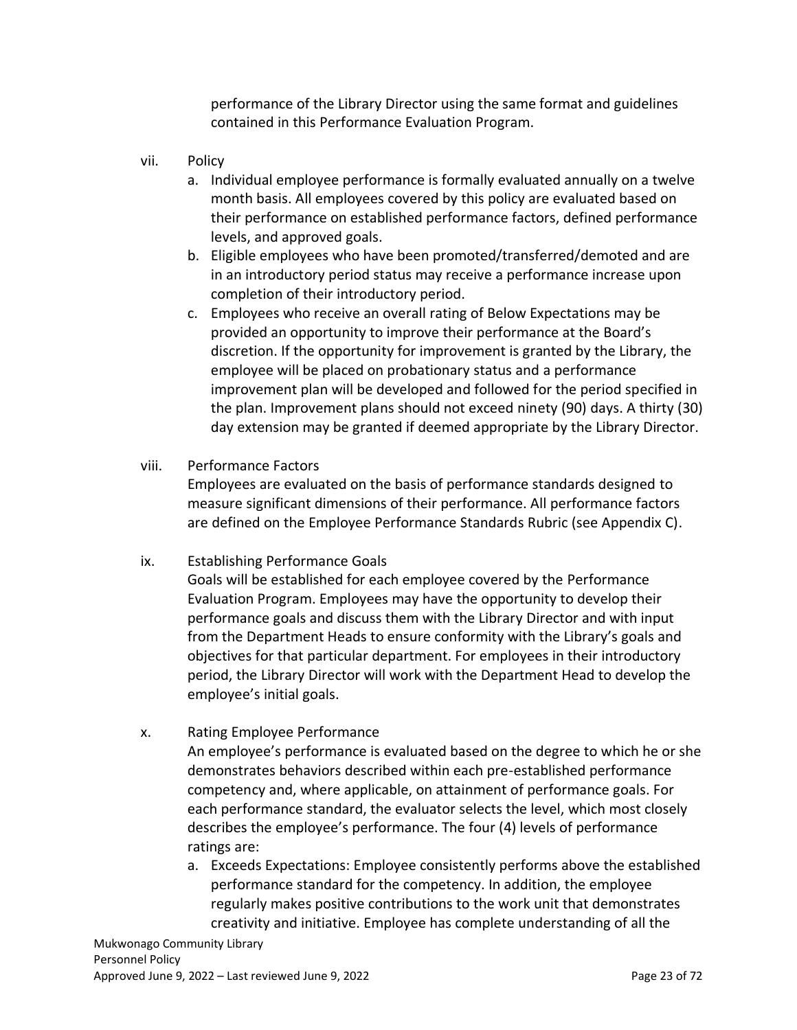performance of the Library Director using the same format and guidelines contained in this Performance Evaluation Program.

- vii. Policy
	- a. Individual employee performance is formally evaluated annually on a twelve month basis. All employees covered by this policy are evaluated based on their performance on established performance factors, defined performance levels, and approved goals.
	- b. Eligible employees who have been promoted/transferred/demoted and are in an introductory period status may receive a performance increase upon completion of their introductory period.
	- c. Employees who receive an overall rating of Below Expectations may be provided an opportunity to improve their performance at the Board's discretion. If the opportunity for improvement is granted by the Library, the employee will be placed on probationary status and a performance improvement plan will be developed and followed for the period specified in the plan. Improvement plans should not exceed ninety (90) days. A thirty (30) day extension may be granted if deemed appropriate by the Library Director.
- viii. Performance Factors

Employees are evaluated on the basis of performance standards designed to measure significant dimensions of their performance. All performance factors are defined on the Employee Performance Standards Rubric (see Appendix C).

ix. Establishing Performance Goals

Goals will be established for each employee covered by the Performance Evaluation Program. Employees may have the opportunity to develop their performance goals and discuss them with the Library Director and with input from the Department Heads to ensure conformity with the Library's goals and objectives for that particular department. For employees in their introductory period, the Library Director will work with the Department Head to develop the employee's initial goals.

x. Rating Employee Performance

An employee's performance is evaluated based on the degree to which he or she demonstrates behaviors described within each pre-established performance competency and, where applicable, on attainment of performance goals. For each performance standard, the evaluator selects the level, which most closely describes the employee's performance. The four (4) levels of performance ratings are:

a. Exceeds Expectations: Employee consistently performs above the established performance standard for the competency. In addition, the employee regularly makes positive contributions to the work unit that demonstrates creativity and initiative. Employee has complete understanding of all the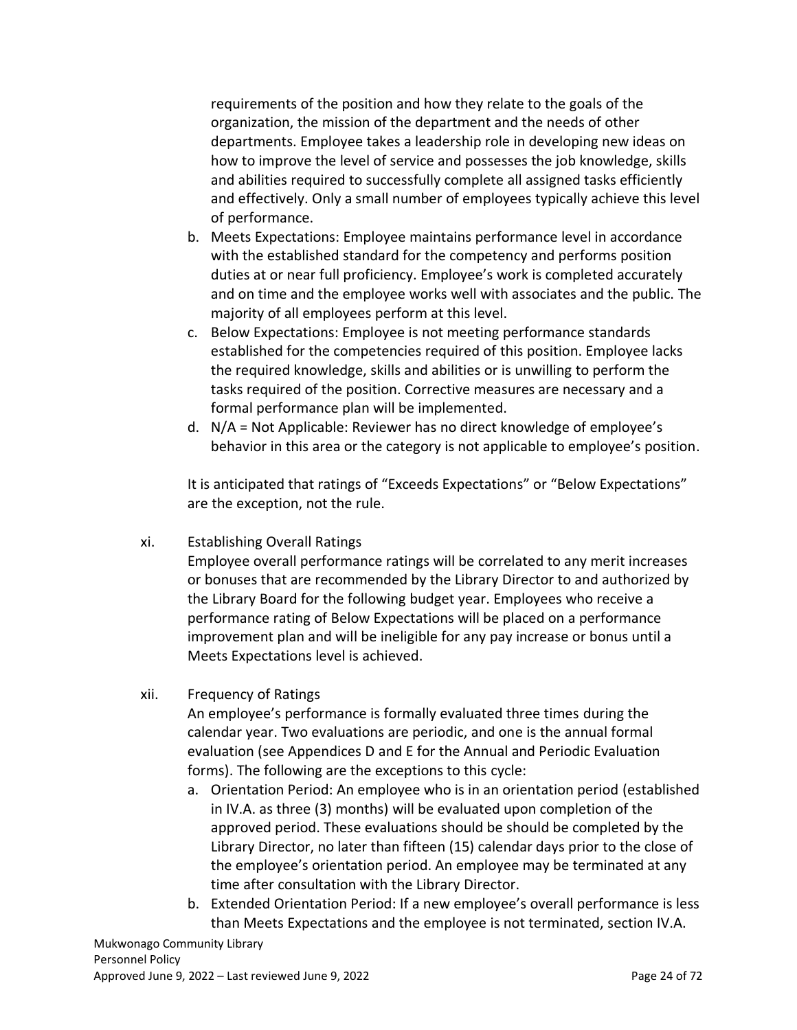requirements of the position and how they relate to the goals of the organization, the mission of the department and the needs of other departments. Employee takes a leadership role in developing new ideas on how to improve the level of service and possesses the job knowledge, skills and abilities required to successfully complete all assigned tasks efficiently and effectively. Only a small number of employees typically achieve this level of performance.

- b. Meets Expectations: Employee maintains performance level in accordance with the established standard for the competency and performs position duties at or near full proficiency. Employee's work is completed accurately and on time and the employee works well with associates and the public. The majority of all employees perform at this level.
- c. Below Expectations: Employee is not meeting performance standards established for the competencies required of this position. Employee lacks the required knowledge, skills and abilities or is unwilling to perform the tasks required of the position. Corrective measures are necessary and a formal performance plan will be implemented.
- d. N/A = Not Applicable: Reviewer has no direct knowledge of employee's behavior in this area or the category is not applicable to employee's position.

It is anticipated that ratings of "Exceeds Expectations" or "Below Expectations" are the exception, not the rule.

xi. Establishing Overall Ratings

Employee overall performance ratings will be correlated to any merit increases or bonuses that are recommended by the Library Director to and authorized by the Library Board for the following budget year. Employees who receive a performance rating of Below Expectations will be placed on a performance improvement plan and will be ineligible for any pay increase or bonus until a Meets Expectations level is achieved.

xii. Frequency of Ratings

An employee's performance is formally evaluated three times during the calendar year. Two evaluations are periodic, and one is the annual formal evaluation (see Appendices D and E for the Annual and Periodic Evaluation forms). The following are the exceptions to this cycle:

- a. Orientation Period: An employee who is in an orientation period (established in IV.A. as three (3) months) will be evaluated upon completion of the approved period. These evaluations should be should be completed by the Library Director, no later than fifteen (15) calendar days prior to the close of the employee's orientation period. An employee may be terminated at any time after consultation with the Library Director.
- b. Extended Orientation Period: If a new employee's overall performance is less than Meets Expectations and the employee is not terminated, section IV.A.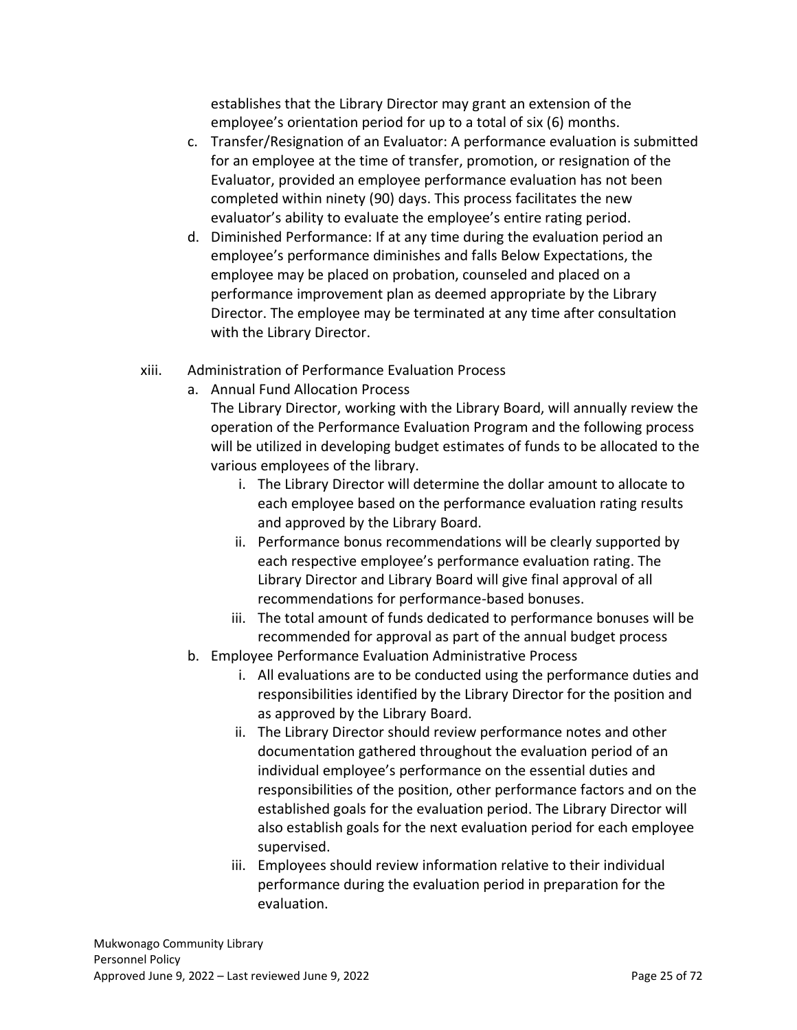establishes that the Library Director may grant an extension of the employee's orientation period for up to a total of six (6) months.

- c. Transfer/Resignation of an Evaluator: A performance evaluation is submitted for an employee at the time of transfer, promotion, or resignation of the Evaluator, provided an employee performance evaluation has not been completed within ninety (90) days. This process facilitates the new evaluator's ability to evaluate the employee's entire rating period.
- d. Diminished Performance: If at any time during the evaluation period an employee's performance diminishes and falls Below Expectations, the employee may be placed on probation, counseled and placed on a performance improvement plan as deemed appropriate by the Library Director. The employee may be terminated at any time after consultation with the Library Director.
- xiii. Administration of Performance Evaluation Process
	- a. Annual Fund Allocation Process

The Library Director, working with the Library Board, will annually review the operation of the Performance Evaluation Program and the following process will be utilized in developing budget estimates of funds to be allocated to the various employees of the library.

- i. The Library Director will determine the dollar amount to allocate to each employee based on the performance evaluation rating results and approved by the Library Board.
- ii. Performance bonus recommendations will be clearly supported by each respective employee's performance evaluation rating. The Library Director and Library Board will give final approval of all recommendations for performance-based bonuses.
- iii. The total amount of funds dedicated to performance bonuses will be recommended for approval as part of the annual budget process
- b. Employee Performance Evaluation Administrative Process
	- i. All evaluations are to be conducted using the performance duties and responsibilities identified by the Library Director for the position and as approved by the Library Board.
	- ii. The Library Director should review performance notes and other documentation gathered throughout the evaluation period of an individual employee's performance on the essential duties and responsibilities of the position, other performance factors and on the established goals for the evaluation period. The Library Director will also establish goals for the next evaluation period for each employee supervised.
	- iii. Employees should review information relative to their individual performance during the evaluation period in preparation for the evaluation.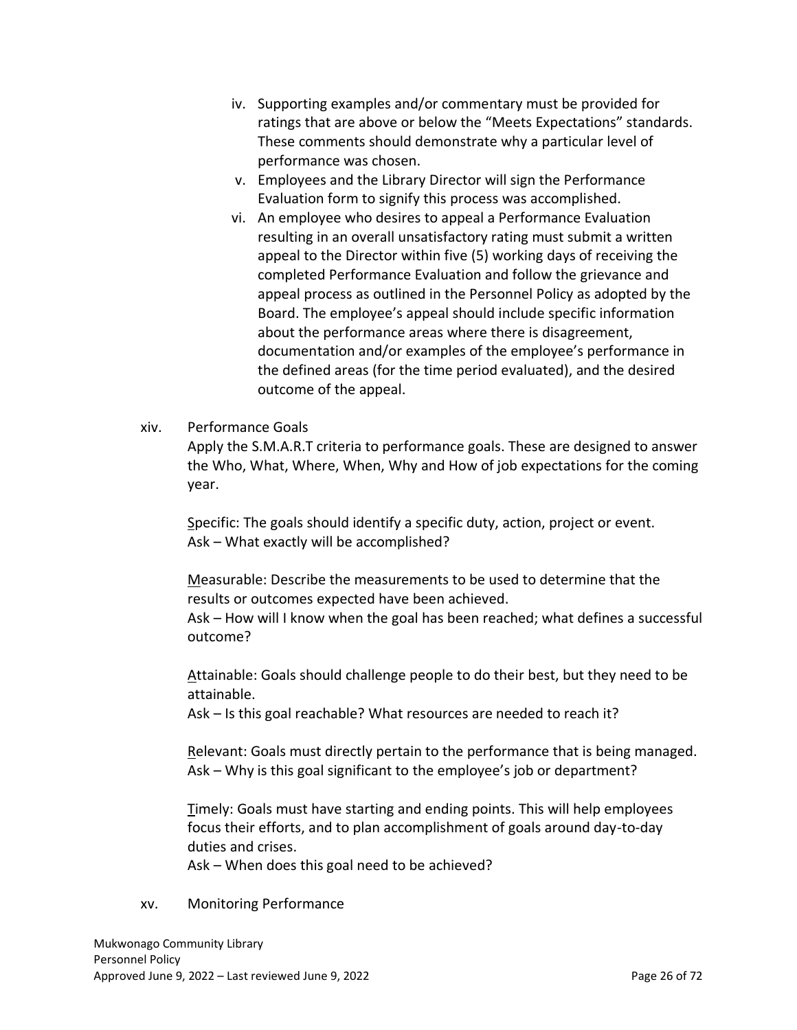- iv. Supporting examples and/or commentary must be provided for ratings that are above or below the "Meets Expectations" standards. These comments should demonstrate why a particular level of performance was chosen.
- v. Employees and the Library Director will sign the Performance Evaluation form to signify this process was accomplished.
- vi. An employee who desires to appeal a Performance Evaluation resulting in an overall unsatisfactory rating must submit a written appeal to the Director within five (5) working days of receiving the completed Performance Evaluation and follow the grievance and appeal process as outlined in the Personnel Policy as adopted by the Board. The employee's appeal should include specific information about the performance areas where there is disagreement, documentation and/or examples of the employee's performance in the defined areas (for the time period evaluated), and the desired outcome of the appeal.

#### xiv. Performance Goals

Apply the S.M.A.R.T criteria to performance goals. These are designed to answer the Who, What, Where, When, Why and How of job expectations for the coming year.

Specific: The goals should identify a specific duty, action, project or event. Ask – What exactly will be accomplished?

Measurable: Describe the measurements to be used to determine that the results or outcomes expected have been achieved.

Ask – How will I know when the goal has been reached; what defines a successful outcome?

Attainable: Goals should challenge people to do their best, but they need to be attainable.

Ask – Is this goal reachable? What resources are needed to reach it?

Relevant: Goals must directly pertain to the performance that is being managed. Ask – Why is this goal significant to the employee's job or department?

Timely: Goals must have starting and ending points. This will help employees focus their efforts, and to plan accomplishment of goals around day-to-day duties and crises.

Ask – When does this goal need to be achieved?

#### xv. Monitoring Performance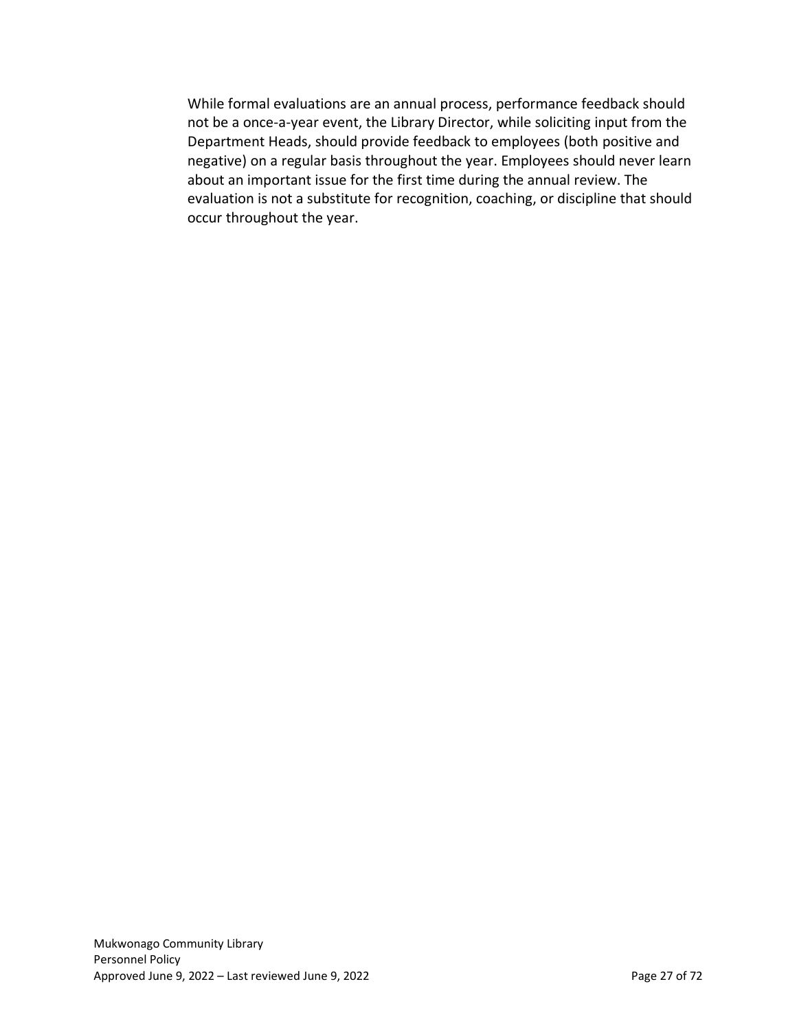While formal evaluations are an annual process, performance feedback should not be a once-a-year event, the Library Director, while soliciting input from the Department Heads, should provide feedback to employees (both positive and negative) on a regular basis throughout the year. Employees should never learn about an important issue for the first time during the annual review. The evaluation is not a substitute for recognition, coaching, or discipline that should occur throughout the year.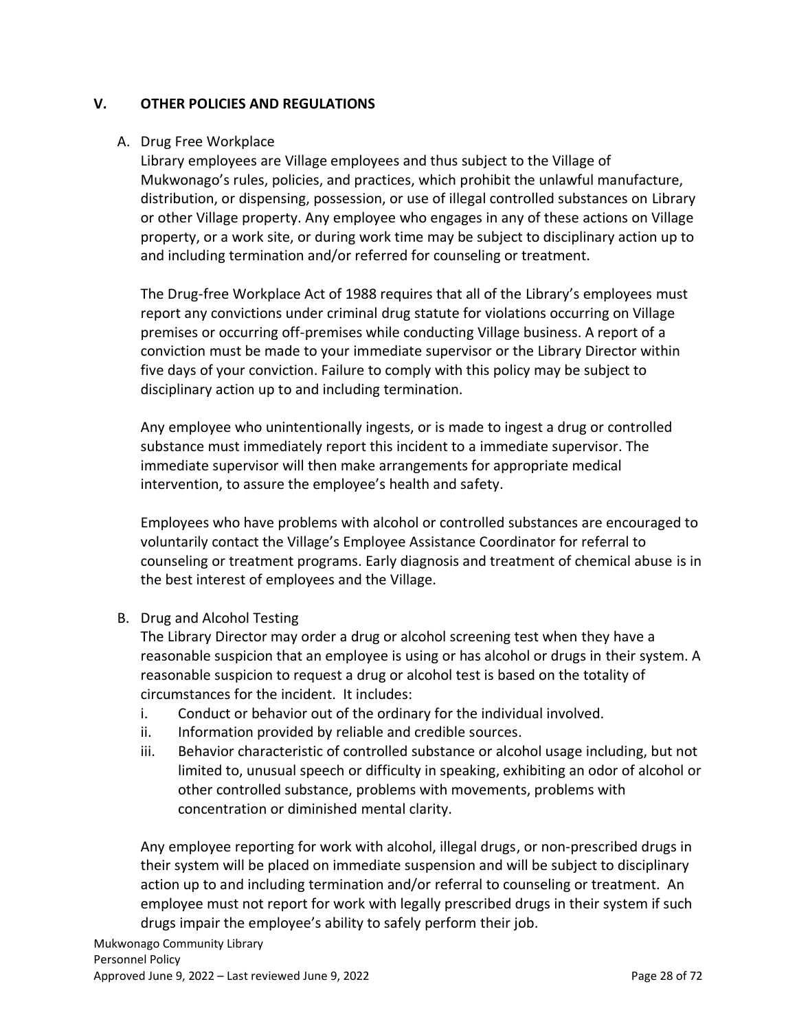# <span id="page-27-0"></span>**V. OTHER POLICIES AND REGULATIONS**

#### <span id="page-27-1"></span>A. Drug Free Workplace

Library employees are Village employees and thus subject to the Village of Mukwonago's rules, policies, and practices, which prohibit the unlawful manufacture, distribution, or dispensing, possession, or use of illegal controlled substances on Library or other Village property. Any employee who engages in any of these actions on Village property, or a work site, or during work time may be subject to disciplinary action up to and including termination and/or referred for counseling or treatment.

The Drug-free Workplace Act of 1988 requires that all of the Library's employees must report any convictions under criminal drug statute for violations occurring on Village premises or occurring off-premises while conducting Village business. A report of a conviction must be made to your immediate supervisor or the Library Director within five days of your conviction. Failure to comply with this policy may be subject to disciplinary action up to and including termination.

Any employee who unintentionally ingests, or is made to ingest a drug or controlled substance must immediately report this incident to a immediate supervisor. The immediate supervisor will then make arrangements for appropriate medical intervention, to assure the employee's health and safety.

Employees who have problems with alcohol or controlled substances are encouraged to voluntarily contact the Village's Employee Assistance Coordinator for referral to counseling or treatment programs. Early diagnosis and treatment of chemical abuse is in the best interest of employees and the Village.

#### <span id="page-27-2"></span>B. Drug and Alcohol Testing

The Library Director may order a drug or alcohol screening test when they have a reasonable suspicion that an employee is using or has alcohol or drugs in their system. A reasonable suspicion to request a drug or alcohol test is based on the totality of circumstances for the incident. It includes:

- i. Conduct or behavior out of the ordinary for the individual involved.
- ii. Information provided by reliable and credible sources.
- iii. Behavior characteristic of controlled substance or alcohol usage including, but not limited to, unusual speech or difficulty in speaking, exhibiting an odor of alcohol or other controlled substance, problems with movements, problems with concentration or diminished mental clarity.

Any employee reporting for work with alcohol, illegal drugs, or non-prescribed drugs in their system will be placed on immediate suspension and will be subject to disciplinary action up to and including termination and/or referral to counseling or treatment. An employee must not report for work with legally prescribed drugs in their system if such drugs impair the employee's ability to safely perform their job.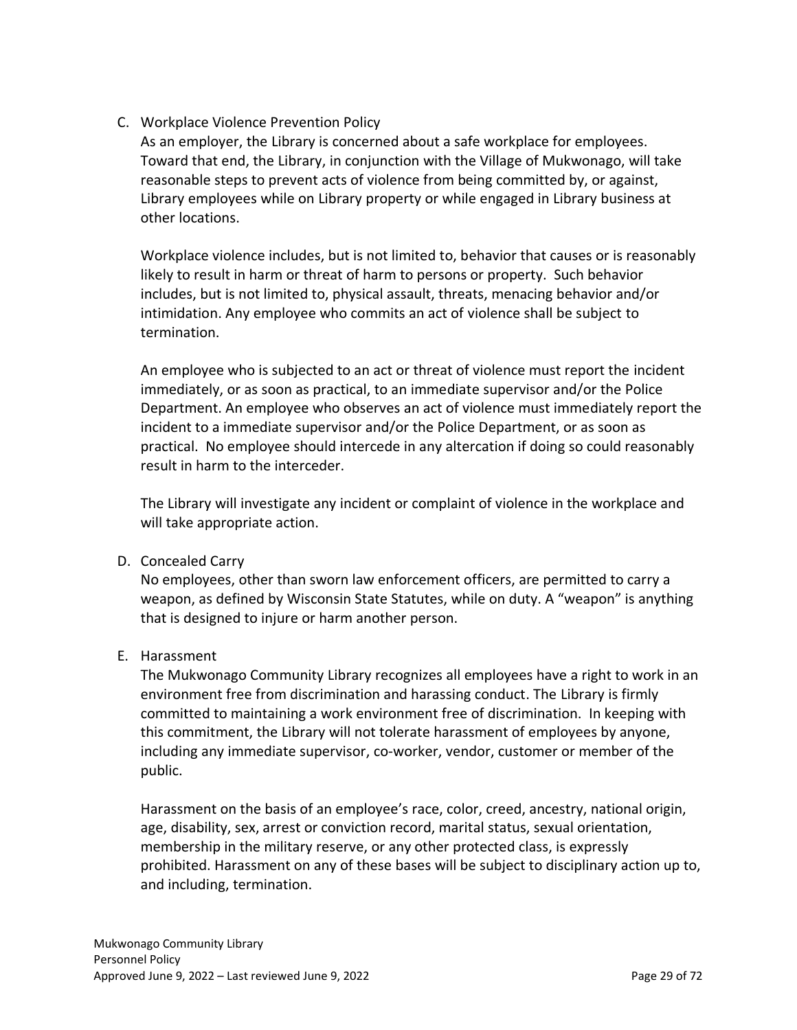<span id="page-28-0"></span>C. Workplace Violence Prevention Policy

As an employer, the Library is concerned about a safe workplace for employees. Toward that end, the Library, in conjunction with the Village of Mukwonago, will take reasonable steps to prevent acts of violence from being committed by, or against, Library employees while on Library property or while engaged in Library business at other locations.

Workplace violence includes, but is not limited to, behavior that causes or is reasonably likely to result in harm or threat of harm to persons or property. Such behavior includes, but is not limited to, physical assault, threats, menacing behavior and/or intimidation. Any employee who commits an act of violence shall be subject to termination.

An employee who is subjected to an act or threat of violence must report the incident immediately, or as soon as practical, to an immediate supervisor and/or the Police Department. An employee who observes an act of violence must immediately report the incident to a immediate supervisor and/or the Police Department, or as soon as practical. No employee should intercede in any altercation if doing so could reasonably result in harm to the interceder.

The Library will investigate any incident or complaint of violence in the workplace and will take appropriate action.

<span id="page-28-1"></span>D. Concealed Carry

No employees, other than sworn law enforcement officers, are permitted to carry a weapon, as defined by Wisconsin State Statutes, while on duty. A "weapon" is anything that is designed to injure or harm another person.

<span id="page-28-2"></span>E. Harassment

The Mukwonago Community Library recognizes all employees have a right to work in an environment free from discrimination and harassing conduct. The Library is firmly committed to maintaining a work environment free of discrimination. In keeping with this commitment, the Library will not tolerate harassment of employees by anyone, including any immediate supervisor, co-worker, vendor, customer or member of the public.

Harassment on the basis of an employee's race, color, creed, ancestry, national origin, age, disability, sex, arrest or conviction record, marital status, sexual orientation, membership in the military reserve, or any other protected class, is expressly prohibited. Harassment on any of these bases will be subject to disciplinary action up to, and including, termination.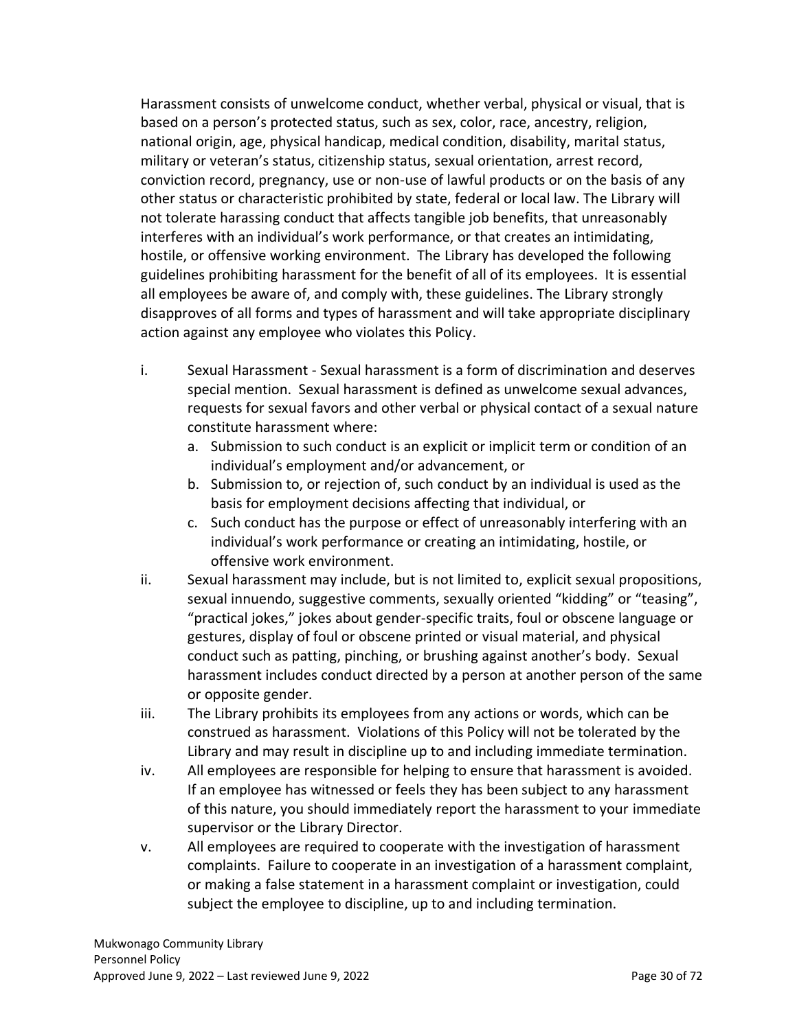Harassment consists of unwelcome conduct, whether verbal, physical or visual, that is based on a person's protected status, such as sex, color, race, ancestry, religion, national origin, age, physical handicap, medical condition, disability, marital status, military or veteran's status, citizenship status, sexual orientation, arrest record, conviction record, pregnancy, use or non-use of lawful products or on the basis of any other status or characteristic prohibited by state, federal or local law. The Library will not tolerate harassing conduct that affects tangible job benefits, that unreasonably interferes with an individual's work performance, or that creates an intimidating, hostile, or offensive working environment. The Library has developed the following guidelines prohibiting harassment for the benefit of all of its employees. It is essential all employees be aware of, and comply with, these guidelines. The Library strongly disapproves of all forms and types of harassment and will take appropriate disciplinary action against any employee who violates this Policy.

- i. Sexual Harassment Sexual harassment is a form of discrimination and deserves special mention. Sexual harassment is defined as unwelcome sexual advances, requests for sexual favors and other verbal or physical contact of a sexual nature constitute harassment where:
	- a. Submission to such conduct is an explicit or implicit term or condition of an individual's employment and/or advancement, or
	- b. Submission to, or rejection of, such conduct by an individual is used as the basis for employment decisions affecting that individual, or
	- c. Such conduct has the purpose or effect of unreasonably interfering with an individual's work performance or creating an intimidating, hostile, or offensive work environment.
- ii. Sexual harassment may include, but is not limited to, explicit sexual propositions, sexual innuendo, suggestive comments, sexually oriented "kidding" or "teasing", "practical jokes," jokes about gender-specific traits, foul or obscene language or gestures, display of foul or obscene printed or visual material, and physical conduct such as patting, pinching, or brushing against another's body. Sexual harassment includes conduct directed by a person at another person of the same or opposite gender.
- iii. The Library prohibits its employees from any actions or words, which can be construed as harassment. Violations of this Policy will not be tolerated by the Library and may result in discipline up to and including immediate termination.
- iv. All employees are responsible for helping to ensure that harassment is avoided. If an employee has witnessed or feels they has been subject to any harassment of this nature, you should immediately report the harassment to your immediate supervisor or the Library Director.
- v. All employees are required to cooperate with the investigation of harassment complaints. Failure to cooperate in an investigation of a harassment complaint, or making a false statement in a harassment complaint or investigation, could subject the employee to discipline, up to and including termination.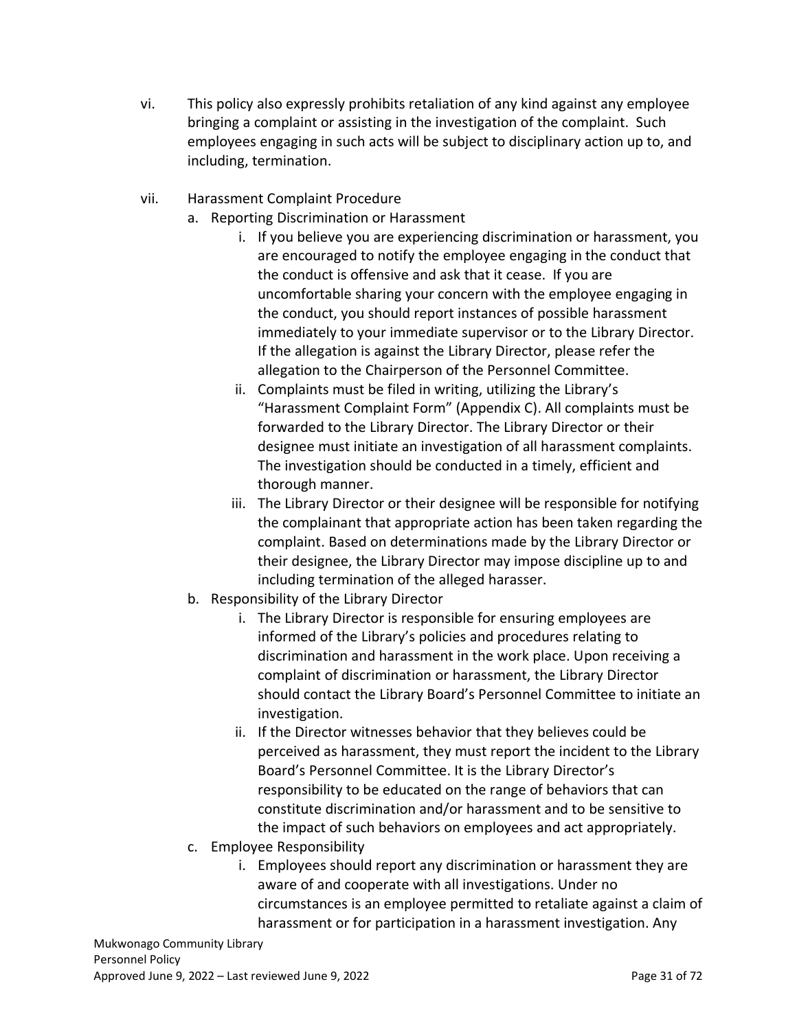- vi. This policy also expressly prohibits retaliation of any kind against any employee bringing a complaint or assisting in the investigation of the complaint. Such employees engaging in such acts will be subject to disciplinary action up to, and including, termination.
- vii. Harassment Complaint Procedure
	- a. Reporting Discrimination or Harassment
		- i. If you believe you are experiencing discrimination or harassment, you are encouraged to notify the employee engaging in the conduct that the conduct is offensive and ask that it cease. If you are uncomfortable sharing your concern with the employee engaging in the conduct, you should report instances of possible harassment immediately to your immediate supervisor or to the Library Director. If the allegation is against the Library Director, please refer the allegation to the Chairperson of the Personnel Committee.
		- ii. Complaints must be filed in writing, utilizing the Library's "Harassment Complaint Form" (Appendix C). All complaints must be forwarded to the Library Director. The Library Director or their designee must initiate an investigation of all harassment complaints. The investigation should be conducted in a timely, efficient and thorough manner.
		- iii. The Library Director or their designee will be responsible for notifying the complainant that appropriate action has been taken regarding the complaint. Based on determinations made by the Library Director or their designee, the Library Director may impose discipline up to and including termination of the alleged harasser.
	- b. Responsibility of the Library Director
		- i. The Library Director is responsible for ensuring employees are informed of the Library's policies and procedures relating to discrimination and harassment in the work place. Upon receiving a complaint of discrimination or harassment, the Library Director should contact the Library Board's Personnel Committee to initiate an investigation.
		- ii. If the Director witnesses behavior that they believes could be perceived as harassment, they must report the incident to the Library Board's Personnel Committee. It is the Library Director's responsibility to be educated on the range of behaviors that can constitute discrimination and/or harassment and to be sensitive to the impact of such behaviors on employees and act appropriately.
	- c. Employee Responsibility
		- i. Employees should report any discrimination or harassment they are aware of and cooperate with all investigations. Under no circumstances is an employee permitted to retaliate against a claim of harassment or for participation in a harassment investigation. Any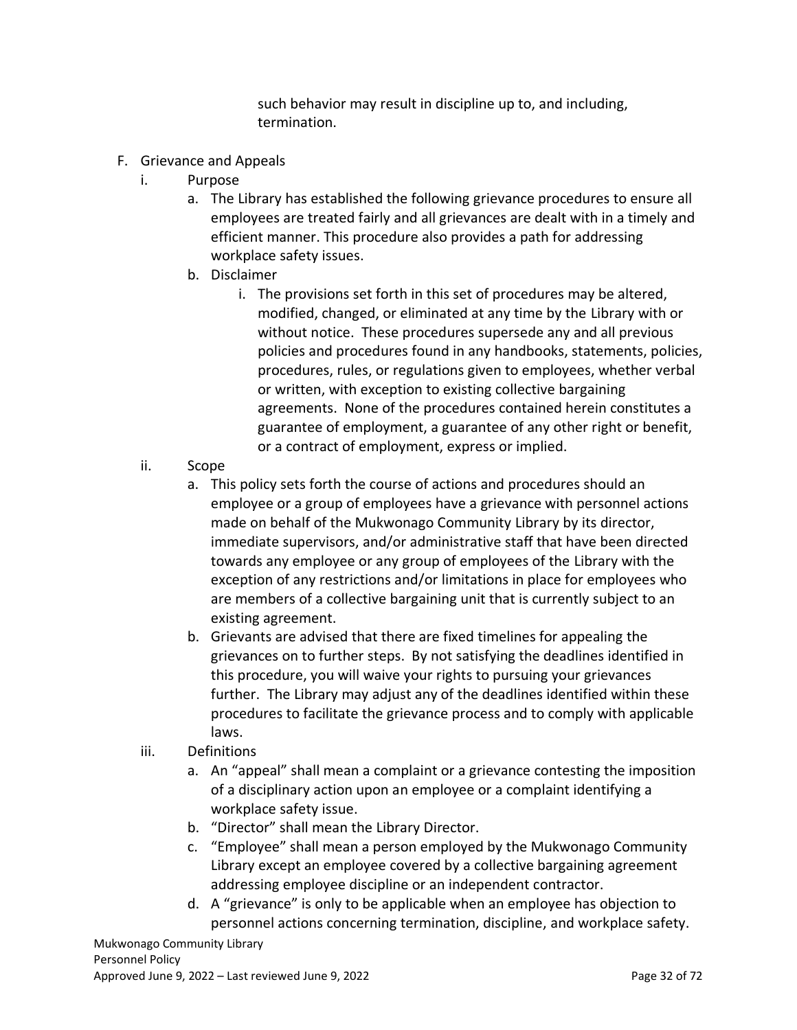such behavior may result in discipline up to, and including, termination.

- <span id="page-31-0"></span>F. Grievance and Appeals
	- i. Purpose
		- a. The Library has established the following grievance procedures to ensure all employees are treated fairly and all grievances are dealt with in a timely and efficient manner. This procedure also provides a path for addressing workplace safety issues.
		- b. Disclaimer
			- i. The provisions set forth in this set of procedures may be altered, modified, changed, or eliminated at any time by the Library with or without notice. These procedures supersede any and all previous policies and procedures found in any handbooks, statements, policies, procedures, rules, or regulations given to employees, whether verbal or written, with exception to existing collective bargaining agreements. None of the procedures contained herein constitutes a guarantee of employment, a guarantee of any other right or benefit, or a contract of employment, express or implied.
	- ii. Scope
		- a. This policy sets forth the course of actions and procedures should an employee or a group of employees have a grievance with personnel actions made on behalf of the Mukwonago Community Library by its director, immediate supervisors, and/or administrative staff that have been directed towards any employee or any group of employees of the Library with the exception of any restrictions and/or limitations in place for employees who are members of a collective bargaining unit that is currently subject to an existing agreement.
		- b. Grievants are advised that there are fixed timelines for appealing the grievances on to further steps. By not satisfying the deadlines identified in this procedure, you will waive your rights to pursuing your grievances further. The Library may adjust any of the deadlines identified within these procedures to facilitate the grievance process and to comply with applicable laws.
	- iii. Definitions
		- a. An "appeal" shall mean a complaint or a grievance contesting the imposition of a disciplinary action upon an employee or a complaint identifying a workplace safety issue.
		- b. "Director" shall mean the Library Director.
		- c. "Employee" shall mean a person employed by the Mukwonago Community Library except an employee covered by a collective bargaining agreement addressing employee discipline or an independent contractor.
		- d. A "grievance" is only to be applicable when an employee has objection to personnel actions concerning termination, discipline, and workplace safety.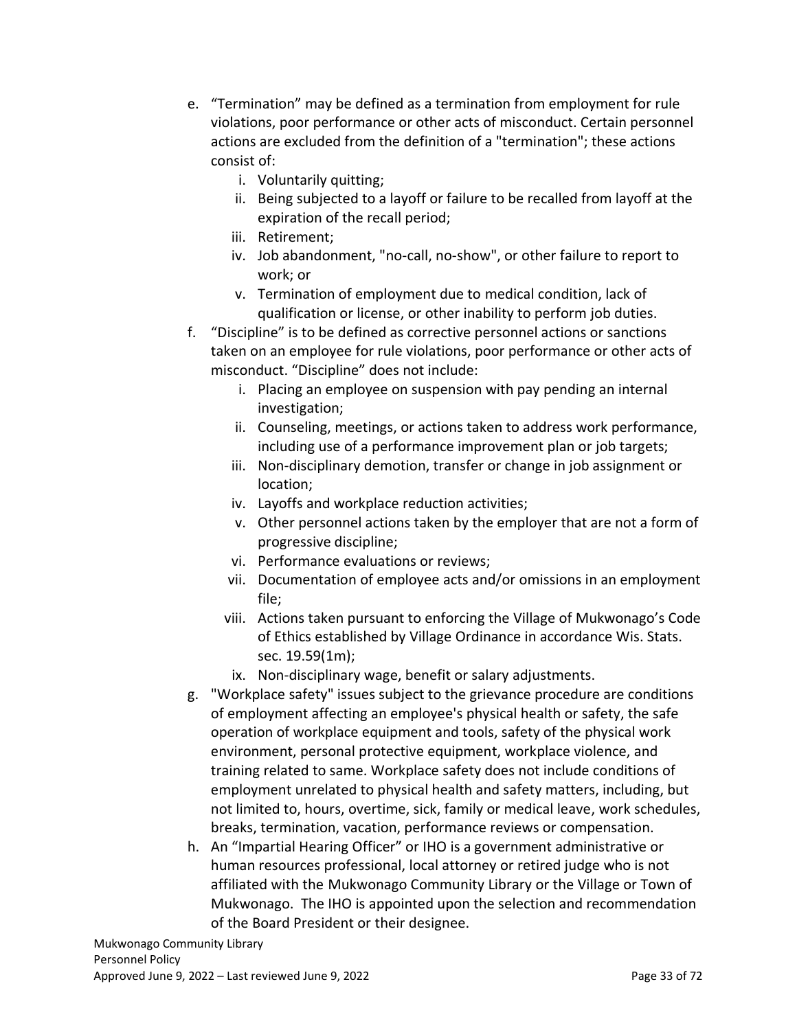- e. "Termination" may be defined as a termination from employment for rule violations, poor performance or other acts of misconduct. Certain personnel actions are excluded from the definition of a "termination"; these actions consist of:
	- i. Voluntarily quitting;
	- ii. Being subjected to a layoff or failure to be recalled from layoff at the expiration of the recall period;
	- iii. Retirement;
	- iv. Job abandonment, "no-call, no-show", or other failure to report to work; or
	- v. Termination of employment due to medical condition, lack of qualification or license, or other inability to perform job duties.
- f. "Discipline" is to be defined as corrective personnel actions or sanctions taken on an employee for rule violations, poor performance or other acts of misconduct. "Discipline" does not include:
	- i. Placing an employee on suspension with pay pending an internal investigation;
	- ii. Counseling, meetings, or actions taken to address work performance, including use of a performance improvement plan or job targets;
	- iii. Non-disciplinary demotion, transfer or change in job assignment or location;
	- iv. Layoffs and workplace reduction activities;
	- v. Other personnel actions taken by the employer that are not a form of progressive discipline;
	- vi. Performance evaluations or reviews;
	- vii. Documentation of employee acts and/or omissions in an employment file;
	- viii. Actions taken pursuant to enforcing the Village of Mukwonago's Code of Ethics established by Village Ordinance in accordance Wis. Stats. sec. 19.59(1m);
	- ix. Non-disciplinary wage, benefit or salary adjustments.
- g. "Workplace safety" issues subject to the grievance procedure are conditions of employment affecting an employee's physical health or safety, the safe operation of workplace equipment and tools, safety of the physical work environment, personal protective equipment, workplace violence, and training related to same. Workplace safety does not include conditions of employment unrelated to physical health and safety matters, including, but not limited to, hours, overtime, sick, family or medical leave, work schedules, breaks, termination, vacation, performance reviews or compensation.
- h. An "Impartial Hearing Officer" or IHO is a government administrative or human resources professional, local attorney or retired judge who is not affiliated with the Mukwonago Community Library or the Village or Town of Mukwonago. The IHO is appointed upon the selection and recommendation of the Board President or their designee.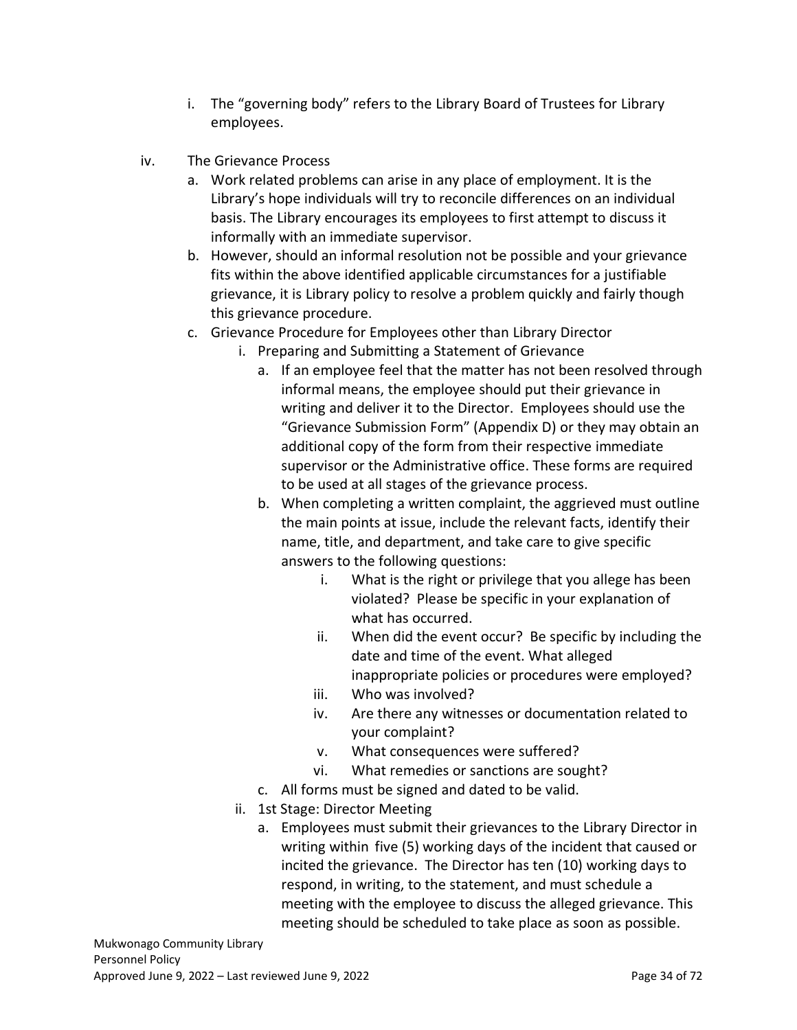- i. The "governing body" refers to the Library Board of Trustees for Library employees.
- iv. The Grievance Process
	- a. Work related problems can arise in any place of employment. It is the Library's hope individuals will try to reconcile differences on an individual basis. The Library encourages its employees to first attempt to discuss it informally with an immediate supervisor.
	- b. However, should an informal resolution not be possible and your grievance fits within the above identified applicable circumstances for a justifiable grievance, it is Library policy to resolve a problem quickly and fairly though this grievance procedure.
	- c. Grievance Procedure for Employees other than Library Director
		- i. Preparing and Submitting a Statement of Grievance
			- a. If an employee feel that the matter has not been resolved through informal means, the employee should put their grievance in writing and deliver it to the Director. Employees should use the "Grievance Submission Form" (Appendix D) or they may obtain an additional copy of the form from their respective immediate supervisor or the Administrative office. These forms are required to be used at all stages of the grievance process.
			- b. When completing a written complaint, the aggrieved must outline the main points at issue, include the relevant facts, identify their name, title, and department, and take care to give specific answers to the following questions:
				- i. What is the right or privilege that you allege has been violated? Please be specific in your explanation of what has occurred.
				- ii. When did the event occur? Be specific by including the date and time of the event. What alleged inappropriate policies or procedures were employed?
				- iii. Who was involved?
				- iv. Are there any witnesses or documentation related to your complaint?
				- v. What consequences were suffered?
				- vi. What remedies or sanctions are sought?
			- c. All forms must be signed and dated to be valid.
		- ii. 1st Stage: Director Meeting
			- a. Employees must submit their grievances to the Library Director in writing within five (5) working days of the incident that caused or incited the grievance. The Director has ten (10) working days to respond, in writing, to the statement, and must schedule a meeting with the employee to discuss the alleged grievance. This meeting should be scheduled to take place as soon as possible.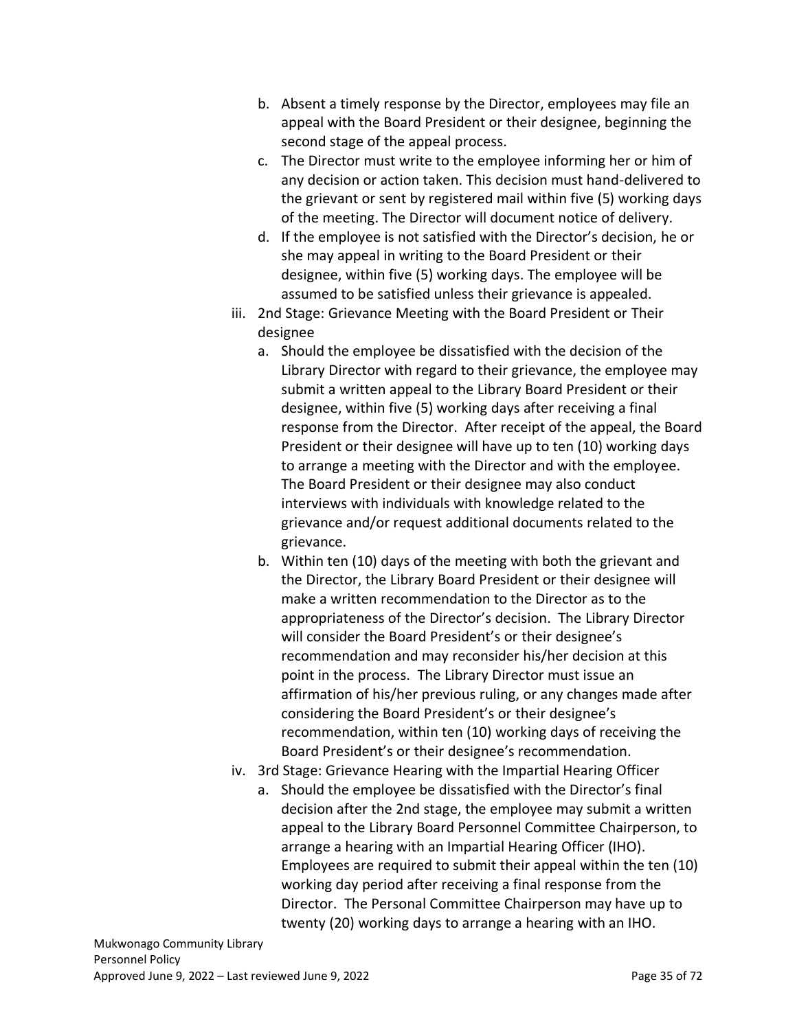- b. Absent a timely response by the Director, employees may file an appeal with the Board President or their designee, beginning the second stage of the appeal process.
- c. The Director must write to the employee informing her or him of any decision or action taken. This decision must hand-delivered to the grievant or sent by registered mail within five (5) working days of the meeting. The Director will document notice of delivery.
- d. If the employee is not satisfied with the Director's decision, he or she may appeal in writing to the Board President or their designee, within five (5) working days. The employee will be assumed to be satisfied unless their grievance is appealed.
- iii. 2nd Stage: Grievance Meeting with the Board President or Their designee
	- a. Should the employee be dissatisfied with the decision of the Library Director with regard to their grievance, the employee may submit a written appeal to the Library Board President or their designee, within five (5) working days after receiving a final response from the Director. After receipt of the appeal, the Board President or their designee will have up to ten (10) working days to arrange a meeting with the Director and with the employee. The Board President or their designee may also conduct interviews with individuals with knowledge related to the grievance and/or request additional documents related to the grievance.
	- b. Within ten (10) days of the meeting with both the grievant and the Director, the Library Board President or their designee will make a written recommendation to the Director as to the appropriateness of the Director's decision. The Library Director will consider the Board President's or their designee's recommendation and may reconsider his/her decision at this point in the process. The Library Director must issue an affirmation of his/her previous ruling, or any changes made after considering the Board President's or their designee's recommendation, within ten (10) working days of receiving the Board President's or their designee's recommendation.
- iv. 3rd Stage: Grievance Hearing with the Impartial Hearing Officer
	- a. Should the employee be dissatisfied with the Director's final decision after the 2nd stage, the employee may submit a written appeal to the Library Board Personnel Committee Chairperson, to arrange a hearing with an Impartial Hearing Officer (IHO). Employees are required to submit their appeal within the ten (10) working day period after receiving a final response from the Director. The Personal Committee Chairperson may have up to twenty (20) working days to arrange a hearing with an IHO.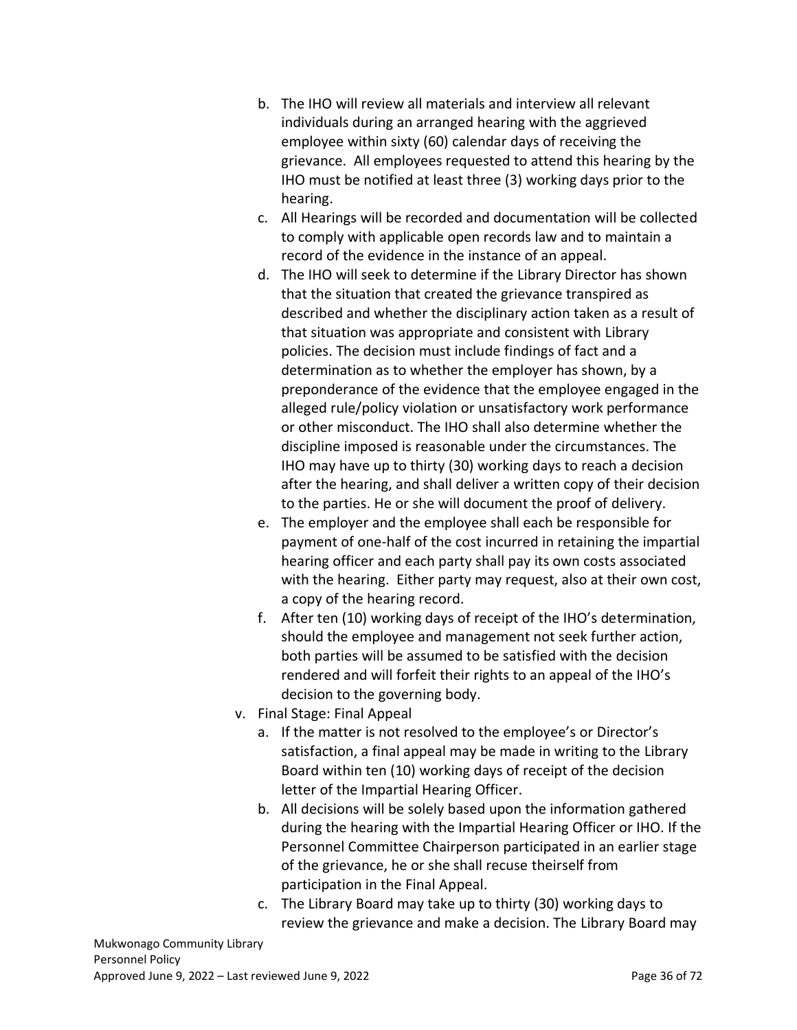- b. The IHO will review all materials and interview all relevant individuals during an arranged hearing with the aggrieved employee within sixty (60) calendar days of receiving the grievance. All employees requested to attend this hearing by the IHO must be notified at least three (3) working days prior to the hearing.
- c. All Hearings will be recorded and documentation will be collected to comply with applicable open records law and to maintain a record of the evidence in the instance of an appeal.
- d. The IHO will seek to determine if the Library Director has shown that the situation that created the grievance transpired as described and whether the disciplinary action taken as a result of that situation was appropriate and consistent with Library policies. The decision must include findings of fact and a determination as to whether the employer has shown, by a preponderance of the evidence that the employee engaged in the alleged rule/policy violation or unsatisfactory work performance or other misconduct. The IHO shall also determine whether the discipline imposed is reasonable under the circumstances. The IHO may have up to thirty (30) working days to reach a decision after the hearing, and shall deliver a written copy of their decision to the parties. He or she will document the proof of delivery.
- e. The employer and the employee shall each be responsible for payment of one-half of the cost incurred in retaining the impartial hearing officer and each party shall pay its own costs associated with the hearing. Either party may request, also at their own cost, a copy of the hearing record.
- f. After ten (10) working days of receipt of the IHO's determination, should the employee and management not seek further action, both parties will be assumed to be satisfied with the decision rendered and will forfeit their rights to an appeal of the IHO's decision to the governing body.
- v. Final Stage: Final Appeal
	- a. If the matter is not resolved to the employee's or Director's satisfaction, a final appeal may be made in writing to the Library Board within ten (10) working days of receipt of the decision letter of the Impartial Hearing Officer.
	- b. All decisions will be solely based upon the information gathered during the hearing with the Impartial Hearing Officer or IHO. If the Personnel Committee Chairperson participated in an earlier stage of the grievance, he or she shall recuse theirself from participation in the Final Appeal.
	- c. The Library Board may take up to thirty (30) working days to review the grievance and make a decision. The Library Board may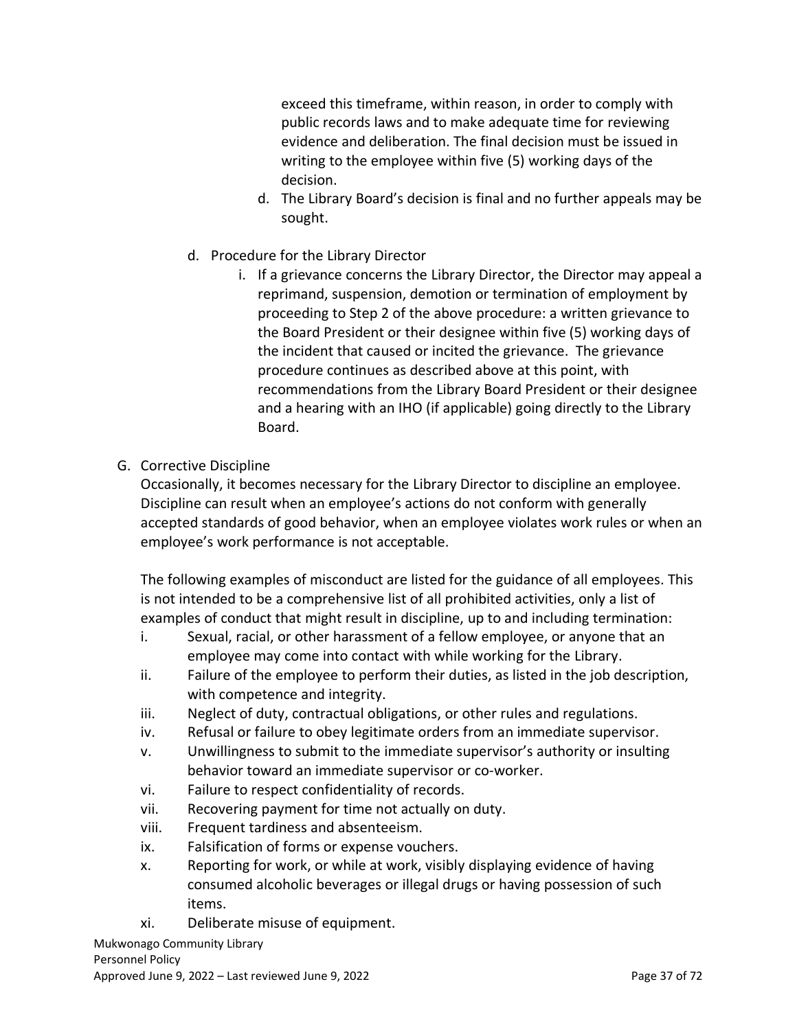exceed this timeframe, within reason, in order to comply with public records laws and to make adequate time for reviewing evidence and deliberation. The final decision must be issued in writing to the employee within five (5) working days of the decision.

- d. The Library Board's decision is final and no further appeals may be sought.
- d. Procedure for the Library Director
	- i. If a grievance concerns the Library Director, the Director may appeal a reprimand, suspension, demotion or termination of employment by proceeding to Step 2 of the above procedure: a written grievance to the Board President or their designee within five (5) working days of the incident that caused or incited the grievance. The grievance procedure continues as described above at this point, with recommendations from the Library Board President or their designee and a hearing with an IHO (if applicable) going directly to the Library Board.
- G. Corrective Discipline

Occasionally, it becomes necessary for the Library Director to discipline an employee. Discipline can result when an employee's actions do not conform with generally accepted standards of good behavior, when an employee violates work rules or when an employee's work performance is not acceptable.

The following examples of misconduct are listed for the guidance of all employees. This is not intended to be a comprehensive list of all prohibited activities, only a list of examples of conduct that might result in discipline, up to and including termination:

- i. Sexual, racial, or other harassment of a fellow employee, or anyone that an employee may come into contact with while working for the Library.
- ii. Failure of the employee to perform their duties, as listed in the job description, with competence and integrity.
- iii. Neglect of duty, contractual obligations, or other rules and regulations.
- iv. Refusal or failure to obey legitimate orders from an immediate supervisor.
- v. Unwillingness to submit to the immediate supervisor's authority or insulting behavior toward an immediate supervisor or co-worker.
- vi. Failure to respect confidentiality of records.
- vii. Recovering payment for time not actually on duty.
- viii. Frequent tardiness and absenteeism.
- ix. Falsification of forms or expense vouchers.
- x. Reporting for work, or while at work, visibly displaying evidence of having consumed alcoholic beverages or illegal drugs or having possession of such items.
- xi. Deliberate misuse of equipment.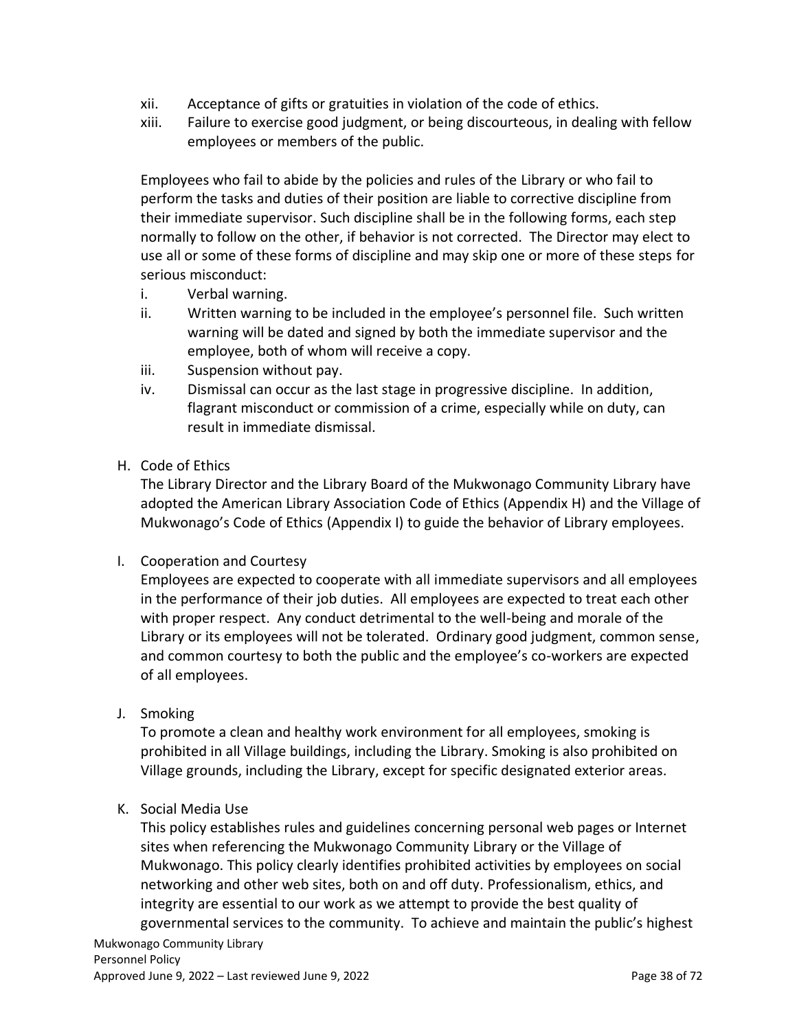- xii. Acceptance of gifts or gratuities in violation of the code of ethics.
- xiii. Failure to exercise good judgment, or being discourteous, in dealing with fellow employees or members of the public.

Employees who fail to abide by the policies and rules of the Library or who fail to perform the tasks and duties of their position are liable to corrective discipline from their immediate supervisor. Such discipline shall be in the following forms, each step normally to follow on the other, if behavior is not corrected. The Director may elect to use all or some of these forms of discipline and may skip one or more of these steps for serious misconduct:

- i. Verbal warning.
- ii. Written warning to be included in the employee's personnel file. Such written warning will be dated and signed by both the immediate supervisor and the employee, both of whom will receive a copy.
- iii. Suspension without pay.
- iv. Dismissal can occur as the last stage in progressive discipline. In addition, flagrant misconduct or commission of a crime, especially while on duty, can result in immediate dismissal.
- H. Code of Ethics

The Library Director and the Library Board of the Mukwonago Community Library have adopted the American Library Association Code of Ethics (Appendix H) and the Village of Mukwonago's Code of Ethics (Appendix I) to guide the behavior of Library employees.

I. Cooperation and Courtesy

Employees are expected to cooperate with all immediate supervisors and all employees in the performance of their job duties. All employees are expected to treat each other with proper respect. Any conduct detrimental to the well-being and morale of the Library or its employees will not be tolerated. Ordinary good judgment, common sense, and common courtesy to both the public and the employee's co-workers are expected of all employees.

J. Smoking

To promote a clean and healthy work environment for all employees, smoking is prohibited in all Village buildings, including the Library. Smoking is also prohibited on Village grounds, including the Library, except for specific designated exterior areas.

K. Social Media Use

This policy establishes rules and guidelines concerning personal web pages or Internet sites when referencing the Mukwonago Community Library or the Village of Mukwonago. This policy clearly identifies prohibited activities by employees on social networking and other web sites, both on and off duty. Professionalism, ethics, and integrity are essential to our work as we attempt to provide the best quality of governmental services to the community. To achieve and maintain the public's highest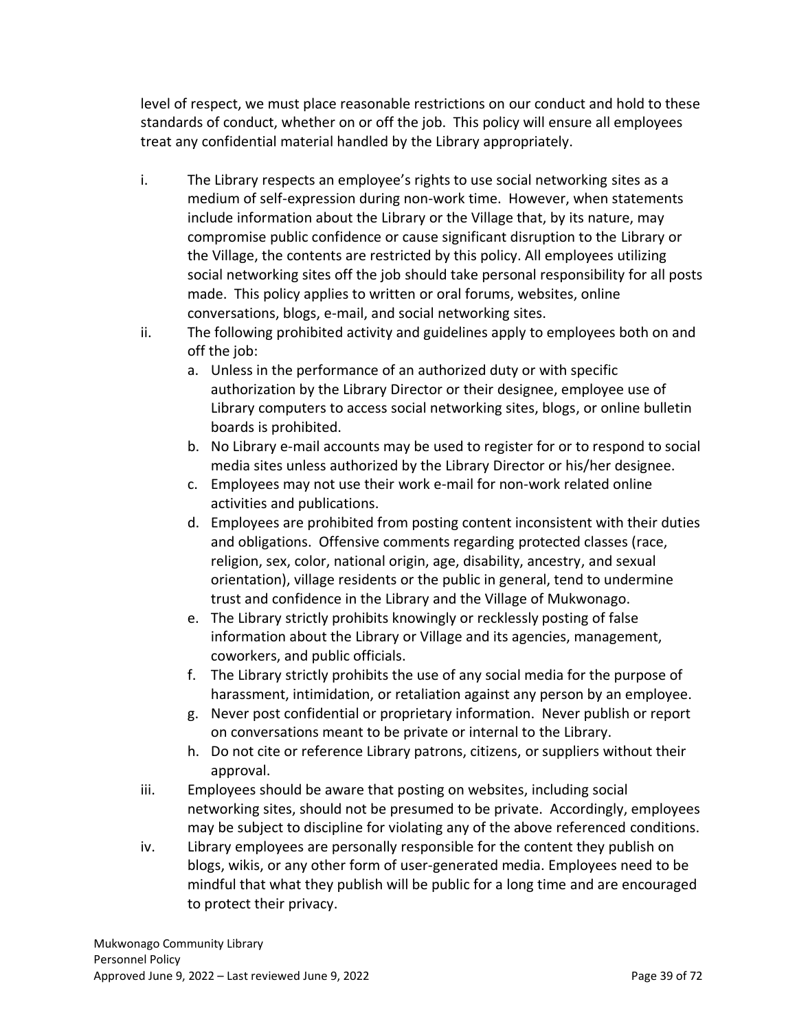level of respect, we must place reasonable restrictions on our conduct and hold to these standards of conduct, whether on or off the job. This policy will ensure all employees treat any confidential material handled by the Library appropriately.

- i. The Library respects an employee's rights to use social networking sites as a medium of self-expression during non-work time. However, when statements include information about the Library or the Village that, by its nature, may compromise public confidence or cause significant disruption to the Library or the Village, the contents are restricted by this policy. All employees utilizing social networking sites off the job should take personal responsibility for all posts made. This policy applies to written or oral forums, websites, online conversations, blogs, e-mail, and social networking sites.
- ii. The following prohibited activity and guidelines apply to employees both on and off the job:
	- a. Unless in the performance of an authorized duty or with specific authorization by the Library Director or their designee, employee use of Library computers to access social networking sites, blogs, or online bulletin boards is prohibited.
	- b. No Library e-mail accounts may be used to register for or to respond to social media sites unless authorized by the Library Director or his/her designee.
	- c. Employees may not use their work e-mail for non-work related online activities and publications.
	- d. Employees are prohibited from posting content inconsistent with their duties and obligations. Offensive comments regarding protected classes (race, religion, sex, color, national origin, age, disability, ancestry, and sexual orientation), village residents or the public in general, tend to undermine trust and confidence in the Library and the Village of Mukwonago.
	- e. The Library strictly prohibits knowingly or recklessly posting of false information about the Library or Village and its agencies, management, coworkers, and public officials.
	- f. The Library strictly prohibits the use of any social media for the purpose of harassment, intimidation, or retaliation against any person by an employee.
	- g. Never post confidential or proprietary information. Never publish or report on conversations meant to be private or internal to the Library.
	- h. Do not cite or reference Library patrons, citizens, or suppliers without their approval.
- iii. Employees should be aware that posting on websites, including social networking sites, should not be presumed to be private. Accordingly, employees may be subject to discipline for violating any of the above referenced conditions.
- iv. Library employees are personally responsible for the content they publish on blogs, wikis, or any other form of user-generated media. Employees need to be mindful that what they publish will be public for a long time and are encouraged to protect their privacy.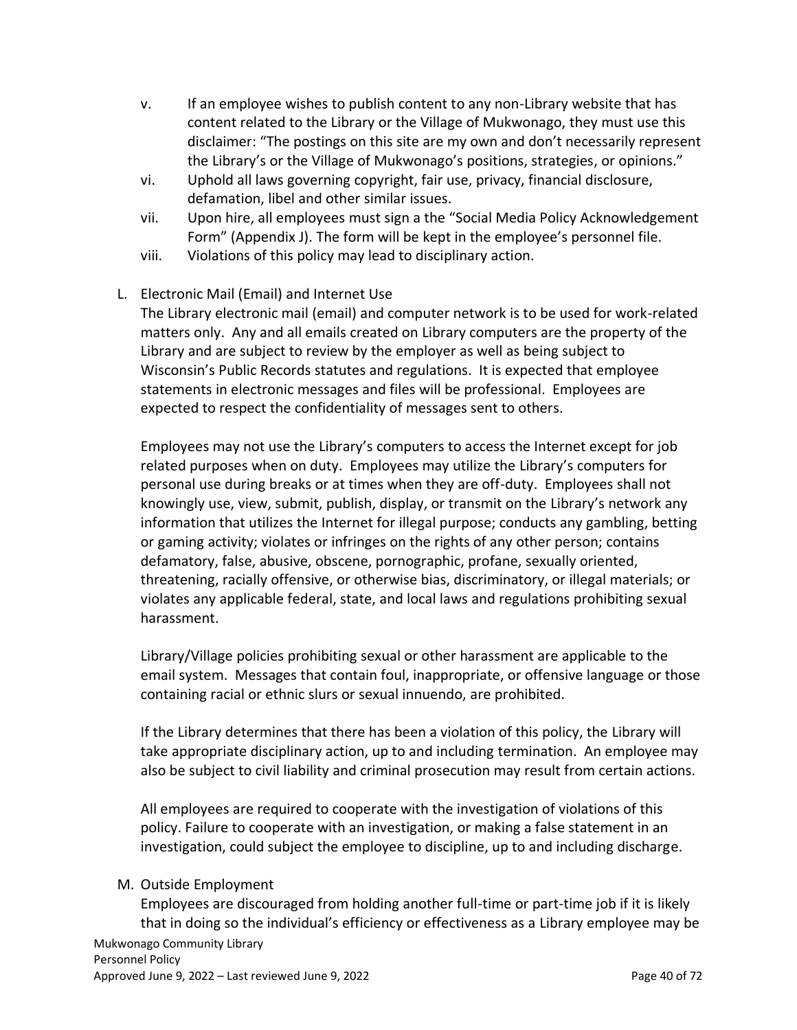- v. If an employee wishes to publish content to any non-Library website that has content related to the Library or the Village of Mukwonago, they must use this disclaimer: "The postings on this site are my own and don't necessarily represent the Library's or the Village of Mukwonago's positions, strategies, or opinions."
- vi. Uphold all laws governing copyright, fair use, privacy, financial disclosure, defamation, libel and other similar issues.
- vii. Upon hire, all employees must sign a the "[Social Media Policy Acknowledgement](#page-68-0)  [Form](#page-68-0)" (Appendix J). The form will be kept in the employee's personnel file.
- viii. Violations of this policy may lead to disciplinary action.

## L. Electronic Mail (Email) and Internet Use

The Library electronic mail (email) and computer network is to be used for work-related matters only. Any and all emails created on Library computers are the property of the Library and are subject to review by the employer as well as being subject to Wisconsin's Public Records statutes and regulations. It is expected that employee statements in electronic messages and files will be professional. Employees are expected to respect the confidentiality of messages sent to others.

Employees may not use the Library's computers to access the Internet except for job related purposes when on duty. Employees may utilize the Library's computers for personal use during breaks or at times when they are off-duty. Employees shall not knowingly use, view, submit, publish, display, or transmit on the Library's network any information that utilizes the Internet for illegal purpose; conducts any gambling, betting or gaming activity; violates or infringes on the rights of any other person; contains defamatory, false, abusive, obscene, pornographic, profane, sexually oriented, threatening, racially offensive, or otherwise bias, discriminatory, or illegal materials; or violates any applicable federal, state, and local laws and regulations prohibiting sexual harassment.

Library/Village policies prohibiting sexual or other harassment are applicable to the email system. Messages that contain foul, inappropriate, or offensive language or those containing racial or ethnic slurs or sexual innuendo, are prohibited.

If the Library determines that there has been a violation of this policy, the Library will take appropriate disciplinary action, up to and including termination. An employee may also be subject to civil liability and criminal prosecution may result from certain actions.

All employees are required to cooperate with the investigation of violations of this policy. Failure to cooperate with an investigation, or making a false statement in an investigation, could subject the employee to discipline, up to and including discharge.

#### M. Outside Employment

Employees are discouraged from holding another full-time or part-time job if it is likely that in doing so the individual's efficiency or effectiveness as a Library employee may be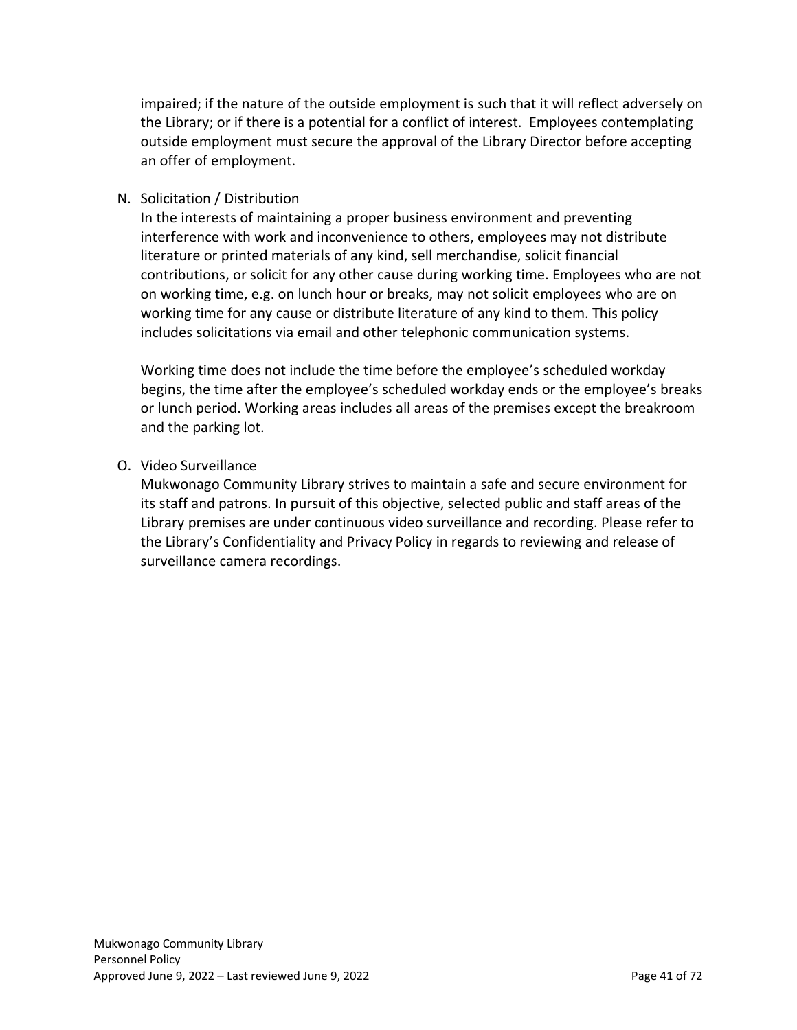impaired; if the nature of the outside employment is such that it will reflect adversely on the Library; or if there is a potential for a conflict of interest. Employees contemplating outside employment must secure the approval of the Library Director before accepting an offer of employment.

#### N. Solicitation / Distribution

In the interests of maintaining a proper business environment and preventing interference with work and inconvenience to others, employees may not distribute literature or printed materials of any kind, sell merchandise, solicit financial contributions, or solicit for any other cause during working time. Employees who are not on working time, e.g. on lunch hour or breaks, may not solicit employees who are on working time for any cause or distribute literature of any kind to them. This policy includes solicitations via email and other telephonic communication systems.

Working time does not include the time before the employee's scheduled workday begins, the time after the employee's scheduled workday ends or the employee's breaks or lunch period. Working areas includes all areas of the premises except the breakroom and the parking lot.

#### O. Video Surveillance

Mukwonago Community Library strives to maintain a safe and secure environment for its staff and patrons. In pursuit of this objective, selected public and staff areas of the Library premises are under continuous video surveillance and recording. Please refer to the Library's Confidentiality and Privacy Policy in regards to reviewing and release of surveillance camera recordings.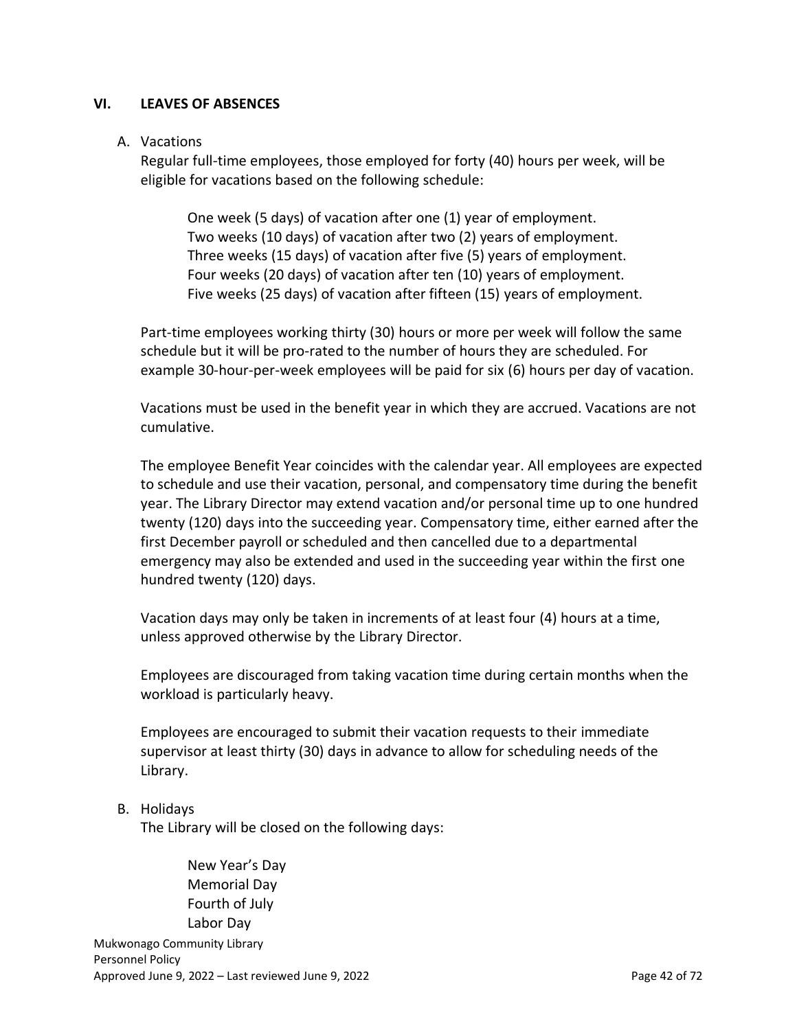#### **VI. LEAVES OF ABSENCES**

#### A. Vacations

Regular full-time employees, those employed for forty (40) hours per week, will be eligible for vacations based on the following schedule:

One week (5 days) of vacation after one (1) year of employment. Two weeks (10 days) of vacation after two (2) years of employment. Three weeks (15 days) of vacation after five (5) years of employment. Four weeks (20 days) of vacation after ten (10) years of employment. Five weeks (25 days) of vacation after fifteen (15) years of employment.

Part-time employees working thirty (30) hours or more per week will follow the same schedule but it will be pro-rated to the number of hours they are scheduled. For example 30-hour-per-week employees will be paid for six (6) hours per day of vacation.

Vacations must be used in the benefit year in which they are accrued. Vacations are not cumulative.

The employee Benefit Year coincides with the calendar year. All employees are expected to schedule and use their vacation, personal, and compensatory time during the benefit year. The Library Director may extend vacation and/or personal time up to one hundred twenty (120) days into the succeeding year. Compensatory time, either earned after the first December payroll or scheduled and then cancelled due to a departmental emergency may also be extended and used in the succeeding year within the first one hundred twenty (120) days.

Vacation days may only be taken in increments of at least four (4) hours at a time, unless approved otherwise by the Library Director.

Employees are discouraged from taking vacation time during certain months when the workload is particularly heavy.

Employees are encouraged to submit their vacation requests to their immediate supervisor at least thirty (30) days in advance to allow for scheduling needs of the Library.

#### B. Holidays

The Library will be closed on the following days:

New Year's Day Memorial Day Fourth of July Labor Day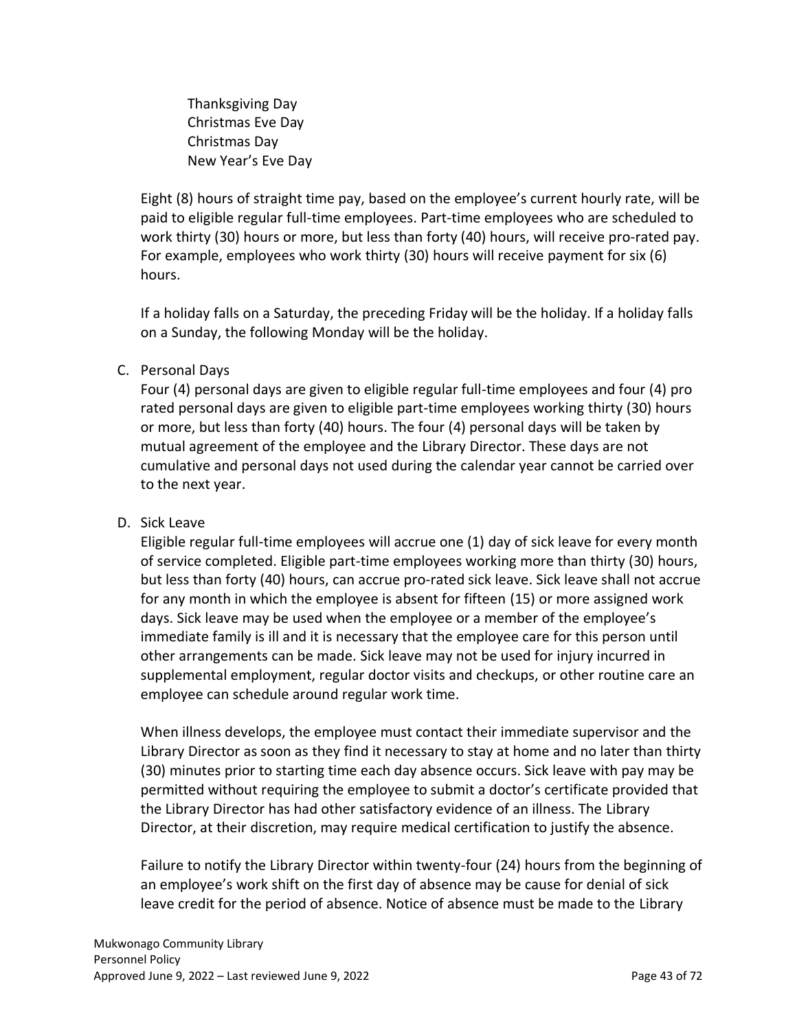Thanksgiving Day Christmas Eve Day Christmas Day New Year's Eve Day

Eight (8) hours of straight time pay, based on the employee's current hourly rate, will be paid to eligible regular full-time employees. Part-time employees who are scheduled to work thirty (30) hours or more, but less than forty (40) hours, will receive pro-rated pay. For example, employees who work thirty (30) hours will receive payment for six (6) hours.

If a holiday falls on a Saturday, the preceding Friday will be the holiday. If a holiday falls on a Sunday, the following Monday will be the holiday.

### C. Personal Days

Four (4) personal days are given to eligible regular full-time employees and four (4) pro rated personal days are given to eligible part-time employees working thirty (30) hours or more, but less than forty (40) hours. The four (4) personal days will be taken by mutual agreement of the employee and the Library Director. These days are not cumulative and personal days not used during the calendar year cannot be carried over to the next year.

#### D. Sick Leave

Eligible regular full-time employees will accrue one (1) day of sick leave for every month of service completed. Eligible part-time employees working more than thirty (30) hours, but less than forty (40) hours, can accrue pro-rated sick leave. Sick leave shall not accrue for any month in which the employee is absent for fifteen (15) or more assigned work days. Sick leave may be used when the employee or a member of the employee's immediate family is ill and it is necessary that the employee care for this person until other arrangements can be made. Sick leave may not be used for injury incurred in supplemental employment, regular doctor visits and checkups, or other routine care an employee can schedule around regular work time.

When illness develops, the employee must contact their immediate supervisor and the Library Director as soon as they find it necessary to stay at home and no later than thirty (30) minutes prior to starting time each day absence occurs. Sick leave with pay may be permitted without requiring the employee to submit a doctor's certificate provided that the Library Director has had other satisfactory evidence of an illness. The Library Director, at their discretion, may require medical certification to justify the absence.

Failure to notify the Library Director within twenty-four (24) hours from the beginning of an employee's work shift on the first day of absence may be cause for denial of sick leave credit for the period of absence. Notice of absence must be made to the Library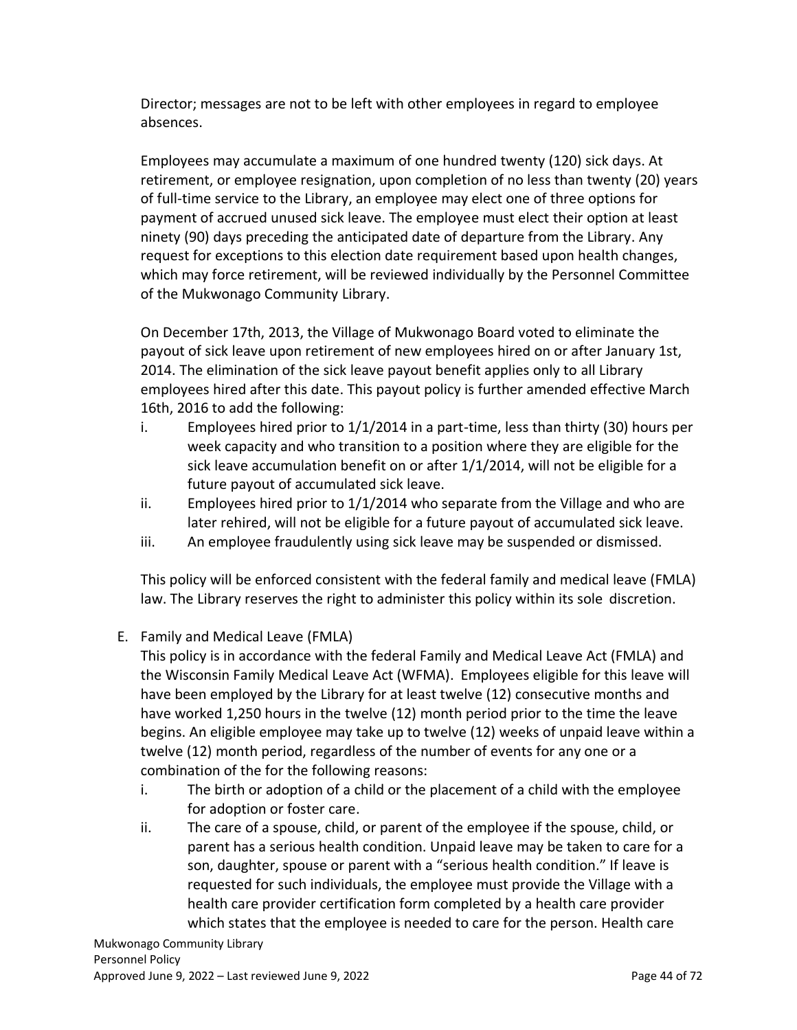Director; messages are not to be left with other employees in regard to employee absences.

Employees may accumulate a maximum of one hundred twenty (120) sick days. At retirement, or employee resignation, upon completion of no less than twenty (20) years of full-time service to the Library, an employee may elect one of three options for payment of accrued unused sick leave. The employee must elect their option at least ninety (90) days preceding the anticipated date of departure from the Library. Any request for exceptions to this election date requirement based upon health changes, which may force retirement, will be reviewed individually by the Personnel Committee of the Mukwonago Community Library.

On December 17th, 2013, the Village of Mukwonago Board voted to eliminate the payout of sick leave upon retirement of new employees hired on or after January 1st, 2014. The elimination of the sick leave payout benefit applies only to all Library employees hired after this date. This payout policy is further amended effective March 16th, 2016 to add the following:

- i. Employees hired prior to  $1/1/2014$  in a part-time, less than thirty (30) hours per week capacity and who transition to a position where they are eligible for the sick leave accumulation benefit on or after 1/1/2014, will not be eligible for a future payout of accumulated sick leave.
- ii. Employees hired prior to 1/1/2014 who separate from the Village and who are later rehired, will not be eligible for a future payout of accumulated sick leave.
- iii. An employee fraudulently using sick leave may be suspended or dismissed.

This policy will be enforced consistent with the federal family and medical leave (FMLA) law. The Library reserves the right to administer this policy within its sole discretion.

E. Family and Medical Leave (FMLA)

This policy is in accordance with the federal Family and Medical Leave Act (FMLA) and the Wisconsin Family Medical Leave Act (WFMA). Employees eligible for this leave will have been employed by the Library for at least twelve (12) consecutive months and have worked 1,250 hours in the twelve (12) month period prior to the time the leave begins. An eligible employee may take up to twelve (12) weeks of unpaid leave within a twelve (12) month period, regardless of the number of events for any one or a combination of the for the following reasons:

- i. The birth or adoption of a child or the placement of a child with the employee for adoption or foster care.
- ii. The care of a spouse, child, or parent of the employee if the spouse, child, or parent has a serious health condition. Unpaid leave may be taken to care for a son, daughter, spouse or parent with a "serious health condition." If leave is requested for such individuals, the employee must provide the Village with a health care provider certification form completed by a health care provider which states that the employee is needed to care for the person. Health care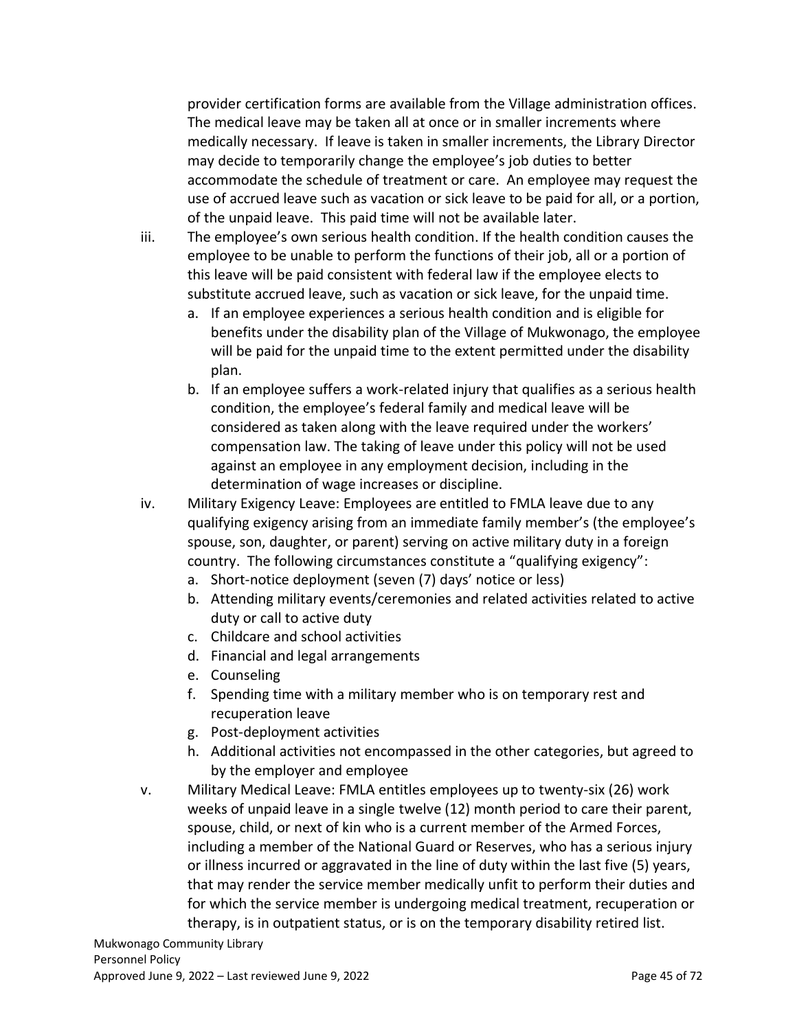provider certification forms are available from the Village administration offices. The medical leave may be taken all at once or in smaller increments where medically necessary. If leave is taken in smaller increments, the Library Director may decide to temporarily change the employee's job duties to better accommodate the schedule of treatment or care. An employee may request the use of accrued leave such as vacation or sick leave to be paid for all, or a portion, of the unpaid leave. This paid time will not be available later.

iii. The employee's own serious health condition. If the health condition causes the employee to be unable to perform the functions of their job, all or a portion of this leave will be paid consistent with federal law if the employee elects to substitute accrued leave, such as vacation or sick leave, for the unpaid time.

- a. If an employee experiences a serious health condition and is eligible for benefits under the disability plan of the Village of Mukwonago, the employee will be paid for the unpaid time to the extent permitted under the disability plan.
- b. If an employee suffers a work-related injury that qualifies as a serious health condition, the employee's federal family and medical leave will be considered as taken along with the leave required under the workers' compensation law. The taking of leave under this policy will not be used against an employee in any employment decision, including in the determination of wage increases or discipline.

iv. Military Exigency Leave: Employees are entitled to FMLA leave due to any qualifying exigency arising from an immediate family member's (the employee's spouse, son, daughter, or parent) serving on active military duty in a foreign country. The following circumstances constitute a "qualifying exigency":

- a. Short-notice deployment (seven (7) days' notice or less)
- b. Attending military events/ceremonies and related activities related to active duty or call to active duty
- c. Childcare and school activities
- d. Financial and legal arrangements
- e. Counseling
- f. Spending time with a military member who is on temporary rest and recuperation leave
- g. Post-deployment activities
- h. Additional activities not encompassed in the other categories, but agreed to by the employer and employee
- v. Military Medical Leave: FMLA entitles employees up to twenty-six (26) work weeks of unpaid leave in a single twelve (12) month period to care their parent, spouse, child, or next of kin who is a current member of the Armed Forces, including a member of the National Guard or Reserves, who has a serious injury or illness incurred or aggravated in the line of duty within the last five (5) years, that may render the service member medically unfit to perform their duties and for which the service member is undergoing medical treatment, recuperation or therapy, is in outpatient status, or is on the temporary disability retired list.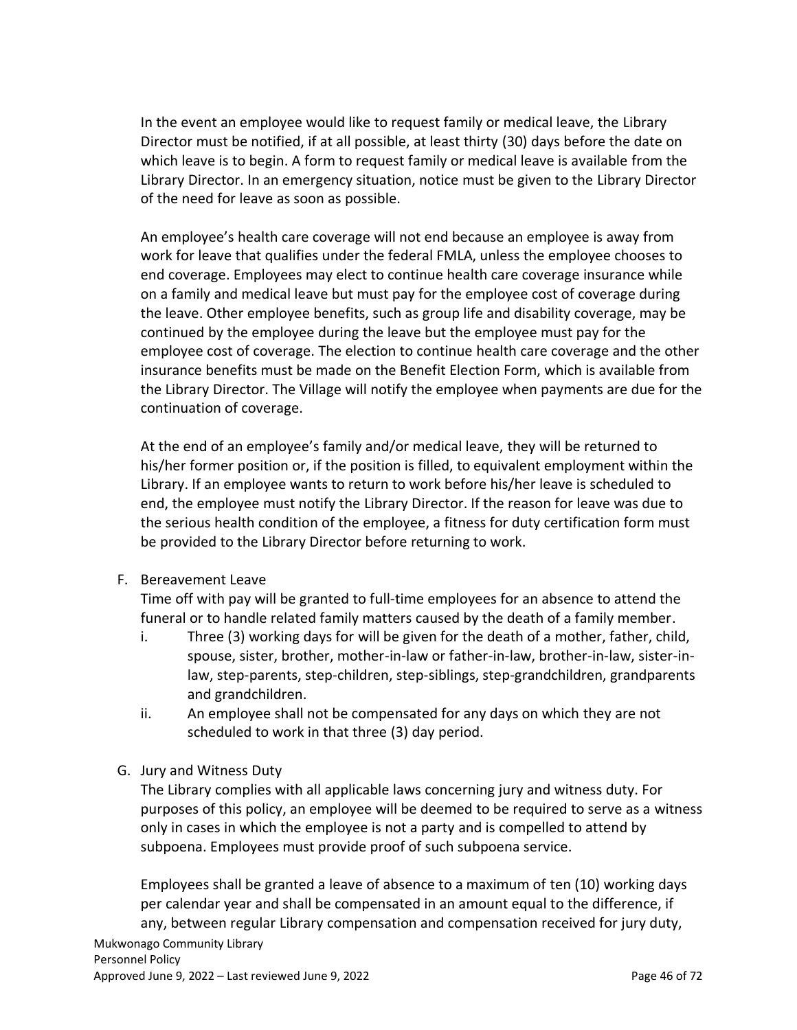In the event an employee would like to request family or medical leave, the Library Director must be notified, if at all possible, at least thirty (30) days before the date on which leave is to begin. A form to request family or medical leave is available from the Library Director. In an emergency situation, notice must be given to the Library Director of the need for leave as soon as possible.

An employee's health care coverage will not end because an employee is away from work for leave that qualifies under the federal FMLA, unless the employee chooses to end coverage. Employees may elect to continue health care coverage insurance while on a family and medical leave but must pay for the employee cost of coverage during the leave. Other employee benefits, such as group life and disability coverage, may be continued by the employee during the leave but the employee must pay for the employee cost of coverage. The election to continue health care coverage and the other insurance benefits must be made on the Benefit Election Form, which is available from the Library Director. The Village will notify the employee when payments are due for the continuation of coverage.

At the end of an employee's family and/or medical leave, they will be returned to his/her former position or, if the position is filled, to equivalent employment within the Library. If an employee wants to return to work before his/her leave is scheduled to end, the employee must notify the Library Director. If the reason for leave was due to the serious health condition of the employee, a fitness for duty certification form must be provided to the Library Director before returning to work.

F. Bereavement Leave

Time off with pay will be granted to full-time employees for an absence to attend the funeral or to handle related family matters caused by the death of a family member.

- i. Three (3) working days for will be given for the death of a mother, father, child, spouse, sister, brother, mother-in-law or father-in-law, brother-in-law, sister-inlaw, step-parents, step-children, step-siblings, step-grandchildren, grandparents and grandchildren.
- ii. An employee shall not be compensated for any days on which they are not scheduled to work in that three (3) day period.
- G. Jury and Witness Duty

The Library complies with all applicable laws concerning jury and witness duty. For purposes of this policy, an employee will be deemed to be required to serve as a witness only in cases in which the employee is not a party and is compelled to attend by subpoena. Employees must provide proof of such subpoena service.

Employees shall be granted a leave of absence to a maximum of ten (10) working days per calendar year and shall be compensated in an amount equal to the difference, if any, between regular Library compensation and compensation received for jury duty,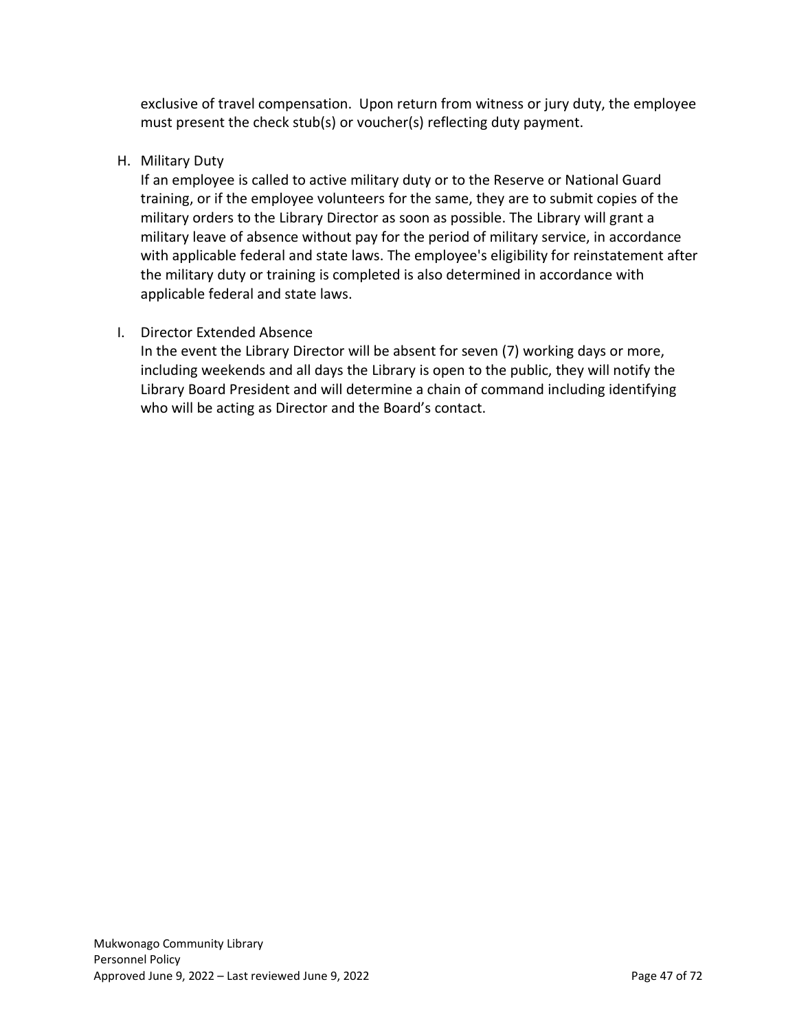exclusive of travel compensation. Upon return from witness or jury duty, the employee must present the check stub(s) or voucher(s) reflecting duty payment.

### H. Military Duty

If an employee is called to active military duty or to the Reserve or National Guard training, or if the employee volunteers for the same, they are to submit copies of the military orders to the Library Director as soon as possible. The Library will grant a military leave of absence without pay for the period of military service, in accordance with applicable federal and state laws. The employee's eligibility for reinstatement after the military duty or training is completed is also determined in accordance with applicable federal and state laws.

## I. Director Extended Absence

In the event the Library Director will be absent for seven (7) working days or more, including weekends and all days the Library is open to the public, they will notify the Library Board President and will determine a chain of command including identifying who will be acting as Director and the Board's contact.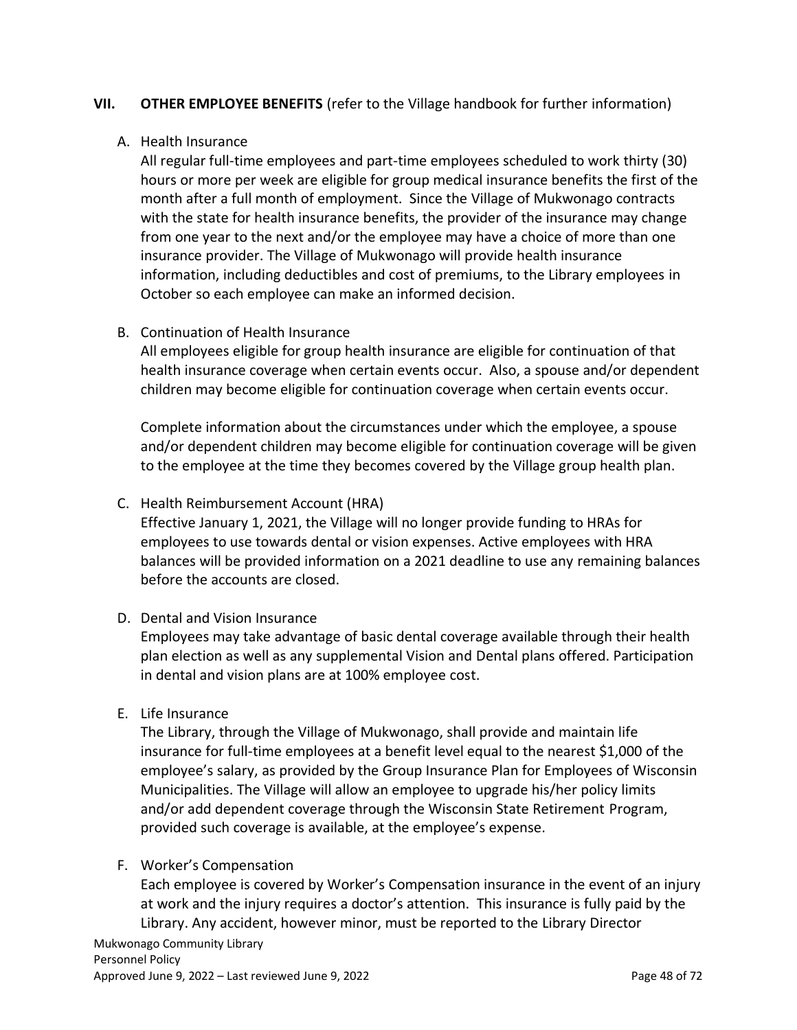#### **VII. OTHER EMPLOYEE BENEFITS** (refer to the Village handbook for further information)

#### A. Health Insurance

All regular full-time employees and part-time employees scheduled to work thirty (30) hours or more per week are eligible for group medical insurance benefits the first of the month after a full month of employment. Since the Village of Mukwonago contracts with the state for health insurance benefits, the provider of the insurance may change from one year to the next and/or the employee may have a choice of more than one insurance provider. The Village of Mukwonago will provide health insurance information, including deductibles and cost of premiums, to the Library employees in October so each employee can make an informed decision.

#### B. Continuation of Health Insurance

All employees eligible for group health insurance are eligible for continuation of that health insurance coverage when certain events occur. Also, a spouse and/or dependent children may become eligible for continuation coverage when certain events occur.

Complete information about the circumstances under which the employee, a spouse and/or dependent children may become eligible for continuation coverage will be given to the employee at the time they becomes covered by the Village group health plan.

### C. Health Reimbursement Account (HRA)

Effective January 1, 2021, the Village will no longer provide funding to HRAs for employees to use towards dental or vision expenses. Active employees with HRA balances will be provided information on a 2021 deadline to use any remaining balances before the accounts are closed.

#### D. Dental and Vision Insurance

Employees may take advantage of basic dental coverage available through their health plan election as well as any supplemental Vision and Dental plans offered. Participation in dental and vision plans are at 100% employee cost.

#### E. Life Insurance

The Library, through the Village of Mukwonago, shall provide and maintain life insurance for full-time employees at a benefit level equal to the nearest \$1,000 of the employee's salary, as provided by the Group Insurance Plan for Employees of Wisconsin Municipalities. The Village will allow an employee to upgrade his/her policy limits and/or add dependent coverage through the Wisconsin State Retirement Program, provided such coverage is available, at the employee's expense.

#### F. Worker's Compensation

Each employee is covered by Worker's Compensation insurance in the event of an injury at work and the injury requires a doctor's attention. This insurance is fully paid by the Library. Any accident, however minor, must be reported to the Library Director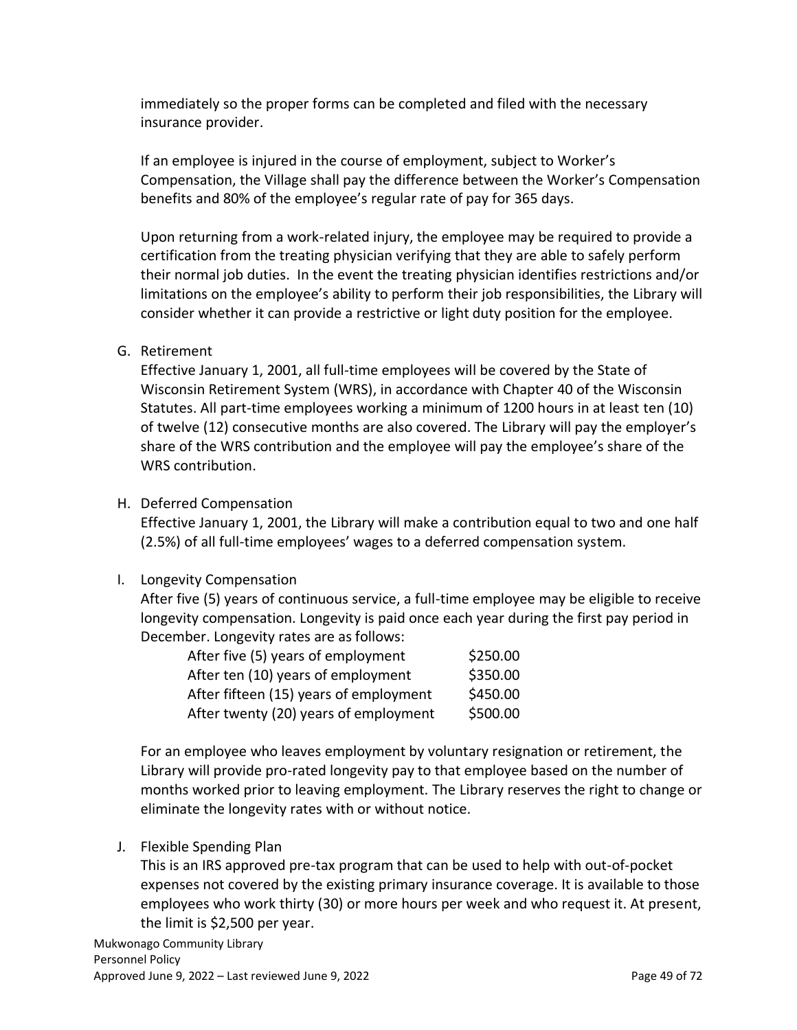immediately so the proper forms can be completed and filed with the necessary insurance provider.

If an employee is injured in the course of employment, subject to Worker's Compensation, the Village shall pay the difference between the Worker's Compensation benefits and 80% of the employee's regular rate of pay for 365 days.

Upon returning from a work-related injury, the employee may be required to provide a certification from the treating physician verifying that they are able to safely perform their normal job duties. In the event the treating physician identifies restrictions and/or limitations on the employee's ability to perform their job responsibilities, the Library will consider whether it can provide a restrictive or light duty position for the employee.

### G. Retirement

Effective January 1, 2001, all full-time employees will be covered by the State of Wisconsin Retirement System (WRS), in accordance with Chapter 40 of the Wisconsin Statutes. All part-time employees working a minimum of 1200 hours in at least ten (10) of twelve (12) consecutive months are also covered. The Library will pay the employer's share of the WRS contribution and the employee will pay the employee's share of the WRS contribution.

### H. Deferred Compensation

Effective January 1, 2001, the Library will make a contribution equal to two and one half (2.5%) of all full-time employees' wages to a deferred compensation system.

#### I. Longevity Compensation

After five (5) years of continuous service, a full-time employee may be eligible to receive longevity compensation. Longevity is paid once each year during the first pay period in December. Longevity rates are as follows:

| After five (5) years of employment     | \$250.00 |
|----------------------------------------|----------|
| After ten (10) years of employment     | \$350.00 |
| After fifteen (15) years of employment | \$450.00 |
| After twenty (20) years of employment  | \$500.00 |

For an employee who leaves employment by voluntary resignation or retirement, the Library will provide pro-rated longevity pay to that employee based on the number of months worked prior to leaving employment. The Library reserves the right to change or eliminate the longevity rates with or without notice.

#### J. Flexible Spending Plan

This is an IRS approved pre-tax program that can be used to help with out-of-pocket expenses not covered by the existing primary insurance coverage. It is available to those employees who work thirty (30) or more hours per week and who request it. At present, the limit is \$2,500 per year.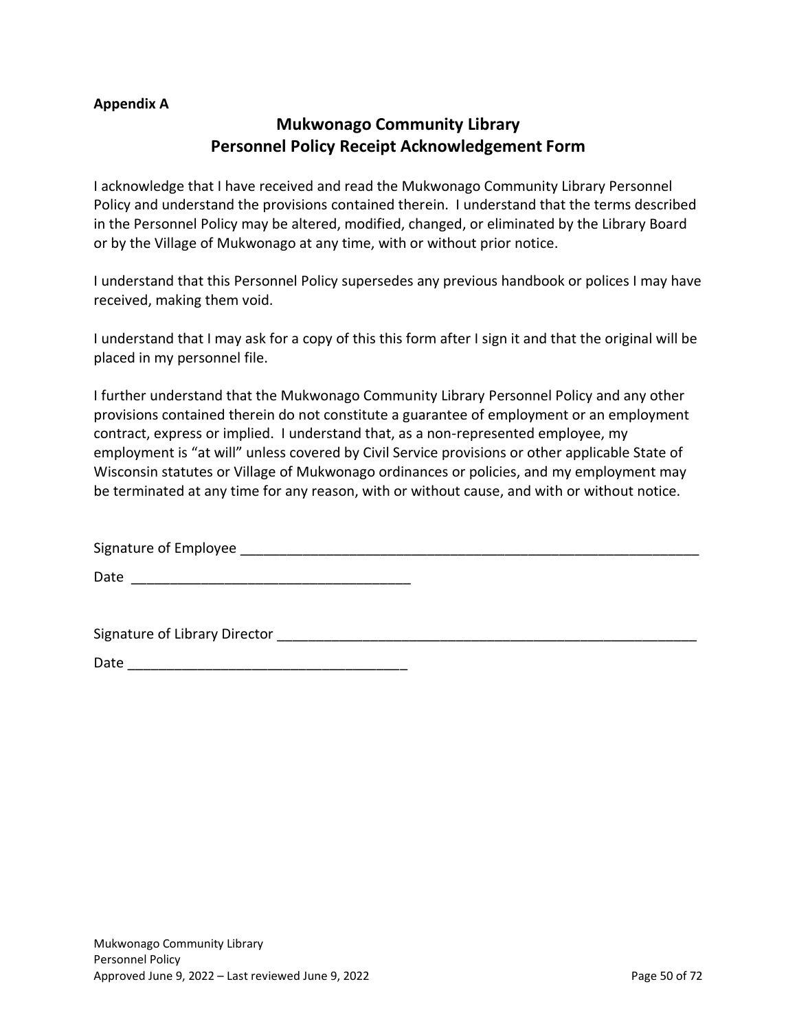#### **Appendix A**

## **Mukwonago Community Library Personnel Policy Receipt Acknowledgement Form**

I acknowledge that I have received and read the Mukwonago Community Library Personnel Policy and understand the provisions contained therein. I understand that the terms described in the Personnel Policy may be altered, modified, changed, or eliminated by the Library Board or by the Village of Mukwonago at any time, with or without prior notice.

I understand that this Personnel Policy supersedes any previous handbook or polices I may have received, making them void.

I understand that I may ask for a copy of this this form after I sign it and that the original will be placed in my personnel file.

I further understand that the Mukwonago Community Library Personnel Policy and any other provisions contained therein do not constitute a guarantee of employment or an employment contract, express or implied. I understand that, as a non-represented employee, my employment is "at will" unless covered by Civil Service provisions or other applicable State of Wisconsin statutes or Village of Mukwonago ordinances or policies, and my employment may be terminated at any time for any reason, with or without cause, and with or without notice.

Signature of Employee \_\_\_\_\_\_\_\_\_\_\_\_\_\_\_\_\_\_\_\_\_\_\_\_\_\_\_\_\_\_\_\_\_\_\_\_\_\_\_\_\_\_\_\_\_\_\_\_\_\_\_\_\_\_\_\_\_\_\_

Date \_\_\_\_\_\_\_\_\_\_\_\_\_\_\_\_\_\_\_\_\_\_\_\_\_\_\_\_\_\_\_\_\_\_\_\_

Signature of Library Director \_\_\_\_\_\_\_\_\_\_\_\_\_\_\_\_\_\_\_\_\_\_\_\_\_\_\_\_\_\_\_\_\_\_\_\_\_\_\_\_\_\_\_\_\_\_\_\_\_\_\_\_\_\_

Date \_\_\_\_\_\_\_\_\_\_\_\_\_\_\_\_\_\_\_\_\_\_\_\_\_\_\_\_\_\_\_\_\_\_\_\_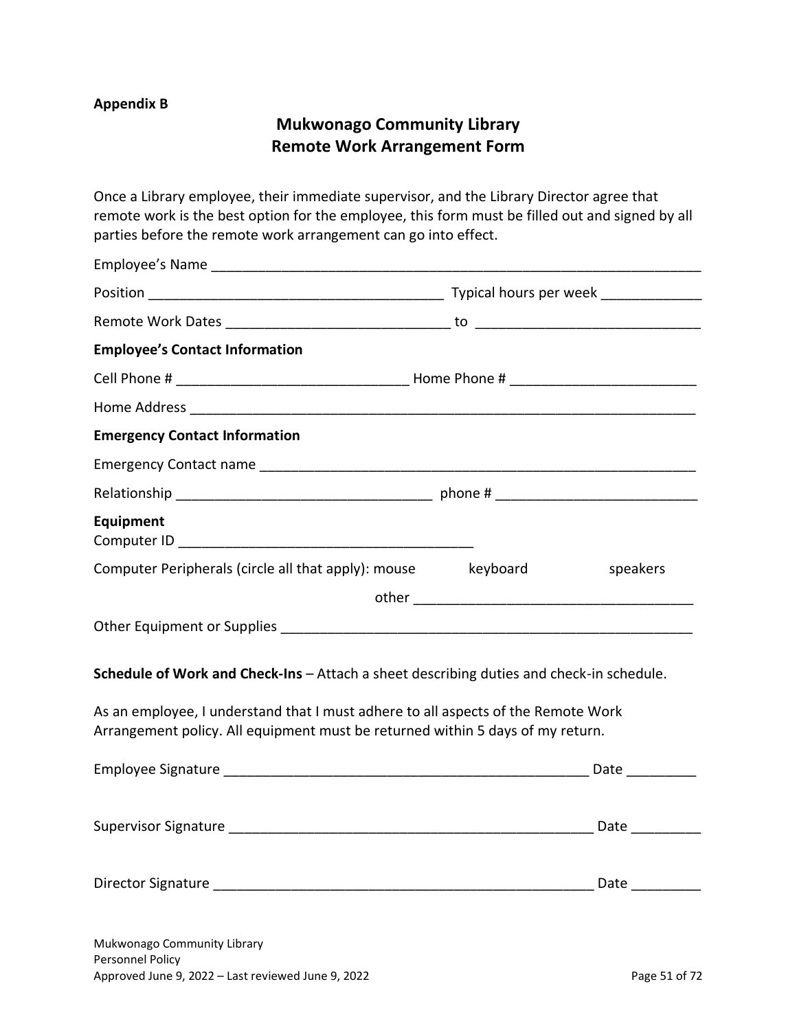### **Appendix B**

## **Mukwonago Community Library Remote Work Arrangement Form**

Once a Library employee, their immediate supervisor, and the Library Director agree that remote work is the best option for the employee, this form must be filled out and signed by all parties before the remote work arrangement can go into effect.

| <b>Employee's Contact Information</b>                                                                                                                               |          |
|---------------------------------------------------------------------------------------------------------------------------------------------------------------------|----------|
|                                                                                                                                                                     |          |
|                                                                                                                                                                     |          |
| <b>Emergency Contact Information</b>                                                                                                                                |          |
|                                                                                                                                                                     |          |
|                                                                                                                                                                     |          |
| Equipment                                                                                                                                                           |          |
| Computer Peripherals (circle all that apply): mouse keyboard                                                                                                        | speakers |
|                                                                                                                                                                     |          |
|                                                                                                                                                                     |          |
| Schedule of Work and Check-Ins - Attach a sheet describing duties and check-in schedule.                                                                            |          |
| As an employee, I understand that I must adhere to all aspects of the Remote Work<br>Arrangement policy. All equipment must be returned within 5 days of my return. |          |
|                                                                                                                                                                     |          |
|                                                                                                                                                                     |          |
|                                                                                                                                                                     |          |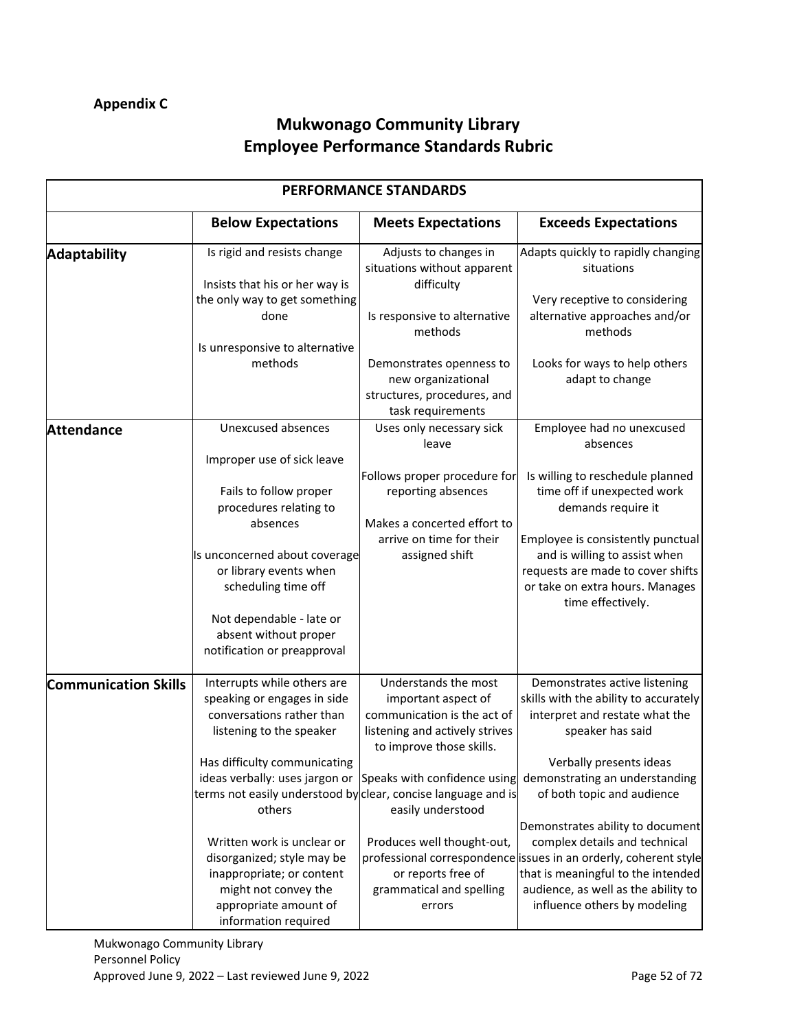# **Mukwonago Community Library Employee Performance Standards Rubric**

|                             | <b>PERFORMANCE STANDARDS</b>                                                                                                                                                                                                                                     |                                                                                                                                                                                               |                                                                                                                                                                                                                                                          |  |
|-----------------------------|------------------------------------------------------------------------------------------------------------------------------------------------------------------------------------------------------------------------------------------------------------------|-----------------------------------------------------------------------------------------------------------------------------------------------------------------------------------------------|----------------------------------------------------------------------------------------------------------------------------------------------------------------------------------------------------------------------------------------------------------|--|
|                             | <b>Below Expectations</b>                                                                                                                                                                                                                                        | <b>Meets Expectations</b>                                                                                                                                                                     | <b>Exceeds Expectations</b>                                                                                                                                                                                                                              |  |
| <b>Adaptability</b>         | Is rigid and resists change<br>Insists that his or her way is                                                                                                                                                                                                    | Adjusts to changes in<br>situations without apparent<br>difficulty                                                                                                                            | Adapts quickly to rapidly changing<br>situations                                                                                                                                                                                                         |  |
|                             | the only way to get something<br>done                                                                                                                                                                                                                            | Is responsive to alternative<br>methods                                                                                                                                                       | Very receptive to considering<br>alternative approaches and/or<br>methods                                                                                                                                                                                |  |
|                             | Is unresponsive to alternative<br>methods                                                                                                                                                                                                                        | Demonstrates openness to<br>new organizational<br>structures, procedures, and<br>task requirements                                                                                            | Looks for ways to help others<br>adapt to change                                                                                                                                                                                                         |  |
| <b>Attendance</b>           | <b>Unexcused absences</b>                                                                                                                                                                                                                                        | Uses only necessary sick<br>leave                                                                                                                                                             | Employee had no unexcused<br>absences                                                                                                                                                                                                                    |  |
|                             | Improper use of sick leave<br>Fails to follow proper<br>procedures relating to<br>absences<br>Is unconcerned about coverage<br>or library events when<br>scheduling time off<br>Not dependable - late or<br>absent without proper<br>notification or preapproval | Follows proper procedure for<br>reporting absences<br>Makes a concerted effort to<br>arrive on time for their<br>assigned shift                                                               | Is willing to reschedule planned<br>time off if unexpected work<br>demands require it<br>Employee is consistently punctual<br>and is willing to assist when<br>requests are made to cover shifts<br>or take on extra hours. Manages<br>time effectively. |  |
| <b>Communication Skills</b> | Interrupts while others are<br>speaking or engages in side<br>conversations rather than<br>listening to the speaker<br>Has difficulty communicating<br>ideas verbally: uses jargon or<br>terms not easily understood by clear, concise language and is<br>others | Understands the most<br>important aspect of<br>communication is the act of<br>listening and actively strives<br>to improve those skills.<br>Speaks with confidence using<br>easily understood | Demonstrates active listening<br>skills with the ability to accurately<br>interpret and restate what the<br>speaker has said<br>Verbally presents ideas<br>demonstrating an understanding<br>of both topic and audience                                  |  |
|                             | Written work is unclear or<br>disorganized; style may be<br>inappropriate; or content<br>might not convey the<br>appropriate amount of<br>information required                                                                                                   | Produces well thought-out,<br>or reports free of<br>grammatical and spelling<br>errors                                                                                                        | Demonstrates ability to document<br>complex details and technical<br>professional correspondence issues in an orderly, coherent style<br>that is meaningful to the intended<br>audience, as well as the ability to<br>influence others by modeling       |  |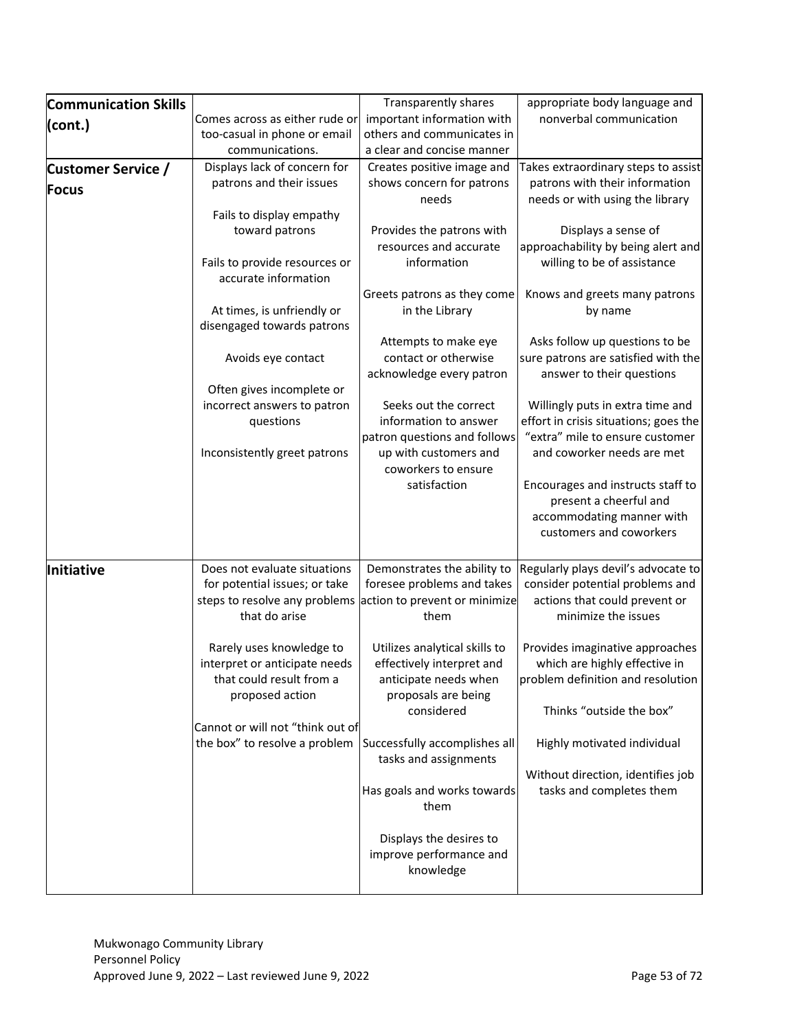| <b>Communication Skills</b> |                                                               | <b>Transparently shares</b>                        | appropriate body language and                                            |
|-----------------------------|---------------------------------------------------------------|----------------------------------------------------|--------------------------------------------------------------------------|
| (cont.)                     | Comes across as either rude or                                | important information with                         | nonverbal communication                                                  |
|                             | too-casual in phone or email                                  | others and communicates in                         |                                                                          |
|                             | communications.                                               | a clear and concise manner                         |                                                                          |
| <b>Customer Service /</b>   | Displays lack of concern for                                  | Creates positive image and                         | Takes extraordinary steps to assist                                      |
| Focus                       | patrons and their issues                                      | shows concern for patrons                          | patrons with their information                                           |
|                             |                                                               | needs                                              | needs or with using the library                                          |
|                             | Fails to display empathy                                      |                                                    |                                                                          |
|                             | toward patrons                                                | Provides the patrons with                          | Displays a sense of                                                      |
|                             |                                                               | resources and accurate                             | approachability by being alert and                                       |
|                             | Fails to provide resources or<br>accurate information         | information                                        | willing to be of assistance                                              |
|                             |                                                               | Greets patrons as they come                        | Knows and greets many patrons                                            |
|                             | At times, is unfriendly or                                    | in the Library                                     | by name                                                                  |
|                             | disengaged towards patrons                                    |                                                    |                                                                          |
|                             |                                                               | Attempts to make eye                               | Asks follow up questions to be                                           |
|                             | Avoids eye contact                                            | contact or otherwise                               | sure patrons are satisfied with the                                      |
|                             |                                                               | acknowledge every patron                           | answer to their questions                                                |
|                             | Often gives incomplete or                                     |                                                    |                                                                          |
|                             | incorrect answers to patron                                   | Seeks out the correct                              | Willingly puts in extra time and                                         |
|                             | questions                                                     | information to answer                              | effort in crisis situations; goes the<br>"extra" mile to ensure customer |
|                             |                                                               | patron questions and follows                       |                                                                          |
|                             | Inconsistently greet patrons                                  | up with customers and<br>coworkers to ensure       | and coworker needs are met                                               |
|                             |                                                               | satisfaction                                       |                                                                          |
|                             |                                                               |                                                    | Encourages and instructs staff to<br>present a cheerful and              |
|                             |                                                               |                                                    | accommodating manner with                                                |
|                             |                                                               |                                                    | customers and coworkers                                                  |
|                             |                                                               |                                                    |                                                                          |
| Initiative                  | Does not evaluate situations                                  | Demonstrates the ability to                        | Regularly plays devil's advocate to                                      |
|                             | for potential issues; or take                                 | foresee problems and takes                         | consider potential problems and                                          |
|                             | steps to resolve any problems                                 | action to prevent or minimize                      | actions that could prevent or                                            |
|                             | that do arise                                                 | them                                               | minimize the issues                                                      |
|                             |                                                               |                                                    |                                                                          |
|                             | Rarely uses knowledge to                                      | Utilizes analytical skills to                      | Provides imaginative approaches                                          |
|                             | interpret or anticipate needs                                 | effectively interpret and                          | which are highly effective in                                            |
|                             | that could result from a                                      | anticipate needs when                              | problem definition and resolution                                        |
|                             | proposed action                                               | proposals are being                                |                                                                          |
|                             |                                                               | considered                                         | Thinks "outside the box"                                                 |
|                             | Cannot or will not "think out of                              |                                                    |                                                                          |
|                             | the box" to resolve a problem   Successfully accomplishes all |                                                    | Highly motivated individual                                              |
|                             |                                                               | tasks and assignments                              |                                                                          |
|                             |                                                               |                                                    | Without direction, identifies job                                        |
|                             |                                                               | Has goals and works towards                        | tasks and completes them                                                 |
|                             |                                                               | them                                               |                                                                          |
|                             |                                                               |                                                    |                                                                          |
|                             |                                                               | Displays the desires to<br>improve performance and |                                                                          |
|                             |                                                               | knowledge                                          |                                                                          |
|                             |                                                               |                                                    |                                                                          |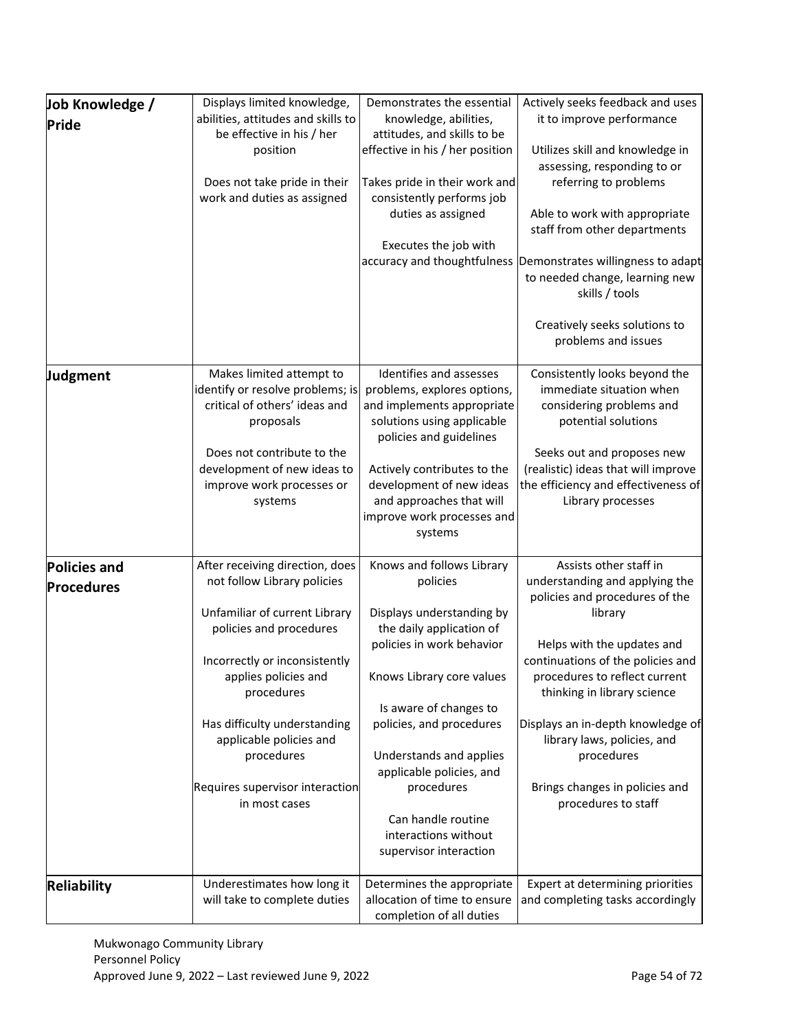| Job Knowledge /     | Displays limited knowledge,           | Demonstrates the essential                          | Actively seeks feedback and uses          |
|---------------------|---------------------------------------|-----------------------------------------------------|-------------------------------------------|
| Pride               | abilities, attitudes and skills to    | knowledge, abilities,                               | it to improve performance                 |
|                     | be effective in his / her             | attitudes, and skills to be                         |                                           |
|                     | position                              | effective in his / her position                     | Utilizes skill and knowledge in           |
|                     |                                       |                                                     | assessing, responding to or               |
|                     | Does not take pride in their          | Takes pride in their work and                       | referring to problems                     |
|                     | work and duties as assigned           | consistently performs job                           |                                           |
|                     |                                       | duties as assigned                                  | Able to work with appropriate             |
|                     |                                       | Executes the job with                               | staff from other departments              |
|                     |                                       | accuracy and thoughtfulness                         | Demonstrates willingness to adapt         |
|                     |                                       |                                                     | to needed change, learning new            |
|                     |                                       |                                                     | skills / tools                            |
|                     |                                       |                                                     |                                           |
|                     |                                       |                                                     | Creatively seeks solutions to             |
|                     |                                       |                                                     | problems and issues                       |
|                     |                                       |                                                     |                                           |
| Judgment            | Makes limited attempt to              | Identifies and assesses                             | Consistently looks beyond the             |
|                     | identify or resolve problems; is      | problems, explores options,                         | immediate situation when                  |
|                     | critical of others' ideas and         | and implements appropriate                          | considering problems and                  |
|                     | proposals                             | solutions using applicable                          | potential solutions                       |
|                     |                                       | policies and guidelines                             |                                           |
|                     | Does not contribute to the            |                                                     | Seeks out and proposes new                |
|                     | development of new ideas to           | Actively contributes to the                         | (realistic) ideas that will improve       |
|                     | improve work processes or             | development of new ideas                            | the efficiency and effectiveness of       |
|                     | systems                               | and approaches that will                            | Library processes                         |
|                     |                                       | improve work processes and                          |                                           |
|                     |                                       | systems                                             |                                           |
| <b>Policies and</b> | After receiving direction, does       | Knows and follows Library                           | Assists other staff in                    |
|                     | not follow Library policies           | policies                                            | understanding and applying the            |
| <b>Procedures</b>   |                                       |                                                     | policies and procedures of the            |
|                     | Unfamiliar of current Library         | Displays understanding by                           | library                                   |
|                     | policies and procedures               | the daily application of                            |                                           |
|                     |                                       | policies in work behavior                           | Helps with the updates and                |
|                     | Incorrectly or inconsistently         |                                                     | continuations of the policies and         |
|                     | applies policies and                  | Knows Library core values                           | procedures to reflect current             |
|                     | procedures                            |                                                     | thinking in library science               |
|                     |                                       | Is aware of changes to                              |                                           |
|                     | Has difficulty understanding          | policies, and procedures                            | Displays an in-depth knowledge of         |
|                     | applicable policies and<br>procedures |                                                     | library laws, policies, and<br>procedures |
|                     |                                       | Understands and applies<br>applicable policies, and |                                           |
|                     | Requires supervisor interaction       | procedures                                          | Brings changes in policies and            |
|                     | in most cases                         |                                                     | procedures to staff                       |
|                     |                                       | Can handle routine                                  |                                           |
|                     |                                       | interactions without                                |                                           |
|                     |                                       | supervisor interaction                              |                                           |
|                     |                                       |                                                     |                                           |
| Reliability         | Underestimates how long it            | Determines the appropriate                          | Expert at determining priorities          |
|                     | will take to complete duties          | allocation of time to ensure                        | and completing tasks accordingly          |
|                     |                                       | completion of all duties                            |                                           |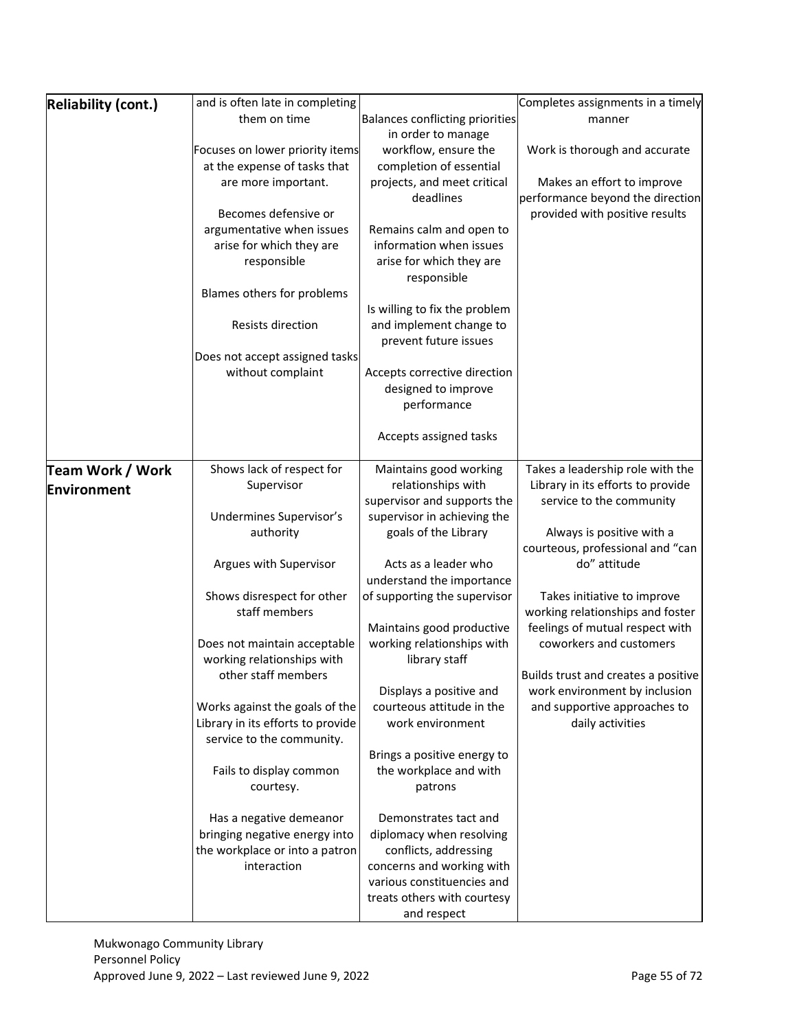| <b>Reliability (cont.)</b> | and is often late in completing   |                                                           | Completes assignments in a timely   |
|----------------------------|-----------------------------------|-----------------------------------------------------------|-------------------------------------|
|                            | them on time                      | Balances conflicting priorities                           | manner                              |
|                            |                                   | in order to manage                                        |                                     |
|                            | Focuses on lower priority items   | workflow, ensure the                                      | Work is thorough and accurate       |
|                            | at the expense of tasks that      | completion of essential                                   |                                     |
|                            | are more important.               | projects, and meet critical                               | Makes an effort to improve          |
|                            |                                   | deadlines                                                 | performance beyond the direction    |
|                            | Becomes defensive or              |                                                           | provided with positive results      |
|                            | argumentative when issues         | Remains calm and open to                                  |                                     |
|                            | arise for which they are          | information when issues                                   |                                     |
|                            | responsible                       | arise for which they are                                  |                                     |
|                            |                                   | responsible                                               |                                     |
|                            | Blames others for problems        |                                                           |                                     |
|                            |                                   | Is willing to fix the problem                             |                                     |
|                            | Resists direction                 | and implement change to                                   |                                     |
|                            |                                   | prevent future issues                                     |                                     |
|                            | Does not accept assigned tasks    |                                                           |                                     |
|                            | without complaint                 | Accepts corrective direction                              |                                     |
|                            |                                   | designed to improve                                       |                                     |
|                            |                                   | performance                                               |                                     |
|                            |                                   |                                                           |                                     |
|                            |                                   | Accepts assigned tasks                                    |                                     |
|                            |                                   |                                                           |                                     |
| Team Work / Work           | Shows lack of respect for         | Maintains good working                                    | Takes a leadership role with the    |
| Environment                | Supervisor                        | relationships with                                        | Library in its efforts to provide   |
|                            |                                   | supervisor and supports the                               | service to the community            |
|                            | Undermines Supervisor's           | supervisor in achieving the                               |                                     |
|                            | authority                         | goals of the Library                                      | Always is positive with a           |
|                            |                                   |                                                           | courteous, professional and "can    |
|                            | Argues with Supervisor            | Acts as a leader who                                      | do" attitude                        |
|                            |                                   | understand the importance                                 |                                     |
|                            | Shows disrespect for other        | of supporting the supervisor                              | Takes initiative to improve         |
|                            | staff members                     |                                                           | working relationships and foster    |
|                            |                                   | Maintains good productive                                 | feelings of mutual respect with     |
|                            | Does not maintain acceptable      | working relationships with                                | coworkers and customers             |
|                            | working relationships with        | library staff                                             |                                     |
|                            | other staff members               |                                                           | Builds trust and creates a positive |
|                            |                                   | Displays a positive and                                   | work environment by inclusion       |
|                            | Works against the goals of the    | courteous attitude in the                                 | and supportive approaches to        |
|                            | Library in its efforts to provide | work environment                                          | daily activities                    |
|                            | service to the community.         |                                                           |                                     |
|                            |                                   | Brings a positive energy to                               |                                     |
|                            | Fails to display common           | the workplace and with                                    |                                     |
|                            |                                   |                                                           |                                     |
|                            | courtesy.                         | patrons                                                   |                                     |
|                            |                                   |                                                           |                                     |
|                            | Has a negative demeanor           | Demonstrates tact and                                     |                                     |
|                            | bringing negative energy into     | diplomacy when resolving                                  |                                     |
|                            | the workplace or into a patron    | conflicts, addressing                                     |                                     |
|                            | interaction                       | concerns and working with                                 |                                     |
|                            |                                   | various constituencies and<br>treats others with courtesy |                                     |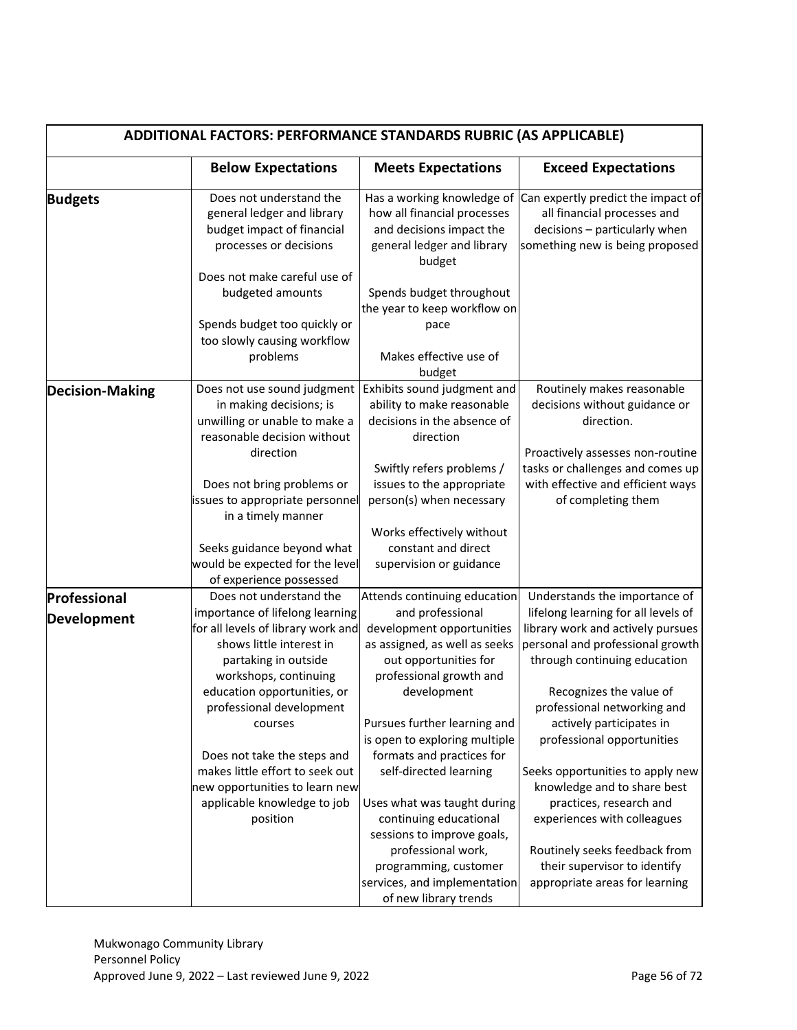| ADDITIONAL FACTORS: PERFORMANCE STANDARDS RUBRIC (AS APPLICABLE) |                                                                                                                                                                                                      |                                                                                                                                                                                                                       |                                                                                                                                                                                                                              |
|------------------------------------------------------------------|------------------------------------------------------------------------------------------------------------------------------------------------------------------------------------------------------|-----------------------------------------------------------------------------------------------------------------------------------------------------------------------------------------------------------------------|------------------------------------------------------------------------------------------------------------------------------------------------------------------------------------------------------------------------------|
|                                                                  | <b>Below Expectations</b>                                                                                                                                                                            | <b>Meets Expectations</b>                                                                                                                                                                                             | <b>Exceed Expectations</b>                                                                                                                                                                                                   |
| <b>Budgets</b>                                                   | Does not understand the<br>general ledger and library<br>budget impact of financial<br>processes or decisions                                                                                        | Has a working knowledge of<br>how all financial processes<br>and decisions impact the<br>general ledger and library<br>budget                                                                                         | Can expertly predict the impact of<br>all financial processes and<br>decisions - particularly when<br>something new is being proposed                                                                                        |
|                                                                  | Does not make careful use of<br>budgeted amounts<br>Spends budget too quickly or<br>too slowly causing workflow<br>problems                                                                          | Spends budget throughout<br>the year to keep workflow on<br>pace<br>Makes effective use of<br>budget                                                                                                                  |                                                                                                                                                                                                                              |
| <b>Decision-Making</b>                                           | Does not use sound judgment<br>in making decisions; is<br>unwilling or unable to make a<br>reasonable decision without<br>direction<br>Does not bring problems or<br>issues to appropriate personnel | Exhibits sound judgment and<br>ability to make reasonable<br>decisions in the absence of<br>direction<br>Swiftly refers problems /<br>issues to the appropriate<br>person(s) when necessary                           | Routinely makes reasonable<br>decisions without guidance or<br>direction.<br>Proactively assesses non-routine<br>tasks or challenges and comes up<br>with effective and efficient ways<br>of completing them                 |
|                                                                  | in a timely manner<br>Seeks guidance beyond what<br>would be expected for the level<br>of experience possessed                                                                                       | Works effectively without<br>constant and direct<br>supervision or guidance                                                                                                                                           |                                                                                                                                                                                                                              |
| Professional<br>Development                                      | Does not understand the<br>importance of lifelong learning<br>for all levels of library work and<br>shows little interest in<br>partaking in outside<br>workshops, continuing                        | Attends continuing education<br>and professional<br>development opportunities<br>as assigned, as well as seeks<br>out opportunities for<br>professional growth and                                                    | Understands the importance of<br>lifelong learning for all levels of<br>library work and actively pursues<br>personal and professional growth<br>through continuing education                                                |
|                                                                  | education opportunities, or<br>professional development<br>courses<br>Does not take the steps and                                                                                                    | development<br>Pursues further learning and<br>is open to exploring multiple<br>formats and practices for                                                                                                             | Recognizes the value of<br>professional networking and<br>actively participates in<br>professional opportunities                                                                                                             |
|                                                                  | makes little effort to seek out<br>new opportunities to learn new<br>applicable knowledge to job<br>position                                                                                         | self-directed learning<br>Uses what was taught during<br>continuing educational<br>sessions to improve goals,<br>professional work,<br>programming, customer<br>services, and implementation<br>of new library trends | Seeks opportunities to apply new<br>knowledge and to share best<br>practices, research and<br>experiences with colleagues<br>Routinely seeks feedback from<br>their supervisor to identify<br>appropriate areas for learning |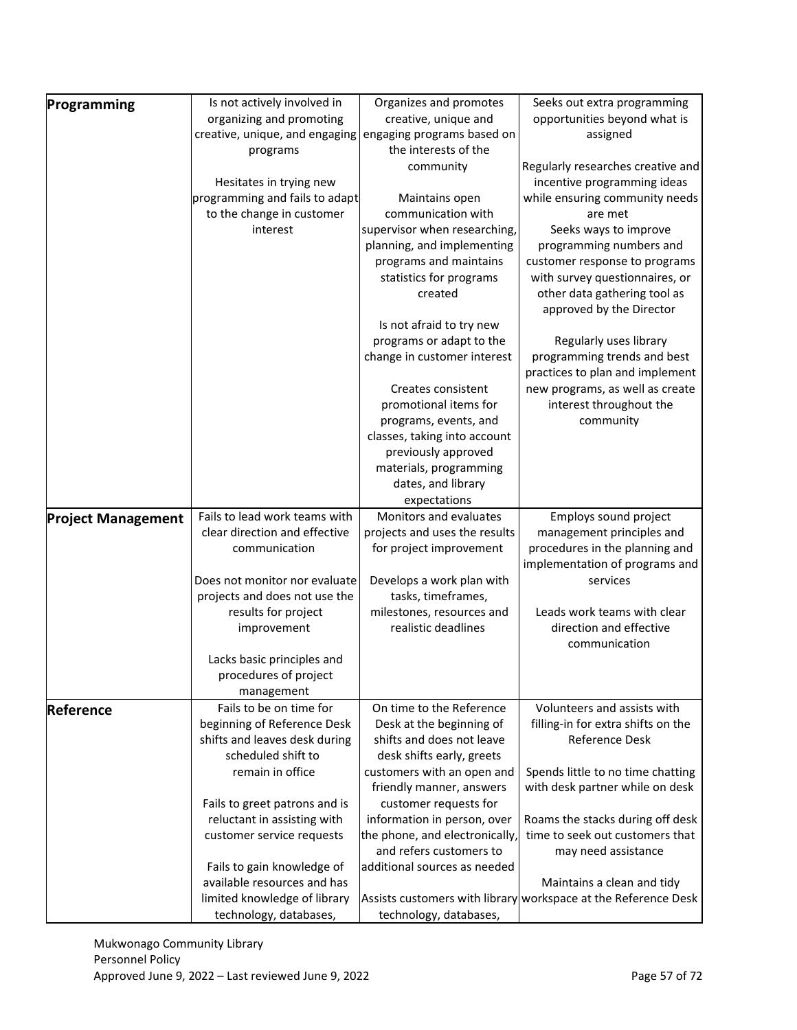| Is not actively involved in<br>Organizes and promotes<br>Seeks out extra programming<br>Programming<br>organizing and promoting<br>creative, unique and<br>opportunities beyond what is<br>creative, unique, and engaging<br>engaging programs based on<br>assigned<br>the interests of the<br>programs<br>Regularly researches creative and<br>community<br>incentive programming ideas<br>Hesitates in trying new<br>programming and fails to adapt<br>while ensuring community needs<br>Maintains open<br>to the change in customer<br>communication with<br>are met<br>supervisor when researching,<br>interest<br>Seeks ways to improve<br>planning, and implementing<br>programming numbers and<br>programs and maintains<br>customer response to programs<br>statistics for programs<br>with survey questionnaires, or<br>other data gathering tool as<br>created<br>approved by the Director<br>Is not afraid to try new<br>programs or adapt to the<br>Regularly uses library<br>change in customer interest<br>programming trends and best<br>practices to plan and implement<br>new programs, as well as create<br>Creates consistent<br>promotional items for<br>interest throughout the<br>programs, events, and<br>community<br>classes, taking into account<br>previously approved<br>materials, programming<br>dates, and library<br>expectations<br>Monitors and evaluates<br>Fails to lead work teams with<br>Employs sound project<br><b>Project Management</b><br>clear direction and effective<br>projects and uses the results<br>management principles and<br>procedures in the planning and<br>communication<br>for project improvement<br>implementation of programs and<br>Does not monitor nor evaluate<br>Develops a work plan with<br>services<br>projects and does not use the<br>tasks, timeframes,<br>results for project<br>milestones, resources and<br>Leads work teams with clear<br>realistic deadlines<br>direction and effective<br>improvement<br>communication<br>Lacks basic principles and<br>procedures of project<br>management<br>Fails to be on time for<br>On time to the Reference<br>Volunteers and assists with<br>Reference<br>beginning of Reference Desk<br>Desk at the beginning of<br>filling-in for extra shifts on the<br>Reference Desk<br>shifts and leaves desk during<br>shifts and does not leave<br>scheduled shift to<br>desk shifts early, greets<br>remain in office<br>Spends little to no time chatting<br>customers with an open and<br>with desk partner while on desk<br>friendly manner, answers<br>customer requests for<br>Fails to greet patrons and is<br>reluctant in assisting with<br>information in person, over<br>Roams the stacks during off desk<br>time to seek out customers that<br>the phone, and electronically,<br>customer service requests<br>and refers customers to<br>may need assistance<br>Fails to gain knowledge of<br>additional sources as needed<br>available resources and has<br>Maintains a clean and tidy<br>limited knowledge of library<br>Assists customers with library workspace at the Reference Desk<br>technology, databases,<br>technology, databases, |  |  |
|----------------------------------------------------------------------------------------------------------------------------------------------------------------------------------------------------------------------------------------------------------------------------------------------------------------------------------------------------------------------------------------------------------------------------------------------------------------------------------------------------------------------------------------------------------------------------------------------------------------------------------------------------------------------------------------------------------------------------------------------------------------------------------------------------------------------------------------------------------------------------------------------------------------------------------------------------------------------------------------------------------------------------------------------------------------------------------------------------------------------------------------------------------------------------------------------------------------------------------------------------------------------------------------------------------------------------------------------------------------------------------------------------------------------------------------------------------------------------------------------------------------------------------------------------------------------------------------------------------------------------------------------------------------------------------------------------------------------------------------------------------------------------------------------------------------------------------------------------------------------------------------------------------------------------------------------------------------------------------------------------------------------------------------------------------------------------------------------------------------------------------------------------------------------------------------------------------------------------------------------------------------------------------------------------------------------------------------------------------------------------------------------------------------------------------------------------------------------------------------------------------------------------------------------------------------------------------------------------------------------------------------------------------------------------------------------------------------------------------------------------------------------------------------------------------------------------------------------------------------------------------------------------------------------------------------------------------------------------------------------------------------------------------------------------------------------------------------------------------------------------------------------------------------------------|--|--|
|                                                                                                                                                                                                                                                                                                                                                                                                                                                                                                                                                                                                                                                                                                                                                                                                                                                                                                                                                                                                                                                                                                                                                                                                                                                                                                                                                                                                                                                                                                                                                                                                                                                                                                                                                                                                                                                                                                                                                                                                                                                                                                                                                                                                                                                                                                                                                                                                                                                                                                                                                                                                                                                                                                                                                                                                                                                                                                                                                                                                                                                                                                                                                                            |  |  |
|                                                                                                                                                                                                                                                                                                                                                                                                                                                                                                                                                                                                                                                                                                                                                                                                                                                                                                                                                                                                                                                                                                                                                                                                                                                                                                                                                                                                                                                                                                                                                                                                                                                                                                                                                                                                                                                                                                                                                                                                                                                                                                                                                                                                                                                                                                                                                                                                                                                                                                                                                                                                                                                                                                                                                                                                                                                                                                                                                                                                                                                                                                                                                                            |  |  |
|                                                                                                                                                                                                                                                                                                                                                                                                                                                                                                                                                                                                                                                                                                                                                                                                                                                                                                                                                                                                                                                                                                                                                                                                                                                                                                                                                                                                                                                                                                                                                                                                                                                                                                                                                                                                                                                                                                                                                                                                                                                                                                                                                                                                                                                                                                                                                                                                                                                                                                                                                                                                                                                                                                                                                                                                                                                                                                                                                                                                                                                                                                                                                                            |  |  |
|                                                                                                                                                                                                                                                                                                                                                                                                                                                                                                                                                                                                                                                                                                                                                                                                                                                                                                                                                                                                                                                                                                                                                                                                                                                                                                                                                                                                                                                                                                                                                                                                                                                                                                                                                                                                                                                                                                                                                                                                                                                                                                                                                                                                                                                                                                                                                                                                                                                                                                                                                                                                                                                                                                                                                                                                                                                                                                                                                                                                                                                                                                                                                                            |  |  |
|                                                                                                                                                                                                                                                                                                                                                                                                                                                                                                                                                                                                                                                                                                                                                                                                                                                                                                                                                                                                                                                                                                                                                                                                                                                                                                                                                                                                                                                                                                                                                                                                                                                                                                                                                                                                                                                                                                                                                                                                                                                                                                                                                                                                                                                                                                                                                                                                                                                                                                                                                                                                                                                                                                                                                                                                                                                                                                                                                                                                                                                                                                                                                                            |  |  |
|                                                                                                                                                                                                                                                                                                                                                                                                                                                                                                                                                                                                                                                                                                                                                                                                                                                                                                                                                                                                                                                                                                                                                                                                                                                                                                                                                                                                                                                                                                                                                                                                                                                                                                                                                                                                                                                                                                                                                                                                                                                                                                                                                                                                                                                                                                                                                                                                                                                                                                                                                                                                                                                                                                                                                                                                                                                                                                                                                                                                                                                                                                                                                                            |  |  |
|                                                                                                                                                                                                                                                                                                                                                                                                                                                                                                                                                                                                                                                                                                                                                                                                                                                                                                                                                                                                                                                                                                                                                                                                                                                                                                                                                                                                                                                                                                                                                                                                                                                                                                                                                                                                                                                                                                                                                                                                                                                                                                                                                                                                                                                                                                                                                                                                                                                                                                                                                                                                                                                                                                                                                                                                                                                                                                                                                                                                                                                                                                                                                                            |  |  |
|                                                                                                                                                                                                                                                                                                                                                                                                                                                                                                                                                                                                                                                                                                                                                                                                                                                                                                                                                                                                                                                                                                                                                                                                                                                                                                                                                                                                                                                                                                                                                                                                                                                                                                                                                                                                                                                                                                                                                                                                                                                                                                                                                                                                                                                                                                                                                                                                                                                                                                                                                                                                                                                                                                                                                                                                                                                                                                                                                                                                                                                                                                                                                                            |  |  |
|                                                                                                                                                                                                                                                                                                                                                                                                                                                                                                                                                                                                                                                                                                                                                                                                                                                                                                                                                                                                                                                                                                                                                                                                                                                                                                                                                                                                                                                                                                                                                                                                                                                                                                                                                                                                                                                                                                                                                                                                                                                                                                                                                                                                                                                                                                                                                                                                                                                                                                                                                                                                                                                                                                                                                                                                                                                                                                                                                                                                                                                                                                                                                                            |  |  |
|                                                                                                                                                                                                                                                                                                                                                                                                                                                                                                                                                                                                                                                                                                                                                                                                                                                                                                                                                                                                                                                                                                                                                                                                                                                                                                                                                                                                                                                                                                                                                                                                                                                                                                                                                                                                                                                                                                                                                                                                                                                                                                                                                                                                                                                                                                                                                                                                                                                                                                                                                                                                                                                                                                                                                                                                                                                                                                                                                                                                                                                                                                                                                                            |  |  |
|                                                                                                                                                                                                                                                                                                                                                                                                                                                                                                                                                                                                                                                                                                                                                                                                                                                                                                                                                                                                                                                                                                                                                                                                                                                                                                                                                                                                                                                                                                                                                                                                                                                                                                                                                                                                                                                                                                                                                                                                                                                                                                                                                                                                                                                                                                                                                                                                                                                                                                                                                                                                                                                                                                                                                                                                                                                                                                                                                                                                                                                                                                                                                                            |  |  |
|                                                                                                                                                                                                                                                                                                                                                                                                                                                                                                                                                                                                                                                                                                                                                                                                                                                                                                                                                                                                                                                                                                                                                                                                                                                                                                                                                                                                                                                                                                                                                                                                                                                                                                                                                                                                                                                                                                                                                                                                                                                                                                                                                                                                                                                                                                                                                                                                                                                                                                                                                                                                                                                                                                                                                                                                                                                                                                                                                                                                                                                                                                                                                                            |  |  |
|                                                                                                                                                                                                                                                                                                                                                                                                                                                                                                                                                                                                                                                                                                                                                                                                                                                                                                                                                                                                                                                                                                                                                                                                                                                                                                                                                                                                                                                                                                                                                                                                                                                                                                                                                                                                                                                                                                                                                                                                                                                                                                                                                                                                                                                                                                                                                                                                                                                                                                                                                                                                                                                                                                                                                                                                                                                                                                                                                                                                                                                                                                                                                                            |  |  |
|                                                                                                                                                                                                                                                                                                                                                                                                                                                                                                                                                                                                                                                                                                                                                                                                                                                                                                                                                                                                                                                                                                                                                                                                                                                                                                                                                                                                                                                                                                                                                                                                                                                                                                                                                                                                                                                                                                                                                                                                                                                                                                                                                                                                                                                                                                                                                                                                                                                                                                                                                                                                                                                                                                                                                                                                                                                                                                                                                                                                                                                                                                                                                                            |  |  |
|                                                                                                                                                                                                                                                                                                                                                                                                                                                                                                                                                                                                                                                                                                                                                                                                                                                                                                                                                                                                                                                                                                                                                                                                                                                                                                                                                                                                                                                                                                                                                                                                                                                                                                                                                                                                                                                                                                                                                                                                                                                                                                                                                                                                                                                                                                                                                                                                                                                                                                                                                                                                                                                                                                                                                                                                                                                                                                                                                                                                                                                                                                                                                                            |  |  |
|                                                                                                                                                                                                                                                                                                                                                                                                                                                                                                                                                                                                                                                                                                                                                                                                                                                                                                                                                                                                                                                                                                                                                                                                                                                                                                                                                                                                                                                                                                                                                                                                                                                                                                                                                                                                                                                                                                                                                                                                                                                                                                                                                                                                                                                                                                                                                                                                                                                                                                                                                                                                                                                                                                                                                                                                                                                                                                                                                                                                                                                                                                                                                                            |  |  |
|                                                                                                                                                                                                                                                                                                                                                                                                                                                                                                                                                                                                                                                                                                                                                                                                                                                                                                                                                                                                                                                                                                                                                                                                                                                                                                                                                                                                                                                                                                                                                                                                                                                                                                                                                                                                                                                                                                                                                                                                                                                                                                                                                                                                                                                                                                                                                                                                                                                                                                                                                                                                                                                                                                                                                                                                                                                                                                                                                                                                                                                                                                                                                                            |  |  |
|                                                                                                                                                                                                                                                                                                                                                                                                                                                                                                                                                                                                                                                                                                                                                                                                                                                                                                                                                                                                                                                                                                                                                                                                                                                                                                                                                                                                                                                                                                                                                                                                                                                                                                                                                                                                                                                                                                                                                                                                                                                                                                                                                                                                                                                                                                                                                                                                                                                                                                                                                                                                                                                                                                                                                                                                                                                                                                                                                                                                                                                                                                                                                                            |  |  |
|                                                                                                                                                                                                                                                                                                                                                                                                                                                                                                                                                                                                                                                                                                                                                                                                                                                                                                                                                                                                                                                                                                                                                                                                                                                                                                                                                                                                                                                                                                                                                                                                                                                                                                                                                                                                                                                                                                                                                                                                                                                                                                                                                                                                                                                                                                                                                                                                                                                                                                                                                                                                                                                                                                                                                                                                                                                                                                                                                                                                                                                                                                                                                                            |  |  |
|                                                                                                                                                                                                                                                                                                                                                                                                                                                                                                                                                                                                                                                                                                                                                                                                                                                                                                                                                                                                                                                                                                                                                                                                                                                                                                                                                                                                                                                                                                                                                                                                                                                                                                                                                                                                                                                                                                                                                                                                                                                                                                                                                                                                                                                                                                                                                                                                                                                                                                                                                                                                                                                                                                                                                                                                                                                                                                                                                                                                                                                                                                                                                                            |  |  |
|                                                                                                                                                                                                                                                                                                                                                                                                                                                                                                                                                                                                                                                                                                                                                                                                                                                                                                                                                                                                                                                                                                                                                                                                                                                                                                                                                                                                                                                                                                                                                                                                                                                                                                                                                                                                                                                                                                                                                                                                                                                                                                                                                                                                                                                                                                                                                                                                                                                                                                                                                                                                                                                                                                                                                                                                                                                                                                                                                                                                                                                                                                                                                                            |  |  |
|                                                                                                                                                                                                                                                                                                                                                                                                                                                                                                                                                                                                                                                                                                                                                                                                                                                                                                                                                                                                                                                                                                                                                                                                                                                                                                                                                                                                                                                                                                                                                                                                                                                                                                                                                                                                                                                                                                                                                                                                                                                                                                                                                                                                                                                                                                                                                                                                                                                                                                                                                                                                                                                                                                                                                                                                                                                                                                                                                                                                                                                                                                                                                                            |  |  |
|                                                                                                                                                                                                                                                                                                                                                                                                                                                                                                                                                                                                                                                                                                                                                                                                                                                                                                                                                                                                                                                                                                                                                                                                                                                                                                                                                                                                                                                                                                                                                                                                                                                                                                                                                                                                                                                                                                                                                                                                                                                                                                                                                                                                                                                                                                                                                                                                                                                                                                                                                                                                                                                                                                                                                                                                                                                                                                                                                                                                                                                                                                                                                                            |  |  |
|                                                                                                                                                                                                                                                                                                                                                                                                                                                                                                                                                                                                                                                                                                                                                                                                                                                                                                                                                                                                                                                                                                                                                                                                                                                                                                                                                                                                                                                                                                                                                                                                                                                                                                                                                                                                                                                                                                                                                                                                                                                                                                                                                                                                                                                                                                                                                                                                                                                                                                                                                                                                                                                                                                                                                                                                                                                                                                                                                                                                                                                                                                                                                                            |  |  |
|                                                                                                                                                                                                                                                                                                                                                                                                                                                                                                                                                                                                                                                                                                                                                                                                                                                                                                                                                                                                                                                                                                                                                                                                                                                                                                                                                                                                                                                                                                                                                                                                                                                                                                                                                                                                                                                                                                                                                                                                                                                                                                                                                                                                                                                                                                                                                                                                                                                                                                                                                                                                                                                                                                                                                                                                                                                                                                                                                                                                                                                                                                                                                                            |  |  |
|                                                                                                                                                                                                                                                                                                                                                                                                                                                                                                                                                                                                                                                                                                                                                                                                                                                                                                                                                                                                                                                                                                                                                                                                                                                                                                                                                                                                                                                                                                                                                                                                                                                                                                                                                                                                                                                                                                                                                                                                                                                                                                                                                                                                                                                                                                                                                                                                                                                                                                                                                                                                                                                                                                                                                                                                                                                                                                                                                                                                                                                                                                                                                                            |  |  |
|                                                                                                                                                                                                                                                                                                                                                                                                                                                                                                                                                                                                                                                                                                                                                                                                                                                                                                                                                                                                                                                                                                                                                                                                                                                                                                                                                                                                                                                                                                                                                                                                                                                                                                                                                                                                                                                                                                                                                                                                                                                                                                                                                                                                                                                                                                                                                                                                                                                                                                                                                                                                                                                                                                                                                                                                                                                                                                                                                                                                                                                                                                                                                                            |  |  |
|                                                                                                                                                                                                                                                                                                                                                                                                                                                                                                                                                                                                                                                                                                                                                                                                                                                                                                                                                                                                                                                                                                                                                                                                                                                                                                                                                                                                                                                                                                                                                                                                                                                                                                                                                                                                                                                                                                                                                                                                                                                                                                                                                                                                                                                                                                                                                                                                                                                                                                                                                                                                                                                                                                                                                                                                                                                                                                                                                                                                                                                                                                                                                                            |  |  |
|                                                                                                                                                                                                                                                                                                                                                                                                                                                                                                                                                                                                                                                                                                                                                                                                                                                                                                                                                                                                                                                                                                                                                                                                                                                                                                                                                                                                                                                                                                                                                                                                                                                                                                                                                                                                                                                                                                                                                                                                                                                                                                                                                                                                                                                                                                                                                                                                                                                                                                                                                                                                                                                                                                                                                                                                                                                                                                                                                                                                                                                                                                                                                                            |  |  |
|                                                                                                                                                                                                                                                                                                                                                                                                                                                                                                                                                                                                                                                                                                                                                                                                                                                                                                                                                                                                                                                                                                                                                                                                                                                                                                                                                                                                                                                                                                                                                                                                                                                                                                                                                                                                                                                                                                                                                                                                                                                                                                                                                                                                                                                                                                                                                                                                                                                                                                                                                                                                                                                                                                                                                                                                                                                                                                                                                                                                                                                                                                                                                                            |  |  |
|                                                                                                                                                                                                                                                                                                                                                                                                                                                                                                                                                                                                                                                                                                                                                                                                                                                                                                                                                                                                                                                                                                                                                                                                                                                                                                                                                                                                                                                                                                                                                                                                                                                                                                                                                                                                                                                                                                                                                                                                                                                                                                                                                                                                                                                                                                                                                                                                                                                                                                                                                                                                                                                                                                                                                                                                                                                                                                                                                                                                                                                                                                                                                                            |  |  |
|                                                                                                                                                                                                                                                                                                                                                                                                                                                                                                                                                                                                                                                                                                                                                                                                                                                                                                                                                                                                                                                                                                                                                                                                                                                                                                                                                                                                                                                                                                                                                                                                                                                                                                                                                                                                                                                                                                                                                                                                                                                                                                                                                                                                                                                                                                                                                                                                                                                                                                                                                                                                                                                                                                                                                                                                                                                                                                                                                                                                                                                                                                                                                                            |  |  |
|                                                                                                                                                                                                                                                                                                                                                                                                                                                                                                                                                                                                                                                                                                                                                                                                                                                                                                                                                                                                                                                                                                                                                                                                                                                                                                                                                                                                                                                                                                                                                                                                                                                                                                                                                                                                                                                                                                                                                                                                                                                                                                                                                                                                                                                                                                                                                                                                                                                                                                                                                                                                                                                                                                                                                                                                                                                                                                                                                                                                                                                                                                                                                                            |  |  |
|                                                                                                                                                                                                                                                                                                                                                                                                                                                                                                                                                                                                                                                                                                                                                                                                                                                                                                                                                                                                                                                                                                                                                                                                                                                                                                                                                                                                                                                                                                                                                                                                                                                                                                                                                                                                                                                                                                                                                                                                                                                                                                                                                                                                                                                                                                                                                                                                                                                                                                                                                                                                                                                                                                                                                                                                                                                                                                                                                                                                                                                                                                                                                                            |  |  |
|                                                                                                                                                                                                                                                                                                                                                                                                                                                                                                                                                                                                                                                                                                                                                                                                                                                                                                                                                                                                                                                                                                                                                                                                                                                                                                                                                                                                                                                                                                                                                                                                                                                                                                                                                                                                                                                                                                                                                                                                                                                                                                                                                                                                                                                                                                                                                                                                                                                                                                                                                                                                                                                                                                                                                                                                                                                                                                                                                                                                                                                                                                                                                                            |  |  |
|                                                                                                                                                                                                                                                                                                                                                                                                                                                                                                                                                                                                                                                                                                                                                                                                                                                                                                                                                                                                                                                                                                                                                                                                                                                                                                                                                                                                                                                                                                                                                                                                                                                                                                                                                                                                                                                                                                                                                                                                                                                                                                                                                                                                                                                                                                                                                                                                                                                                                                                                                                                                                                                                                                                                                                                                                                                                                                                                                                                                                                                                                                                                                                            |  |  |
|                                                                                                                                                                                                                                                                                                                                                                                                                                                                                                                                                                                                                                                                                                                                                                                                                                                                                                                                                                                                                                                                                                                                                                                                                                                                                                                                                                                                                                                                                                                                                                                                                                                                                                                                                                                                                                                                                                                                                                                                                                                                                                                                                                                                                                                                                                                                                                                                                                                                                                                                                                                                                                                                                                                                                                                                                                                                                                                                                                                                                                                                                                                                                                            |  |  |
|                                                                                                                                                                                                                                                                                                                                                                                                                                                                                                                                                                                                                                                                                                                                                                                                                                                                                                                                                                                                                                                                                                                                                                                                                                                                                                                                                                                                                                                                                                                                                                                                                                                                                                                                                                                                                                                                                                                                                                                                                                                                                                                                                                                                                                                                                                                                                                                                                                                                                                                                                                                                                                                                                                                                                                                                                                                                                                                                                                                                                                                                                                                                                                            |  |  |
|                                                                                                                                                                                                                                                                                                                                                                                                                                                                                                                                                                                                                                                                                                                                                                                                                                                                                                                                                                                                                                                                                                                                                                                                                                                                                                                                                                                                                                                                                                                                                                                                                                                                                                                                                                                                                                                                                                                                                                                                                                                                                                                                                                                                                                                                                                                                                                                                                                                                                                                                                                                                                                                                                                                                                                                                                                                                                                                                                                                                                                                                                                                                                                            |  |  |
|                                                                                                                                                                                                                                                                                                                                                                                                                                                                                                                                                                                                                                                                                                                                                                                                                                                                                                                                                                                                                                                                                                                                                                                                                                                                                                                                                                                                                                                                                                                                                                                                                                                                                                                                                                                                                                                                                                                                                                                                                                                                                                                                                                                                                                                                                                                                                                                                                                                                                                                                                                                                                                                                                                                                                                                                                                                                                                                                                                                                                                                                                                                                                                            |  |  |
|                                                                                                                                                                                                                                                                                                                                                                                                                                                                                                                                                                                                                                                                                                                                                                                                                                                                                                                                                                                                                                                                                                                                                                                                                                                                                                                                                                                                                                                                                                                                                                                                                                                                                                                                                                                                                                                                                                                                                                                                                                                                                                                                                                                                                                                                                                                                                                                                                                                                                                                                                                                                                                                                                                                                                                                                                                                                                                                                                                                                                                                                                                                                                                            |  |  |
|                                                                                                                                                                                                                                                                                                                                                                                                                                                                                                                                                                                                                                                                                                                                                                                                                                                                                                                                                                                                                                                                                                                                                                                                                                                                                                                                                                                                                                                                                                                                                                                                                                                                                                                                                                                                                                                                                                                                                                                                                                                                                                                                                                                                                                                                                                                                                                                                                                                                                                                                                                                                                                                                                                                                                                                                                                                                                                                                                                                                                                                                                                                                                                            |  |  |
|                                                                                                                                                                                                                                                                                                                                                                                                                                                                                                                                                                                                                                                                                                                                                                                                                                                                                                                                                                                                                                                                                                                                                                                                                                                                                                                                                                                                                                                                                                                                                                                                                                                                                                                                                                                                                                                                                                                                                                                                                                                                                                                                                                                                                                                                                                                                                                                                                                                                                                                                                                                                                                                                                                                                                                                                                                                                                                                                                                                                                                                                                                                                                                            |  |  |
|                                                                                                                                                                                                                                                                                                                                                                                                                                                                                                                                                                                                                                                                                                                                                                                                                                                                                                                                                                                                                                                                                                                                                                                                                                                                                                                                                                                                                                                                                                                                                                                                                                                                                                                                                                                                                                                                                                                                                                                                                                                                                                                                                                                                                                                                                                                                                                                                                                                                                                                                                                                                                                                                                                                                                                                                                                                                                                                                                                                                                                                                                                                                                                            |  |  |
|                                                                                                                                                                                                                                                                                                                                                                                                                                                                                                                                                                                                                                                                                                                                                                                                                                                                                                                                                                                                                                                                                                                                                                                                                                                                                                                                                                                                                                                                                                                                                                                                                                                                                                                                                                                                                                                                                                                                                                                                                                                                                                                                                                                                                                                                                                                                                                                                                                                                                                                                                                                                                                                                                                                                                                                                                                                                                                                                                                                                                                                                                                                                                                            |  |  |
|                                                                                                                                                                                                                                                                                                                                                                                                                                                                                                                                                                                                                                                                                                                                                                                                                                                                                                                                                                                                                                                                                                                                                                                                                                                                                                                                                                                                                                                                                                                                                                                                                                                                                                                                                                                                                                                                                                                                                                                                                                                                                                                                                                                                                                                                                                                                                                                                                                                                                                                                                                                                                                                                                                                                                                                                                                                                                                                                                                                                                                                                                                                                                                            |  |  |
|                                                                                                                                                                                                                                                                                                                                                                                                                                                                                                                                                                                                                                                                                                                                                                                                                                                                                                                                                                                                                                                                                                                                                                                                                                                                                                                                                                                                                                                                                                                                                                                                                                                                                                                                                                                                                                                                                                                                                                                                                                                                                                                                                                                                                                                                                                                                                                                                                                                                                                                                                                                                                                                                                                                                                                                                                                                                                                                                                                                                                                                                                                                                                                            |  |  |
|                                                                                                                                                                                                                                                                                                                                                                                                                                                                                                                                                                                                                                                                                                                                                                                                                                                                                                                                                                                                                                                                                                                                                                                                                                                                                                                                                                                                                                                                                                                                                                                                                                                                                                                                                                                                                                                                                                                                                                                                                                                                                                                                                                                                                                                                                                                                                                                                                                                                                                                                                                                                                                                                                                                                                                                                                                                                                                                                                                                                                                                                                                                                                                            |  |  |
|                                                                                                                                                                                                                                                                                                                                                                                                                                                                                                                                                                                                                                                                                                                                                                                                                                                                                                                                                                                                                                                                                                                                                                                                                                                                                                                                                                                                                                                                                                                                                                                                                                                                                                                                                                                                                                                                                                                                                                                                                                                                                                                                                                                                                                                                                                                                                                                                                                                                                                                                                                                                                                                                                                                                                                                                                                                                                                                                                                                                                                                                                                                                                                            |  |  |
|                                                                                                                                                                                                                                                                                                                                                                                                                                                                                                                                                                                                                                                                                                                                                                                                                                                                                                                                                                                                                                                                                                                                                                                                                                                                                                                                                                                                                                                                                                                                                                                                                                                                                                                                                                                                                                                                                                                                                                                                                                                                                                                                                                                                                                                                                                                                                                                                                                                                                                                                                                                                                                                                                                                                                                                                                                                                                                                                                                                                                                                                                                                                                                            |  |  |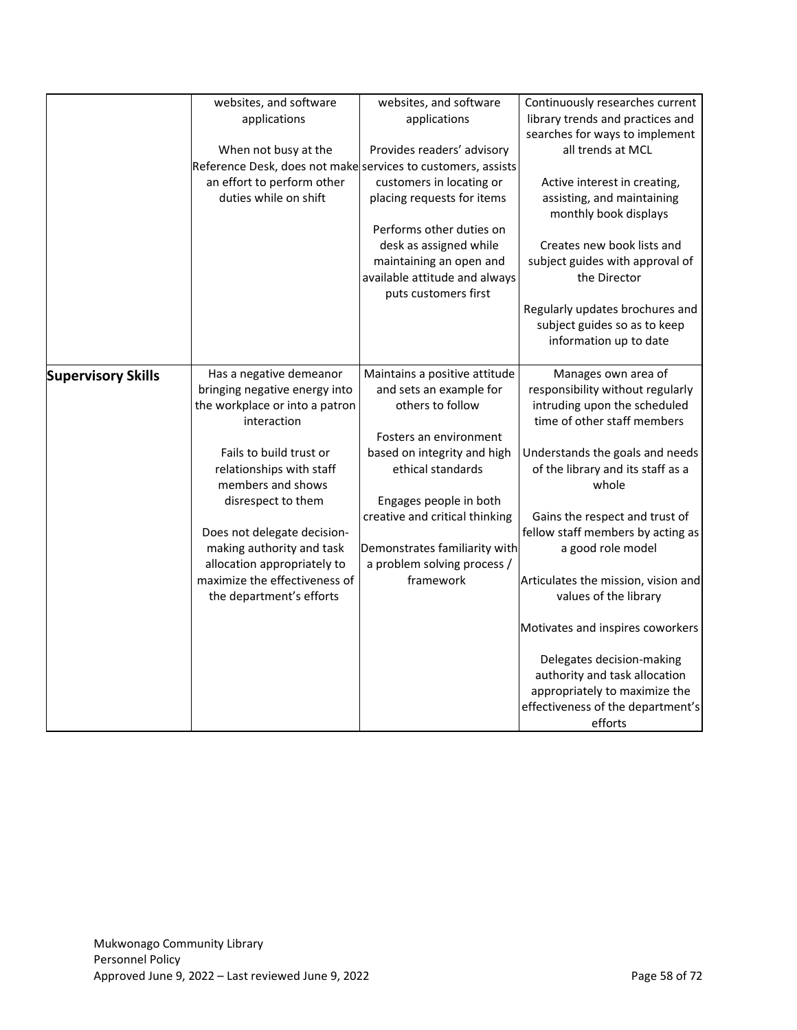|                           | websites, and software                                                                   | websites, and software                                          | Continuously researches current                                                                 |
|---------------------------|------------------------------------------------------------------------------------------|-----------------------------------------------------------------|-------------------------------------------------------------------------------------------------|
|                           | applications                                                                             | applications                                                    | library trends and practices and                                                                |
|                           |                                                                                          |                                                                 | searches for ways to implement                                                                  |
|                           | When not busy at the                                                                     | Provides readers' advisory                                      | all trends at MCL                                                                               |
|                           | Reference Desk, does not make services to customers, assists                             |                                                                 |                                                                                                 |
|                           | an effort to perform other                                                               | customers in locating or                                        | Active interest in creating,                                                                    |
|                           | duties while on shift                                                                    | placing requests for items                                      | assisting, and maintaining<br>monthly book displays                                             |
|                           |                                                                                          | Performs other duties on                                        |                                                                                                 |
|                           |                                                                                          | desk as assigned while                                          | Creates new book lists and                                                                      |
|                           |                                                                                          | maintaining an open and                                         | subject guides with approval of                                                                 |
|                           |                                                                                          | available attitude and always<br>puts customers first           | the Director                                                                                    |
|                           |                                                                                          |                                                                 | Regularly updates brochures and<br>subject guides so as to keep<br>information up to date       |
| <b>Supervisory Skills</b> | Has a negative demeanor                                                                  | Maintains a positive attitude                                   | Manages own area of                                                                             |
|                           | bringing negative energy into<br>the workplace or into a patron<br>interaction           | and sets an example for<br>others to follow                     | responsibility without regularly<br>intruding upon the scheduled<br>time of other staff members |
|                           |                                                                                          | Fosters an environment                                          |                                                                                                 |
|                           | Fails to build trust or<br>relationships with staff<br>members and shows                 | based on integrity and high<br>ethical standards                | Understands the goals and needs<br>of the library and its staff as a<br>whole                   |
|                           | disrespect to them                                                                       | Engages people in both                                          |                                                                                                 |
|                           | Does not delegate decision-<br>making authority and task                                 | creative and critical thinking<br>Demonstrates familiarity with | Gains the respect and trust of<br>fellow staff members by acting as<br>a good role model        |
|                           | allocation appropriately to<br>maximize the effectiveness of<br>the department's efforts | a problem solving process /<br>framework                        | Articulates the mission, vision and<br>values of the library                                    |
|                           |                                                                                          |                                                                 |                                                                                                 |
|                           |                                                                                          |                                                                 | Motivates and inspires coworkers                                                                |
|                           |                                                                                          |                                                                 | Delegates decision-making                                                                       |
|                           |                                                                                          |                                                                 | authority and task allocation                                                                   |
|                           |                                                                                          |                                                                 | appropriately to maximize the                                                                   |
|                           |                                                                                          |                                                                 | effectiveness of the department's                                                               |
|                           |                                                                                          |                                                                 | efforts                                                                                         |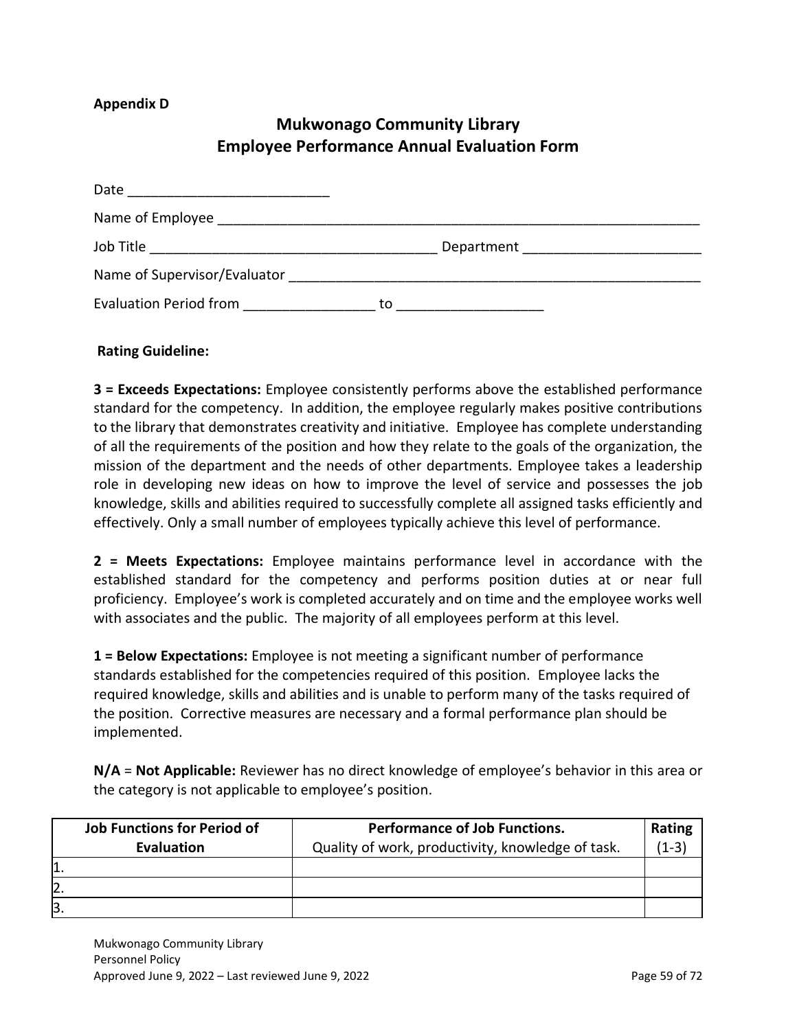#### **Appendix D**

## **Mukwonago Community Library Employee Performance Annual Evaluation Form**

| Date                          |    |  |
|-------------------------------|----|--|
|                               |    |  |
| Job Title                     |    |  |
| Name of Supervisor/Evaluator  |    |  |
| <b>Evaluation Period from</b> | to |  |

#### **Rating Guideline:**

**3 = Exceeds Expectations:** Employee consistently performs above the established performance standard for the competency. In addition, the employee regularly makes positive contributions to the library that demonstrates creativity and initiative. Employee has complete understanding of all the requirements of the position and how they relate to the goals of the organization, the mission of the department and the needs of other departments. Employee takes a leadership role in developing new ideas on how to improve the level of service and possesses the job knowledge, skills and abilities required to successfully complete all assigned tasks efficiently and effectively. Only a small number of employees typically achieve this level of performance.

**2 = Meets Expectations:** Employee maintains performance level in accordance with the established standard for the competency and performs position duties at or near full proficiency. Employee's work is completed accurately and on time and the employee works well with associates and the public. The majority of all employees perform at this level.

**1 = Below Expectations:** Employee is not meeting a significant number of performance standards established for the competencies required of this position. Employee lacks the required knowledge, skills and abilities and is unable to perform many of the tasks required of the position. Corrective measures are necessary and a formal performance plan should be implemented.

**N/A** = **Not Applicable:** Reviewer has no direct knowledge of employee's behavior in this area or the category is not applicable to employee's position.

| <b>Job Functions for Period of</b> | <b>Performance of Job Functions.</b>              | Rating  |
|------------------------------------|---------------------------------------------------|---------|
| <b>Evaluation</b>                  | Quality of work, productivity, knowledge of task. | $(1-3)$ |
|                                    |                                                   |         |
| 2.                                 |                                                   |         |
| Β.                                 |                                                   |         |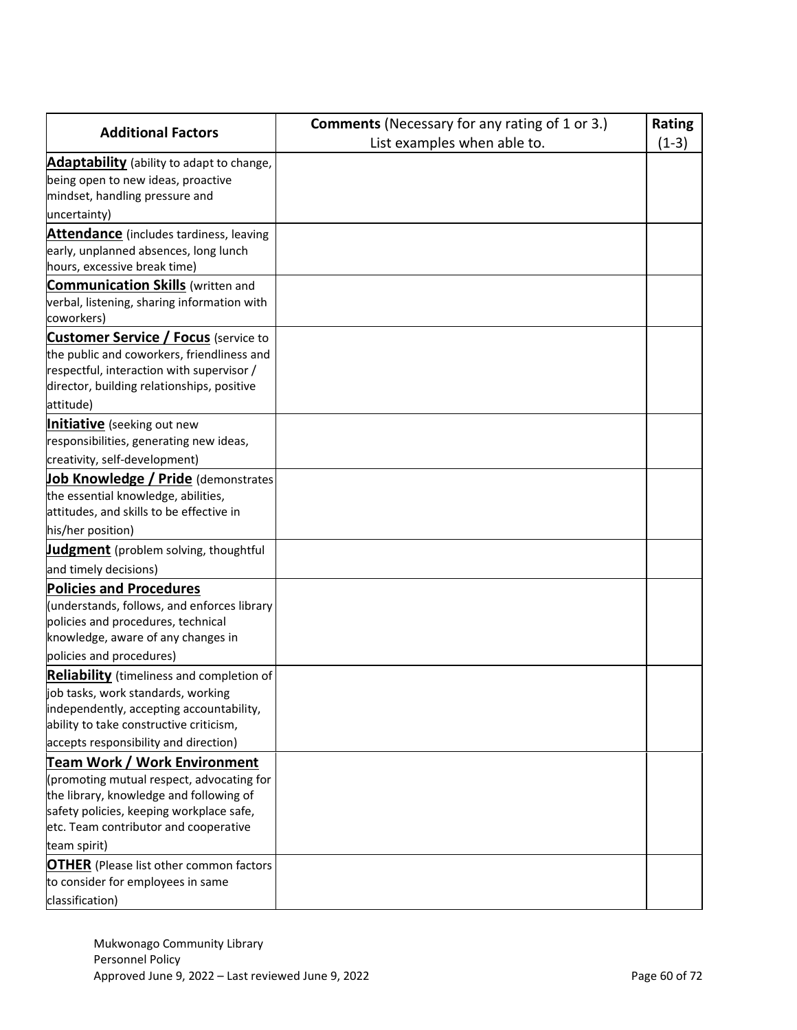|                                                                                     | <b>Comments</b> (Necessary for any rating of 1 or 3.) | <b>Rating</b> |
|-------------------------------------------------------------------------------------|-------------------------------------------------------|---------------|
| <b>Additional Factors</b>                                                           | List examples when able to.                           | $(1-3)$       |
| Adaptability (ability to adapt to change,                                           |                                                       |               |
| being open to new ideas, proactive                                                  |                                                       |               |
| mindset, handling pressure and                                                      |                                                       |               |
| uncertainty)                                                                        |                                                       |               |
| <b>Attendance</b> (includes tardiness, leaving                                      |                                                       |               |
| early, unplanned absences, long lunch                                               |                                                       |               |
| hours, excessive break time)                                                        |                                                       |               |
| <b>Communication Skills</b> (written and                                            |                                                       |               |
| verbal, listening, sharing information with                                         |                                                       |               |
| coworkers)                                                                          |                                                       |               |
| <b>Customer Service / Focus</b> (service to                                         |                                                       |               |
| the public and coworkers, friendliness and                                          |                                                       |               |
| respectful, interaction with supervisor /                                           |                                                       |               |
| director, building relationships, positive                                          |                                                       |               |
| attitude)                                                                           |                                                       |               |
| <b>Initiative</b> (seeking out new                                                  |                                                       |               |
| responsibilities, generating new ideas,                                             |                                                       |               |
| creativity, self-development)                                                       |                                                       |               |
| Job Knowledge / Pride (demonstrates                                                 |                                                       |               |
| the essential knowledge, abilities,                                                 |                                                       |               |
| attitudes, and skills to be effective in                                            |                                                       |               |
| his/her position)                                                                   |                                                       |               |
| <b>Judgment</b> (problem solving, thoughtful                                        |                                                       |               |
| and timely decisions)                                                               |                                                       |               |
| <b>Policies and Procedures</b>                                                      |                                                       |               |
| (understands, follows, and enforces library                                         |                                                       |               |
| policies and procedures, technical                                                  |                                                       |               |
| knowledge, aware of any changes in                                                  |                                                       |               |
| policies and procedures)                                                            |                                                       |               |
| <b>Reliability</b> (timeliness and completion of                                    |                                                       |               |
| job tasks, work standards, working                                                  |                                                       |               |
| independently, accepting accountability,                                            |                                                       |               |
| ability to take constructive criticism,                                             |                                                       |               |
| accepts responsibility and direction)                                               |                                                       |               |
| Team Work / Work Environment                                                        |                                                       |               |
| (promoting mutual respect, advocating for                                           |                                                       |               |
| the library, knowledge and following of<br>safety policies, keeping workplace safe, |                                                       |               |
| etc. Team contributor and cooperative                                               |                                                       |               |
| team spirit)                                                                        |                                                       |               |
| <b>OTHER</b> (Please list other common factors                                      |                                                       |               |
| to consider for employees in same                                                   |                                                       |               |
| classification)                                                                     |                                                       |               |
|                                                                                     |                                                       |               |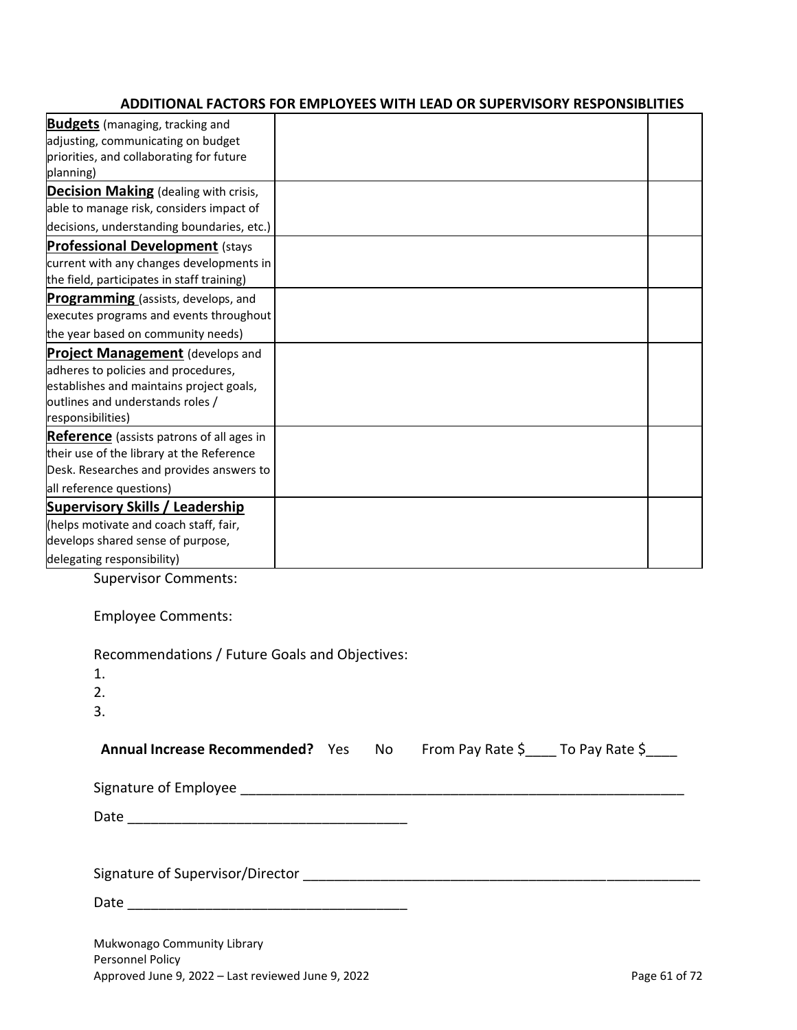## **ADDITIONAL FACTORS FOR EMPLOYEES WITH LEAD OR SUPERVISORY RESPONSIBLITIES**

| <b>Budgets</b> (managing, tracking and<br>adjusting, communicating on budget<br>priorities, and collaborating for future<br>planning)<br><b>Decision Making</b> (dealing with crisis,<br>able to manage risk, considers impact of<br>decisions, understanding boundaries, etc.)<br><b>Professional Development (stays</b><br>current with any changes developments in<br>the field, participates in staff training)<br>executes programs and events throughout<br><b>Project Management</b> (develops and<br>adheres to policies and procedures,<br>establishes and maintains project goals,<br>responsibilities)<br><b>Supervisory Skills / Leadership</b><br>(helps motivate and coach staff, fair,<br><b>Supervisor Comments:</b><br><b>Employee Comments:</b><br>Recommendations / Future Goals and Objectives: |                                           |  |
|---------------------------------------------------------------------------------------------------------------------------------------------------------------------------------------------------------------------------------------------------------------------------------------------------------------------------------------------------------------------------------------------------------------------------------------------------------------------------------------------------------------------------------------------------------------------------------------------------------------------------------------------------------------------------------------------------------------------------------------------------------------------------------------------------------------------|-------------------------------------------|--|
|                                                                                                                                                                                                                                                                                                                                                                                                                                                                                                                                                                                                                                                                                                                                                                                                                     |                                           |  |
|                                                                                                                                                                                                                                                                                                                                                                                                                                                                                                                                                                                                                                                                                                                                                                                                                     |                                           |  |
|                                                                                                                                                                                                                                                                                                                                                                                                                                                                                                                                                                                                                                                                                                                                                                                                                     |                                           |  |
|                                                                                                                                                                                                                                                                                                                                                                                                                                                                                                                                                                                                                                                                                                                                                                                                                     |                                           |  |
|                                                                                                                                                                                                                                                                                                                                                                                                                                                                                                                                                                                                                                                                                                                                                                                                                     |                                           |  |
|                                                                                                                                                                                                                                                                                                                                                                                                                                                                                                                                                                                                                                                                                                                                                                                                                     |                                           |  |
|                                                                                                                                                                                                                                                                                                                                                                                                                                                                                                                                                                                                                                                                                                                                                                                                                     |                                           |  |
|                                                                                                                                                                                                                                                                                                                                                                                                                                                                                                                                                                                                                                                                                                                                                                                                                     |                                           |  |
|                                                                                                                                                                                                                                                                                                                                                                                                                                                                                                                                                                                                                                                                                                                                                                                                                     |                                           |  |
|                                                                                                                                                                                                                                                                                                                                                                                                                                                                                                                                                                                                                                                                                                                                                                                                                     |                                           |  |
|                                                                                                                                                                                                                                                                                                                                                                                                                                                                                                                                                                                                                                                                                                                                                                                                                     | Programming (assists, develops, and       |  |
|                                                                                                                                                                                                                                                                                                                                                                                                                                                                                                                                                                                                                                                                                                                                                                                                                     |                                           |  |
|                                                                                                                                                                                                                                                                                                                                                                                                                                                                                                                                                                                                                                                                                                                                                                                                                     | the year based on community needs)        |  |
|                                                                                                                                                                                                                                                                                                                                                                                                                                                                                                                                                                                                                                                                                                                                                                                                                     |                                           |  |
|                                                                                                                                                                                                                                                                                                                                                                                                                                                                                                                                                                                                                                                                                                                                                                                                                     |                                           |  |
|                                                                                                                                                                                                                                                                                                                                                                                                                                                                                                                                                                                                                                                                                                                                                                                                                     |                                           |  |
|                                                                                                                                                                                                                                                                                                                                                                                                                                                                                                                                                                                                                                                                                                                                                                                                                     | outlines and understands roles /          |  |
|                                                                                                                                                                                                                                                                                                                                                                                                                                                                                                                                                                                                                                                                                                                                                                                                                     |                                           |  |
|                                                                                                                                                                                                                                                                                                                                                                                                                                                                                                                                                                                                                                                                                                                                                                                                                     | Reference (assists patrons of all ages in |  |
|                                                                                                                                                                                                                                                                                                                                                                                                                                                                                                                                                                                                                                                                                                                                                                                                                     | their use of the library at the Reference |  |
|                                                                                                                                                                                                                                                                                                                                                                                                                                                                                                                                                                                                                                                                                                                                                                                                                     | Desk. Researches and provides answers to  |  |
|                                                                                                                                                                                                                                                                                                                                                                                                                                                                                                                                                                                                                                                                                                                                                                                                                     | all reference questions)                  |  |
|                                                                                                                                                                                                                                                                                                                                                                                                                                                                                                                                                                                                                                                                                                                                                                                                                     |                                           |  |
|                                                                                                                                                                                                                                                                                                                                                                                                                                                                                                                                                                                                                                                                                                                                                                                                                     |                                           |  |
|                                                                                                                                                                                                                                                                                                                                                                                                                                                                                                                                                                                                                                                                                                                                                                                                                     | develops shared sense of purpose,         |  |
|                                                                                                                                                                                                                                                                                                                                                                                                                                                                                                                                                                                                                                                                                                                                                                                                                     | delegating responsibility)                |  |
|                                                                                                                                                                                                                                                                                                                                                                                                                                                                                                                                                                                                                                                                                                                                                                                                                     |                                           |  |
|                                                                                                                                                                                                                                                                                                                                                                                                                                                                                                                                                                                                                                                                                                                                                                                                                     |                                           |  |
|                                                                                                                                                                                                                                                                                                                                                                                                                                                                                                                                                                                                                                                                                                                                                                                                                     |                                           |  |
|                                                                                                                                                                                                                                                                                                                                                                                                                                                                                                                                                                                                                                                                                                                                                                                                                     |                                           |  |

| Recommendations / Future Goals and Objectives:                      |  |  |
|---------------------------------------------------------------------|--|--|
| 1.                                                                  |  |  |
| 2.                                                                  |  |  |
| 3.                                                                  |  |  |
| Annual Increase Recommended? Yes No From Pay Rate \$ To Pay Rate \$ |  |  |
|                                                                     |  |  |
|                                                                     |  |  |
|                                                                     |  |  |
|                                                                     |  |  |
|                                                                     |  |  |
|                                                                     |  |  |
| Mukwonago Community Library                                         |  |  |
| Personnel Policy                                                    |  |  |

Approved June 9, 2022 – Last reviewed June 9, 2022 **Page 61 of 72** Page 61 of 72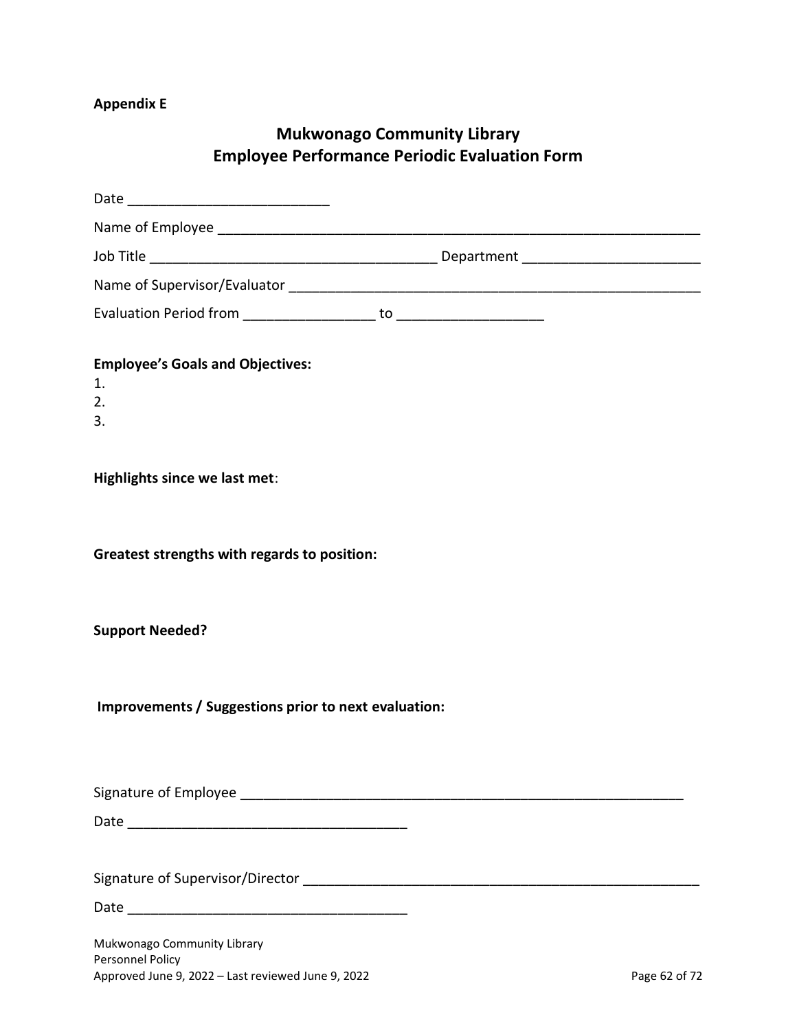# **Appendix E**

# **Mukwonago Community Library Employee Performance Periodic Evaluation Form**

| <b>Employee's Goals and Objectives:</b><br>1.<br>2.<br>3.                                             |               |
|-------------------------------------------------------------------------------------------------------|---------------|
| Highlights since we last met:                                                                         |               |
| Greatest strengths with regards to position:                                                          |               |
| <b>Support Needed?</b>                                                                                |               |
| Improvements / Suggestions prior to next evaluation:                                                  |               |
|                                                                                                       |               |
|                                                                                                       |               |
|                                                                                                       |               |
|                                                                                                       |               |
| Mukwonago Community Library<br>Personnel Policy<br>Approved June 9, 2022 - Last reviewed June 9, 2022 | Page 62 of 72 |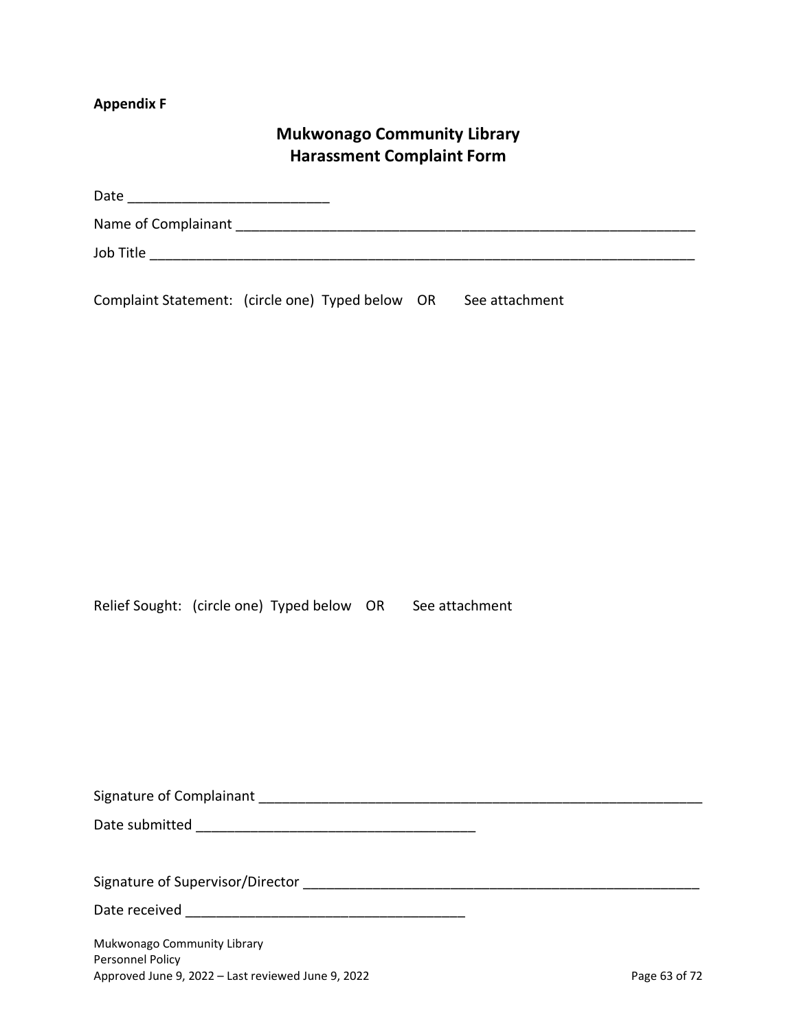#### **Appendix F**

## **Mukwonago Community Library Harassment Complaint Form**

| Date                |  |  |
|---------------------|--|--|
| Name of Complainant |  |  |
| Job Title           |  |  |

Complaint Statement: (circle one) Typed below OR See attachment

Relief Sought: (circle one) Typed below OR See attachment

| Signature of Complainant |  |
|--------------------------|--|
|                          |  |

Date submitted \_\_\_\_\_\_\_\_\_\_\_\_\_\_\_\_\_\_\_\_\_\_\_\_\_\_\_\_\_\_\_\_\_\_\_\_

Signature of Supervisor/Director \_\_\_\_\_\_\_\_\_\_\_\_\_\_\_\_\_\_\_\_\_\_\_\_\_\_\_\_\_\_\_\_\_\_\_\_\_\_\_\_\_\_\_\_\_\_\_\_\_\_\_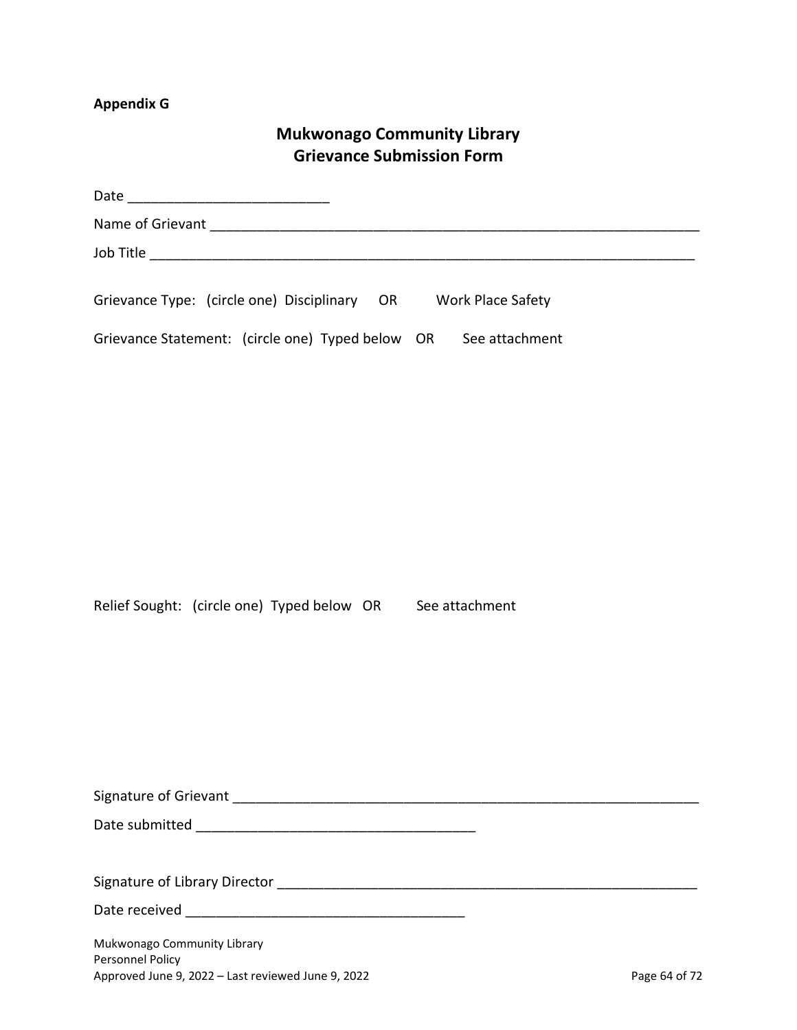# **Appendix G**

# **Mukwonago Community Library Grievance Submission Form**

| Grievance Type: (circle one) Disciplinary OR Work Place Safety         |               |
|------------------------------------------------------------------------|---------------|
| Grievance Statement: (circle one) Typed below OR See attachment        |               |
|                                                                        |               |
|                                                                        |               |
|                                                                        |               |
|                                                                        |               |
|                                                                        |               |
|                                                                        |               |
|                                                                        |               |
|                                                                        |               |
|                                                                        |               |
| Relief Sought: (circle one) Typed below OR See attachment              |               |
|                                                                        |               |
|                                                                        |               |
|                                                                        |               |
|                                                                        |               |
|                                                                        |               |
|                                                                        |               |
|                                                                        |               |
|                                                                        |               |
|                                                                        |               |
|                                                                        |               |
| Mukwonago Community Library                                            |               |
| Personnel Policy<br>Approved June 9, 2022 - Last reviewed June 9, 2022 | Page 64 of 72 |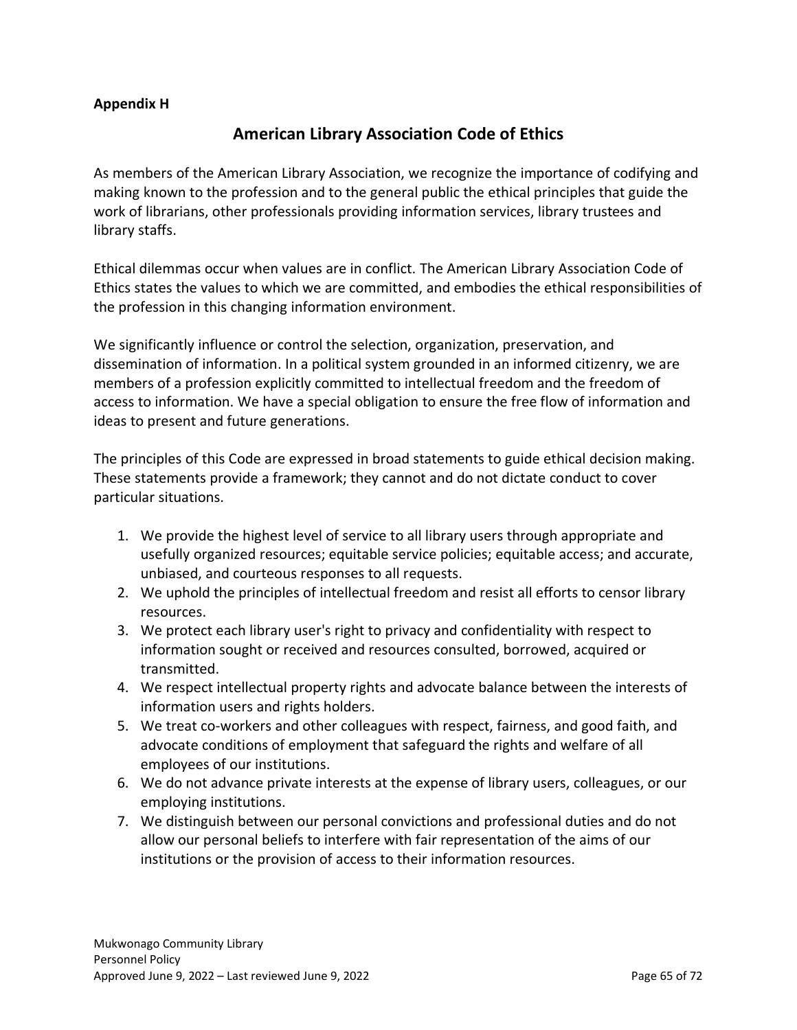#### **Appendix H**

## **American Library Association Code of Ethics**

As members of the American Library Association, we recognize the importance of codifying and making known to the profession and to the general public the ethical principles that guide the work of librarians, other professionals providing information services, library trustees and library staffs.

Ethical dilemmas occur when values are in conflict. The American Library Association Code of Ethics states the values to which we are committed, and embodies the ethical responsibilities of the profession in this changing information environment.

We significantly influence or control the selection, organization, preservation, and dissemination of information. In a political system grounded in an informed citizenry, we are members of a profession explicitly committed to intellectual freedom and the freedom of access to information. We have a special obligation to ensure the free flow of information and ideas to present and future generations.

The principles of this Code are expressed in broad statements to guide ethical decision making. These statements provide a framework; they cannot and do not dictate conduct to cover particular situations.

- 1. We provide the highest level of service to all library users through appropriate and usefully organized resources; equitable service policies; equitable access; and accurate, unbiased, and courteous responses to all requests.
- 2. We uphold the principles of intellectual freedom and resist all efforts to censor library resources.
- 3. We protect each library user's right to privacy and confidentiality with respect to information sought or received and resources consulted, borrowed, acquired or transmitted.
- 4. We respect intellectual property rights and advocate balance between the interests of information users and rights holders.
- 5. We treat co-workers and other colleagues with respect, fairness, and good faith, and advocate conditions of employment that safeguard the rights and welfare of all employees of our institutions.
- 6. We do not advance private interests at the expense of library users, colleagues, or our employing institutions.
- 7. We distinguish between our personal convictions and professional duties and do not allow our personal beliefs to interfere with fair representation of the aims of our institutions or the provision of access to their information resources.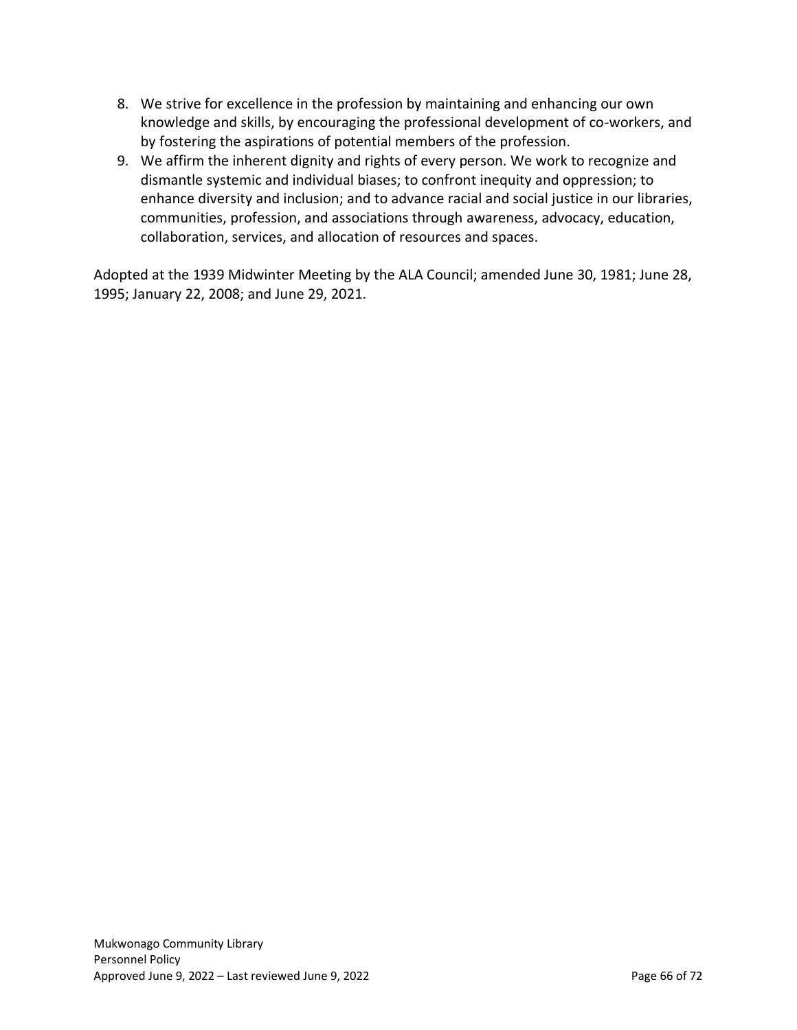- 8. We strive for excellence in the profession by maintaining and enhancing our own knowledge and skills, by encouraging the professional development of co-workers, and by fostering the aspirations of potential members of the profession.
- 9. We affirm the inherent dignity and rights of every person. We work to recognize and dismantle systemic and individual biases; to confront inequity and oppression; to enhance diversity and inclusion; and to advance racial and social justice in our libraries, communities, profession, and associations through awareness, advocacy, education, collaboration, services, and allocation of resources and spaces.

Adopted at the 1939 Midwinter Meeting by the ALA Council; amended June 30, 1981; June 28, 1995; January 22, 2008; and June 29, 2021.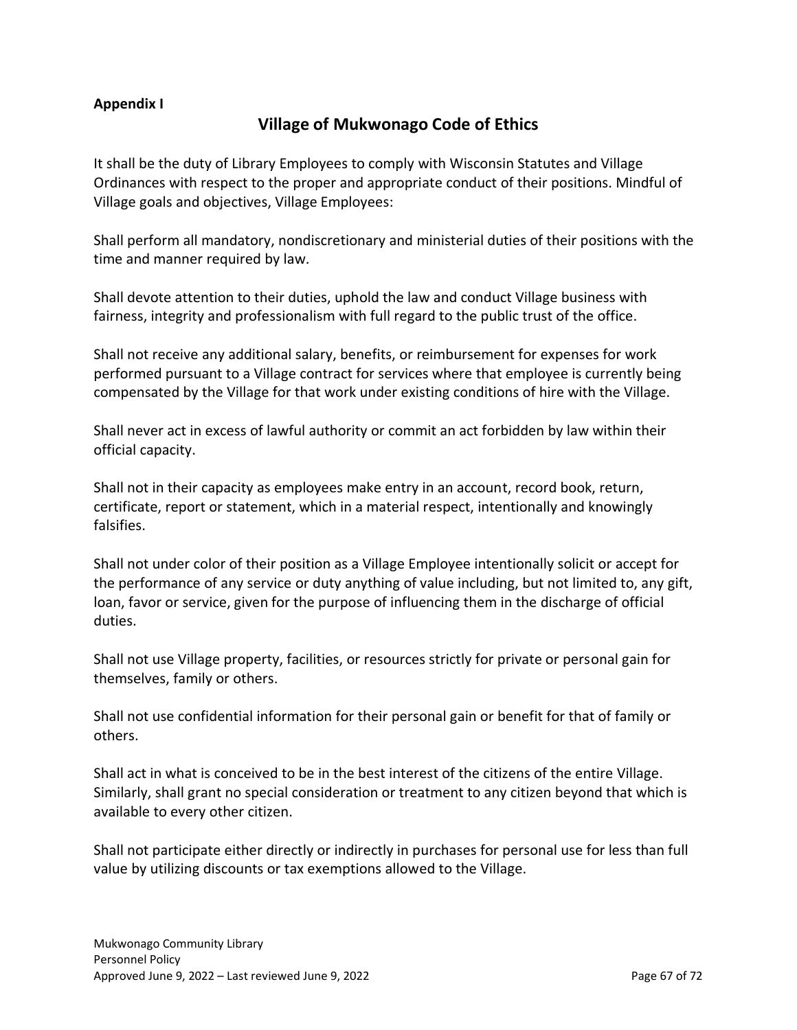### **Appendix I**

## **Village of Mukwonago Code of Ethics**

It shall be the duty of Library Employees to comply with Wisconsin Statutes and Village Ordinances with respect to the proper and appropriate conduct of their positions. Mindful of Village goals and objectives, Village Employees:

Shall perform all mandatory, nondiscretionary and ministerial duties of their positions with the time and manner required by law.

Shall devote attention to their duties, uphold the law and conduct Village business with fairness, integrity and professionalism with full regard to the public trust of the office.

Shall not receive any additional salary, benefits, or reimbursement for expenses for work performed pursuant to a Village contract for services where that employee is currently being compensated by the Village for that work under existing conditions of hire with the Village.

Shall never act in excess of lawful authority or commit an act forbidden by law within their official capacity.

Shall not in their capacity as employees make entry in an account, record book, return, certificate, report or statement, which in a material respect, intentionally and knowingly falsifies.

Shall not under color of their position as a Village Employee intentionally solicit or accept for the performance of any service or duty anything of value including, but not limited to, any gift, loan, favor or service, given for the purpose of influencing them in the discharge of official duties.

Shall not use Village property, facilities, or resources strictly for private or personal gain for themselves, family or others.

Shall not use confidential information for their personal gain or benefit for that of family or others.

Shall act in what is conceived to be in the best interest of the citizens of the entire Village. Similarly, shall grant no special consideration or treatment to any citizen beyond that which is available to every other citizen.

Shall not participate either directly or indirectly in purchases for personal use for less than full value by utilizing discounts or tax exemptions allowed to the Village.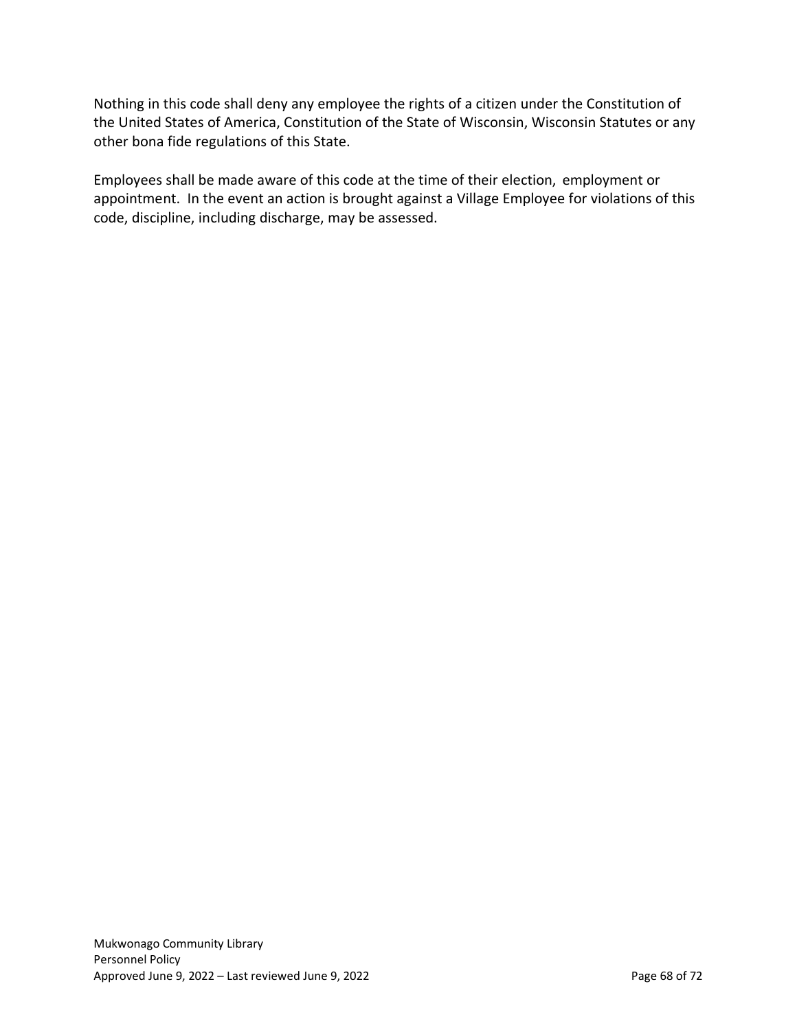Nothing in this code shall deny any employee the rights of a citizen under the Constitution of the United States of America, Constitution of the State of Wisconsin, Wisconsin Statutes or any other bona fide regulations of this State.

Employees shall be made aware of this code at the time of their election, employment or appointment. In the event an action is brought against a Village Employee for violations of this code, discipline, including discharge, may be assessed.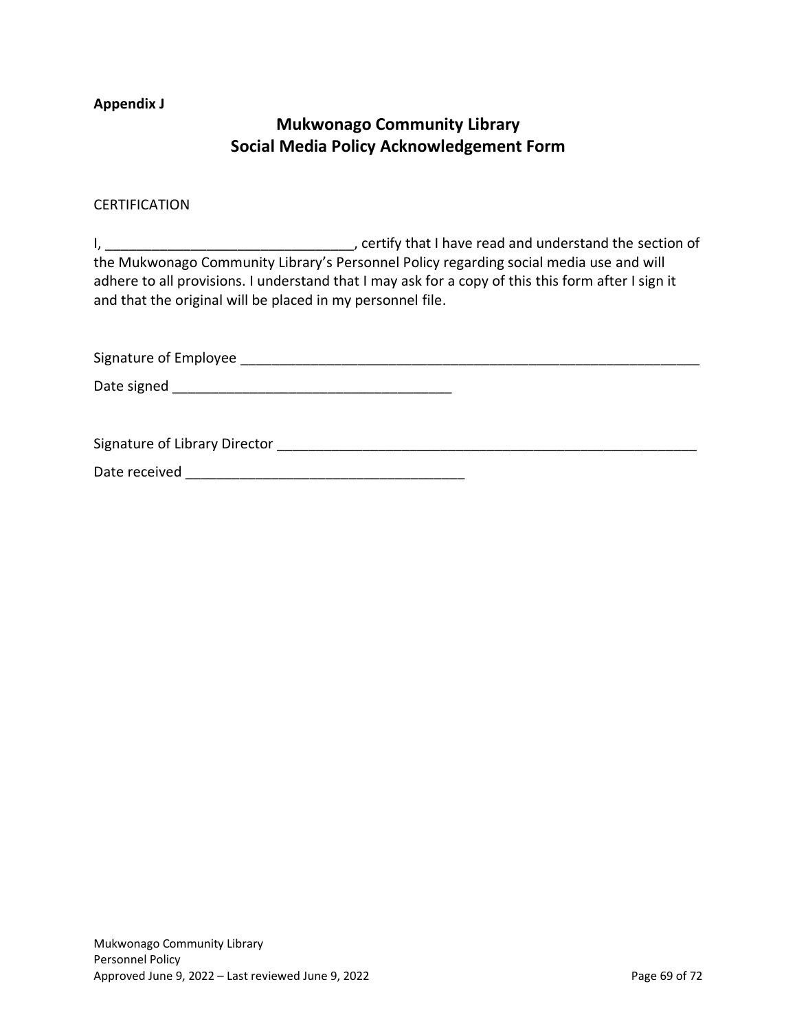#### <span id="page-68-0"></span>**Appendix J**

## **Mukwonago Community Library Social Media Policy Acknowledgement Form**

#### CERTIFICATION

I, the contract of the contract of the contract of the section of the section of the section of the Mukwonago Community Library's Personnel Policy regarding social media use and will adhere to all provisions. I understand that I may ask for a copy of this this form after I sign it and that the original will be placed in my personnel file.

Signature of Employee \_\_\_\_\_\_\_\_\_\_\_\_\_\_\_\_\_\_\_\_\_\_\_\_\_\_\_\_\_\_\_\_\_\_\_\_\_\_\_\_\_\_\_\_\_\_\_\_\_\_\_\_\_\_\_\_\_\_\_ Date signed \_\_\_\_\_\_\_\_\_\_\_\_\_\_\_\_\_\_\_\_\_\_\_\_\_\_\_\_\_\_\_\_\_\_\_\_ Signature of Library Director **Example 2018** and 2018 and 2018 and 2018 and 2018 and 2018 and 2018 and 2018 and 201 Date received \_\_\_\_\_\_\_\_\_\_\_\_\_\_\_\_\_\_\_\_\_\_\_\_\_\_\_\_\_\_\_\_\_\_\_\_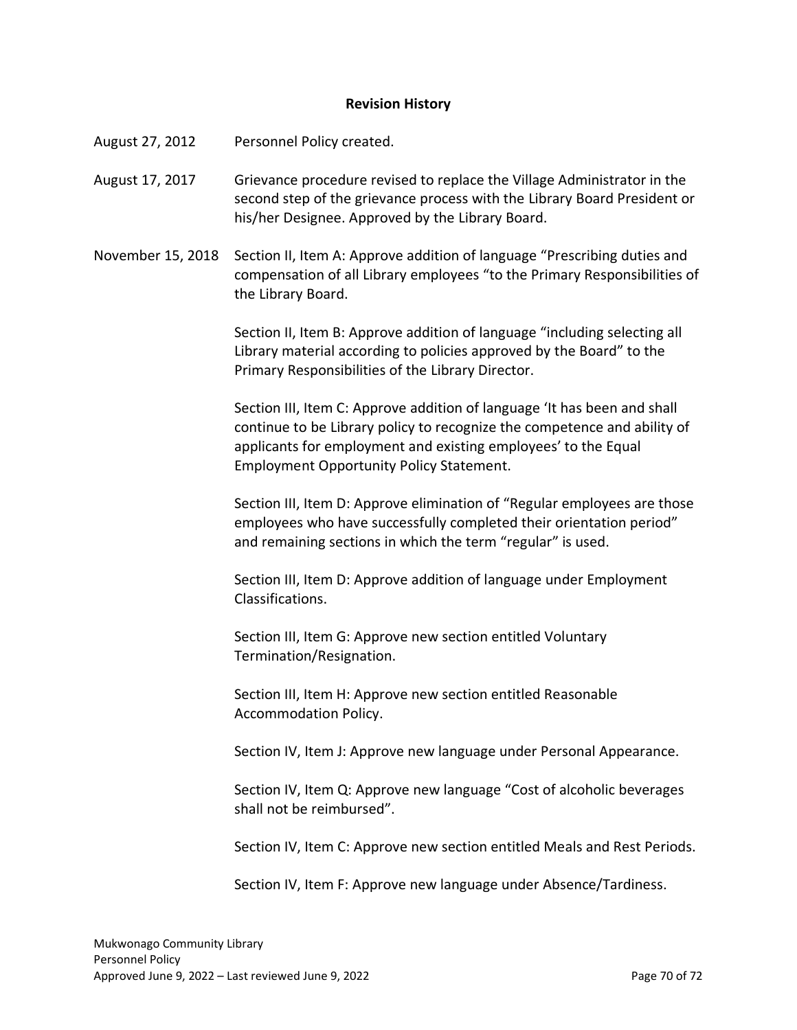#### **Revision History**

August 27, 2012 Personnel Policy created.

August 17, 2017 Grievance procedure revised to replace the Village Administrator in the second step of the grievance process with the Library Board President or his/her Designee. Approved by the Library Board.

November 15, 2018 Section II, Item A: Approve addition of language "Prescribing duties and compensation of all Library employees "to the Primary Responsibilities of the Library Board.

> Section II, Item B: Approve addition of language "including selecting all Library material according to policies approved by the Board" to the Primary Responsibilities of the Library Director.

Section III, Item C: Approve addition of language 'It has been and shall continue to be Library policy to recognize the competence and ability of applicants for employment and existing employees' to the Equal Employment Opportunity Policy Statement.

Section III, Item D: Approve elimination of "Regular employees are those employees who have successfully completed their orientation period" and remaining sections in which the term "regular" is used.

Section III, Item D: Approve addition of language under Employment Classifications.

Section III, Item G: Approve new section entitled Voluntary Termination/Resignation.

Section III, Item H: Approve new section entitled Reasonable Accommodation Policy.

Section IV, Item J: Approve new language under Personal Appearance.

Section IV, Item Q: Approve new language "Cost of alcoholic beverages shall not be reimbursed".

Section IV, Item C: Approve new section entitled Meals and Rest Periods.

Section IV, Item F: Approve new language under Absence/Tardiness.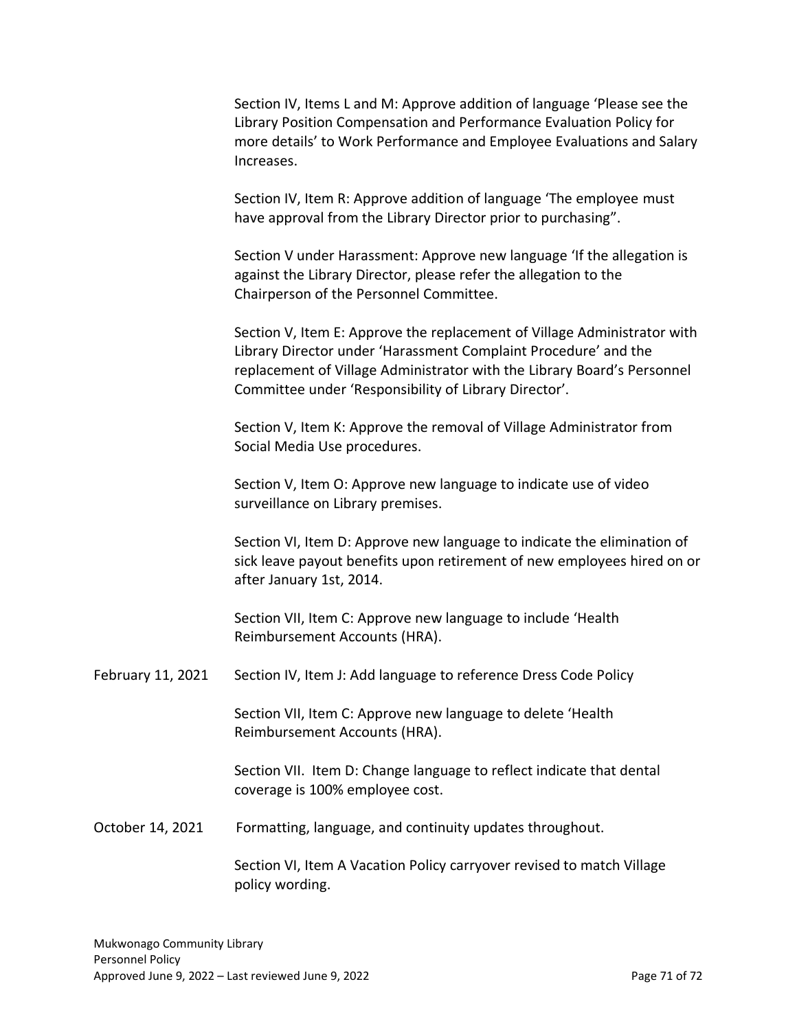Section IV, Items L and M: Approve addition of language 'Please see the Library Position Compensation and Performance Evaluation Policy for more details' to Work Performance and Employee Evaluations and Salary Increases.

Section IV, Item R: Approve addition of language 'The employee must have approval from the Library Director prior to purchasing".

Section V under Harassment: Approve new language 'If the allegation is against the Library Director, please refer the allegation to the Chairperson of the Personnel Committee.

Section V, Item E: Approve the replacement of Village Administrator with Library Director under 'Harassment Complaint Procedure' and the replacement of Village Administrator with the Library Board's Personnel Committee under 'Responsibility of Library Director'.

Section V, Item K: Approve the removal of Village Administrator from Social Media Use procedures.

Section V, Item O: Approve new language to indicate use of video surveillance on Library premises.

Section VI, Item D: Approve new language to indicate the elimination of sick leave payout benefits upon retirement of new employees hired on or after January 1st, 2014.

Section VII, Item C: Approve new language to include 'Health Reimbursement Accounts (HRA).

February 11, 2021 Section IV, Item J: Add language to reference Dress Code Policy

Section VII, Item C: Approve new language to delete 'Health Reimbursement Accounts (HRA).

Section VII. Item D: Change language to reflect indicate that dental coverage is 100% employee cost.

October 14, 2021 Formatting, language, and continuity updates throughout.

Section VI, Item A Vacation Policy carryover revised to match Village policy wording.